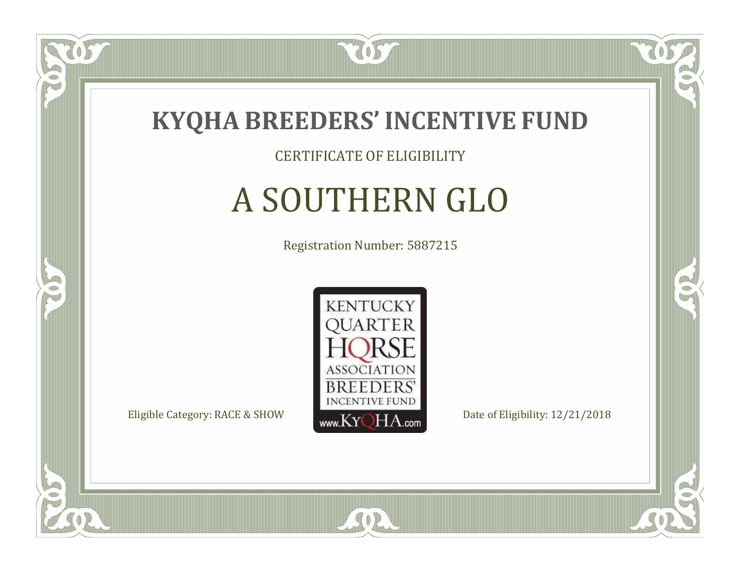

#### CERTIFICATE OF ELIGIBILITY

# A SOUTHERN GLO

Registration Number: 5887215



SOR

CO.

 $\rightarrow$ 

057

 $\Box$ NU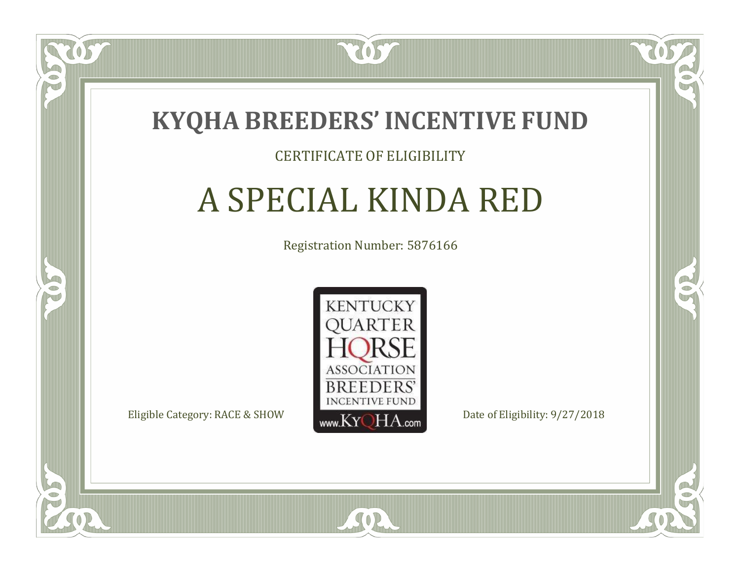

#### CERTIFICATE OF ELIGIBILITY

## A SPECIAL KINDA RED

Registration Number: 5876166



SOR

RO

CO.

 $\Box$ N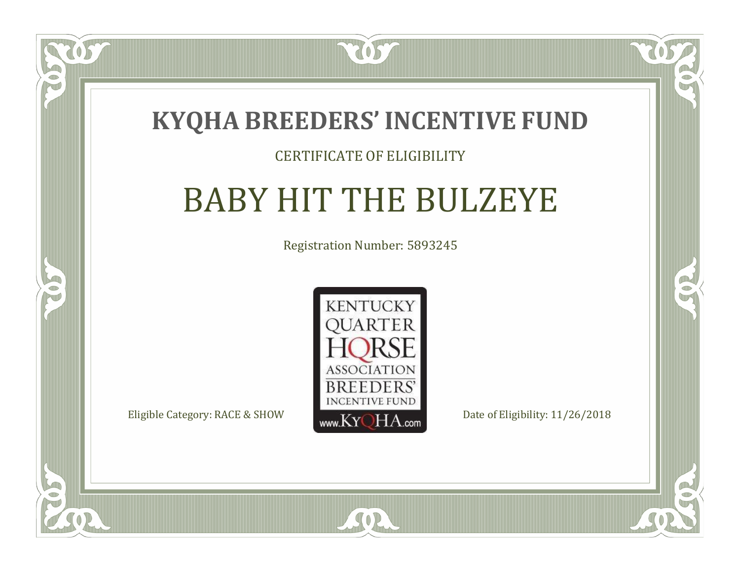### **KYQHA BREEDERS'INCENTIVE FUND**

7057

#### CERTIFICATE OF ELIGIBILITY

# BABY HIT THE BULZEYE

Registration Number: 5893245



SOR

CO.

 $\rightarrow$ 

 $\Box$ N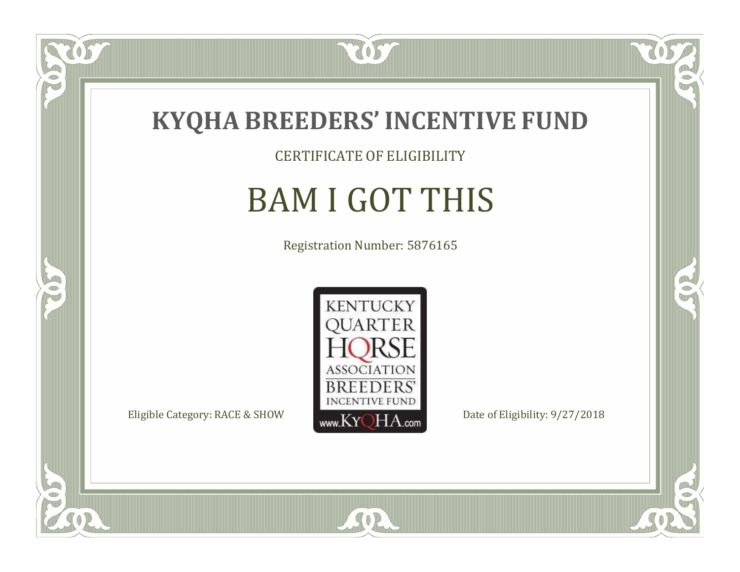

CERTIFICATE OF ELIGIBILITY

# BAM I GOT THIS

Registration Number: 5876165



SOR

CO.

 $\rightarrow$ 

057

 $\bullet$ NU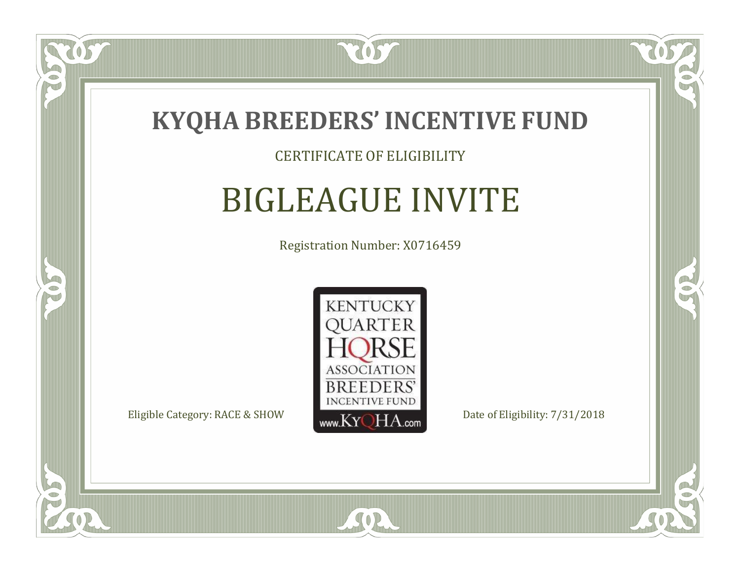

#### CERTIFICATE OF ELIGIBILITY

### BIGLEAGUE INVITE

Registration Number: X0716459



SOR

RO

B

 $\Box$ N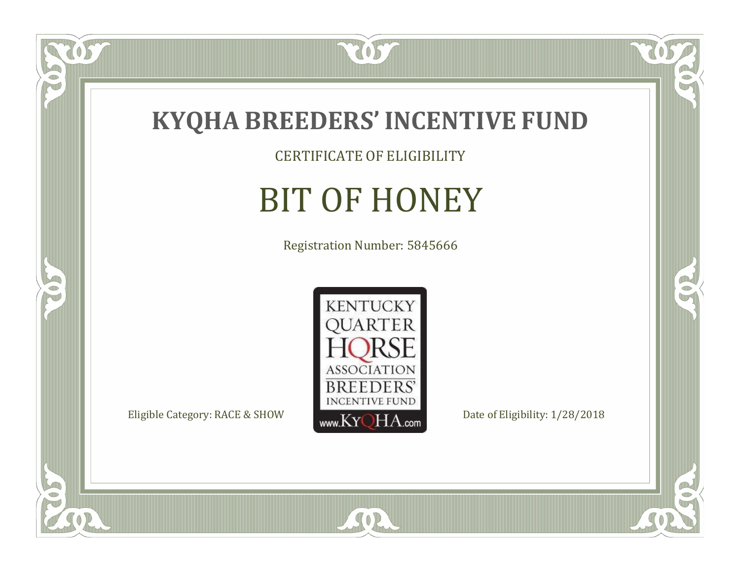

CERTIFICATE OF ELIGIBILITY

# BIT OF HONEY

Registration Number: 5845666



SOR

 $\mathbb{R}$ 

 $\rightarrow$ 

tos

 $\bullet$ N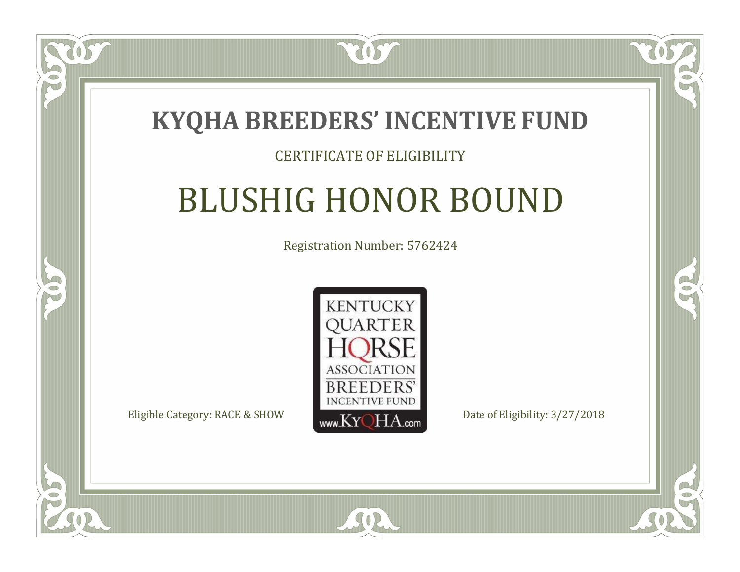

#### CERTIFICATE OF ELIGIBILITY

## BLUSHIG HONOR BOUND

Registration Number: 5762424



SOR

 $\Box$ N

S

RO

P.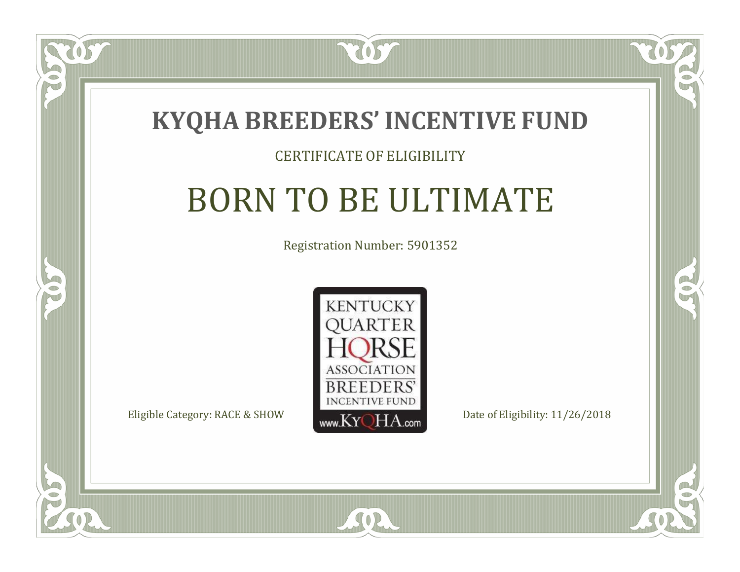

#### CERTIFICATE OF ELIGIBILITY

# BORN TO BE ULTIMATE

Registration Number: 5901352



CO.

 $\rightarrow$ 

 $\Box$ N

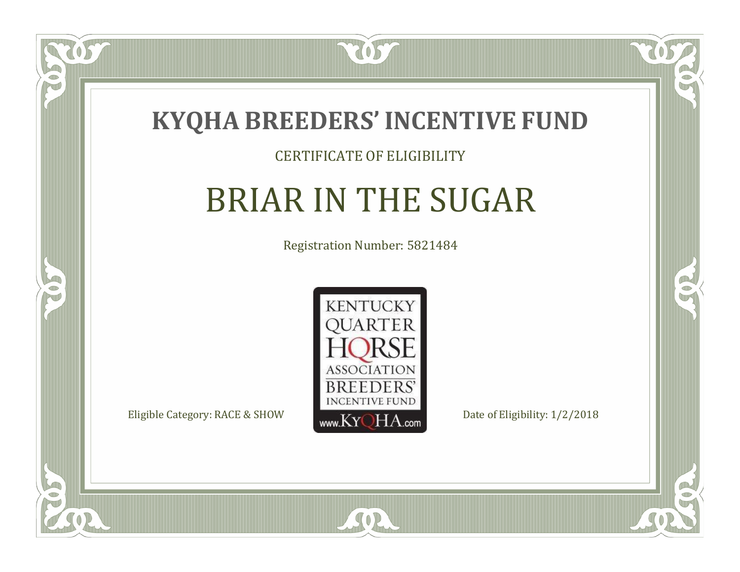

#### CERTIFICATE OF ELIGIBILITY

# BRIAR IN THE SUGAR

Registration Number: 5821484



SOR

CO.

B

 $\delta S$ 

 $\Box$ NU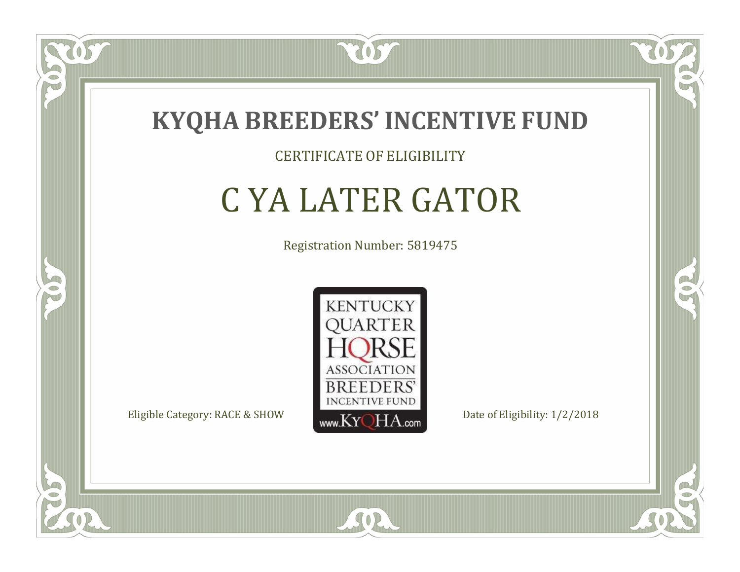

#### CERTIFICATE OF ELIGIBILITY

# C YA LATER GATOR

Registration Number: 5819475



SOR

RO

B

 $\Box$ N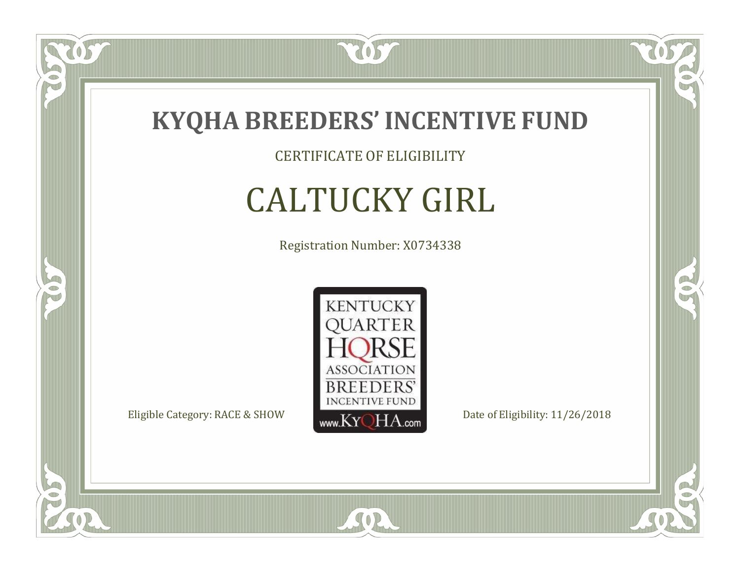

CERTIFICATE OF ELIGIBILITY

# CALTUCKY GIRL

Registration Number: X0734338



SOR

CO.

 $\rightarrow$ 

US

 $\bullet$ NU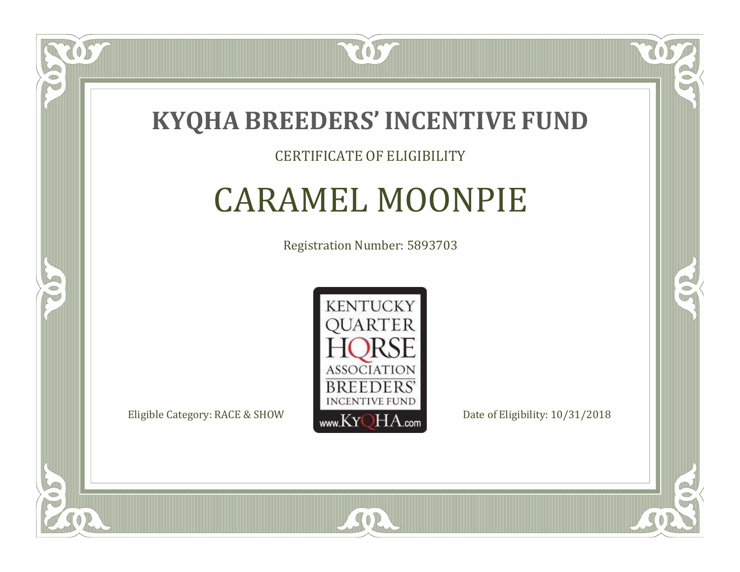

#### CERTIFICATE OF ELIGIBILITY

### CARAMEL MOONPIE

Registration Number: 5893703



SOR

RO

B

 $\Box$ N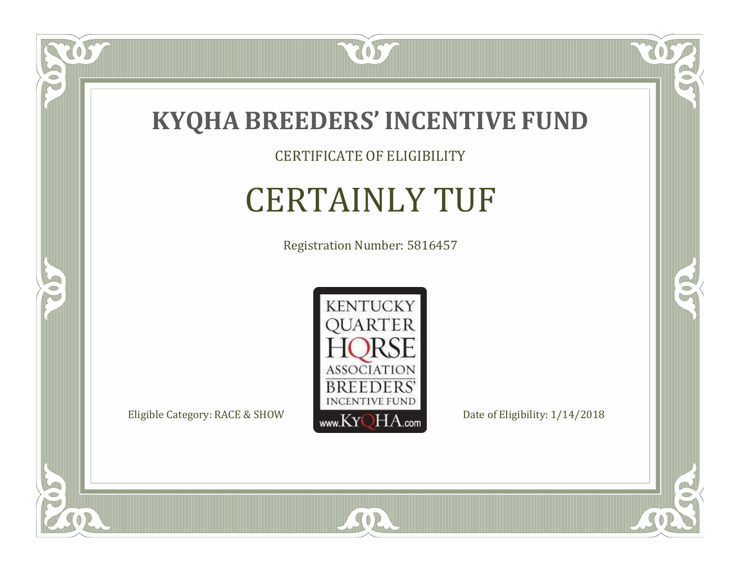

CERTIFICATE OF ELIGIBILITY

# CERTAINLY TUF

Registration Number: 5816457



SOR

 $\mathbb{R}$ 

R

US

 $\bullet$ NU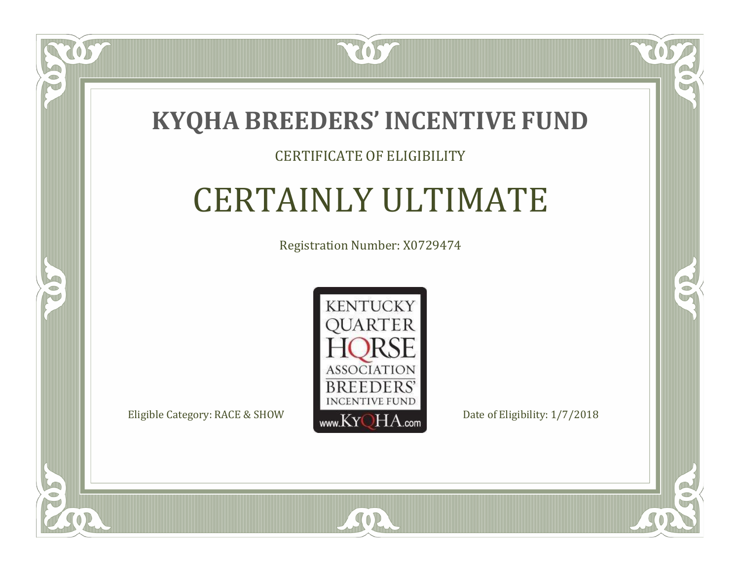

#### CERTIFICATE OF ELIGIBILITY

## CERTAINLY ULTIMATE

Registration Number: X0729474



 $SO2$ 

CO.

 $\rightarrow$ 

 $\Box$ N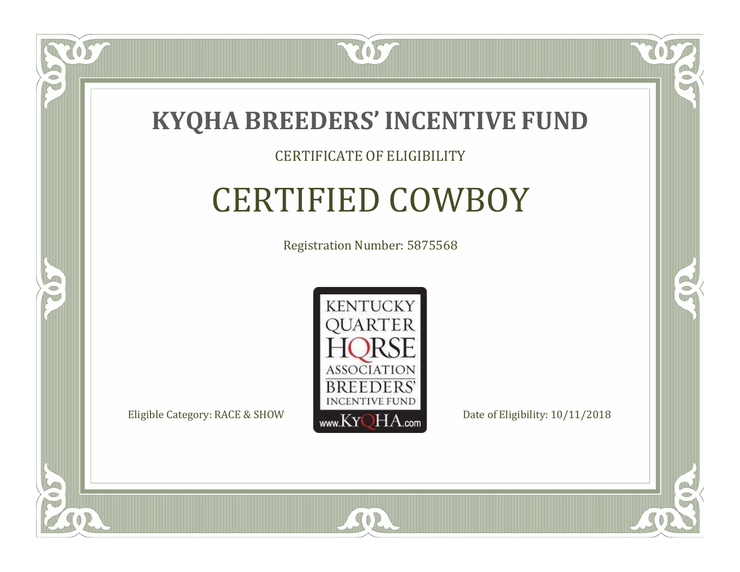

#### CERTIFICATE OF ELIGIBILITY

### CERTIFIED COWBOY

Registration Number: 5875568



SOR

RO

B

 $\Box$ N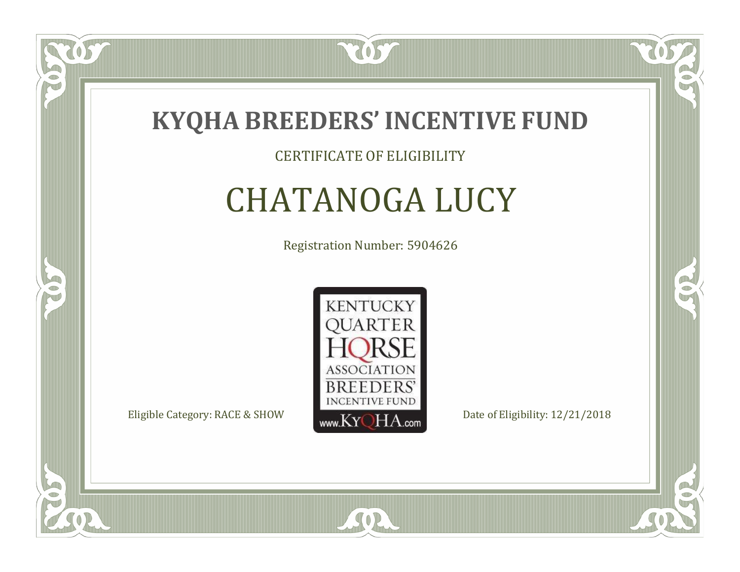

#### CERTIFICATE OF ELIGIBILITY

# CHATANOGA LUCY

Registration Number: 5904626



SOR

RO

B

 $\Box$ N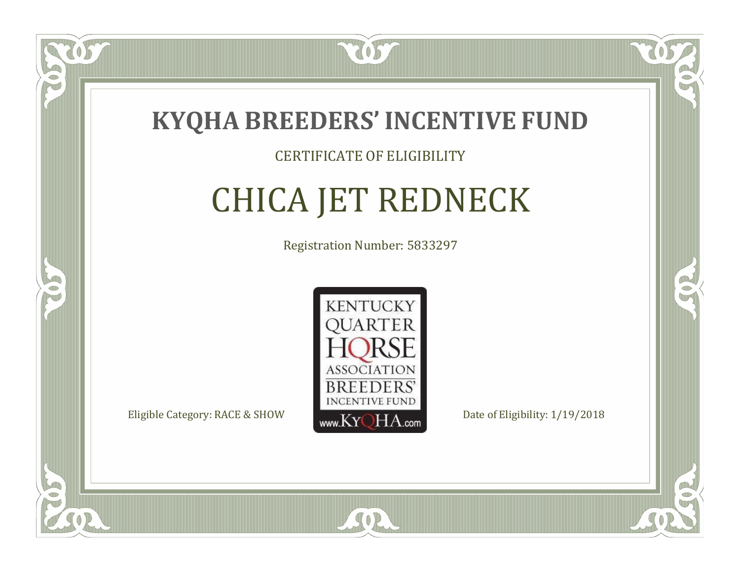

#### CERTIFICATE OF ELIGIBILITY

# CHICA JET REDNECK

Registration Number: 5833297



RO

CO.

 $\Box$ N

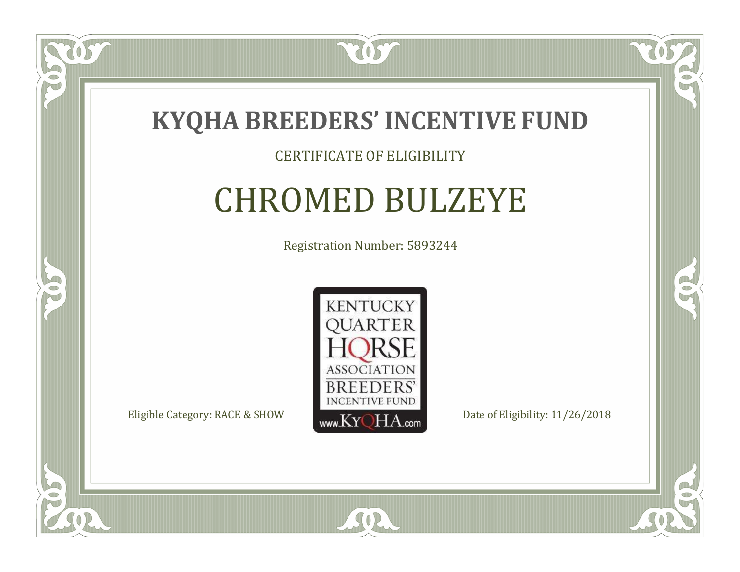

#### CERTIFICATE OF ELIGIBILITY

### CHROMED BULZEYE

Registration Number: 5893244



SOR

CO.

 $\rightarrow$ 

 $\Box$ NU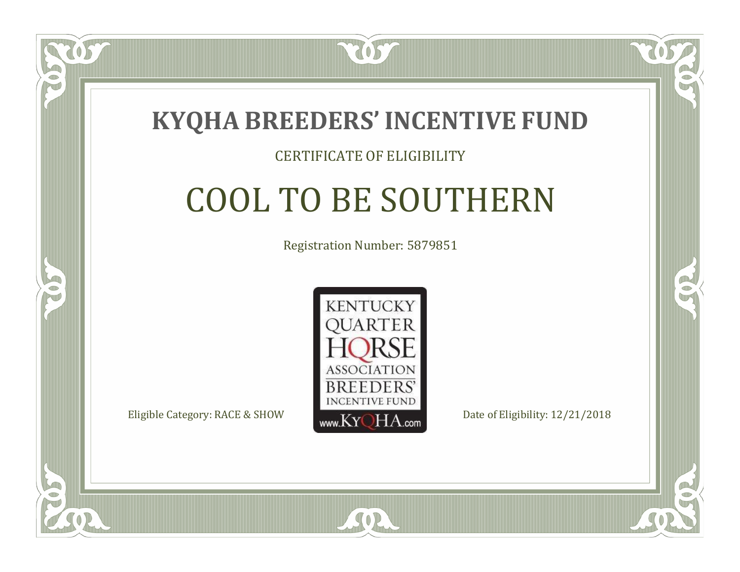

#### CERTIFICATE OF ELIGIBILITY

# COOL TO BE SOUTHERN

Registration Number: 5879851



SOR

RO

P.

 $\Box$ N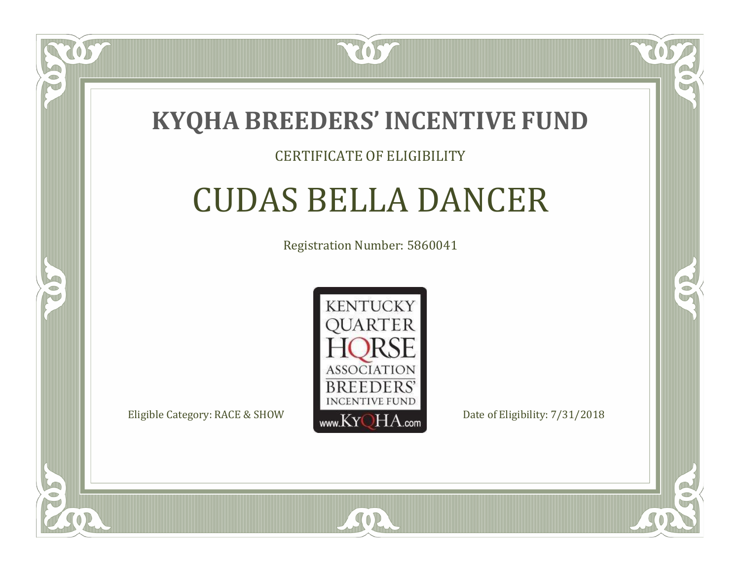

#### CERTIFICATE OF ELIGIBILITY

### CUDAS BELLA DANCER

Registration Number: 5860041



SOR

RO

CO.

 $\Box$ N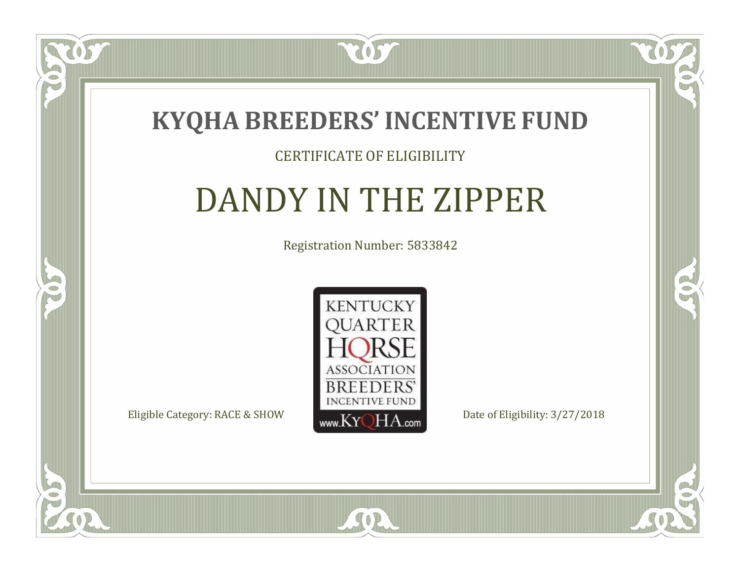

#### CERTIFICATE OF ELIGIBILITY

# DANDY IN THE ZIPPER

Registration Number: 5833842



SOR

CO.

 $\rightarrow$ 

US

 $\Box$ N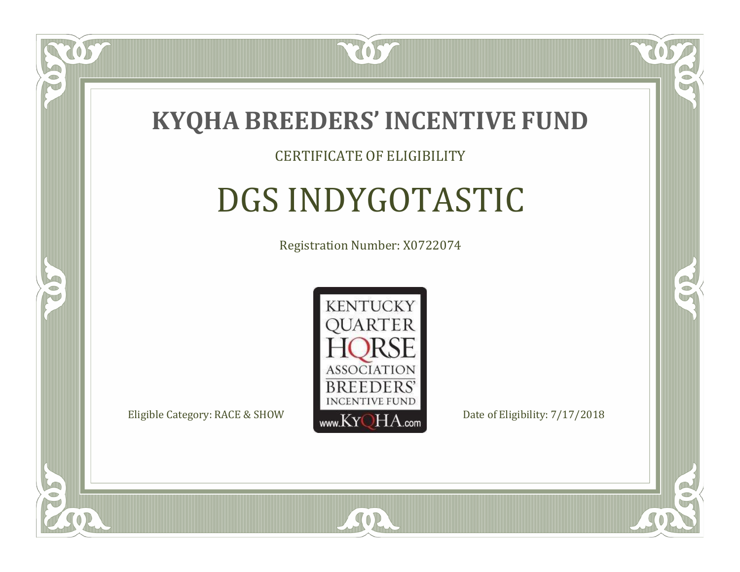

#### CERTIFICATE OF ELIGIBILITY

# DGS INDYGOTASTIC

Registration Number: X0722074



 $SO<sub>2</sub>$ 

RO

CO.

 $\Box$ N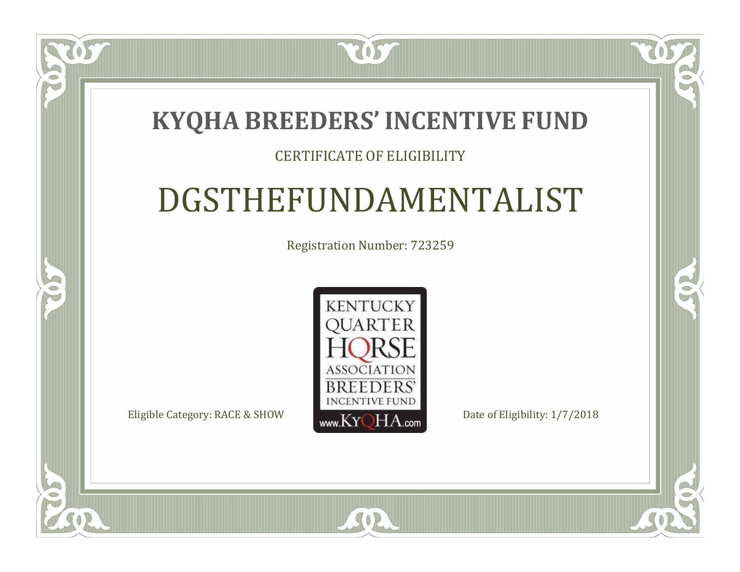### **KYQHA BREEDERS'INCENTIVE FUND**

7057

#### CERTIFICATE OF ELIGIBILITY

## DGSTHEFUNDAMENTALIST

Registration Number: 723259



SOR

CO.

 $\rightarrow$ 

 $\blacksquare$ N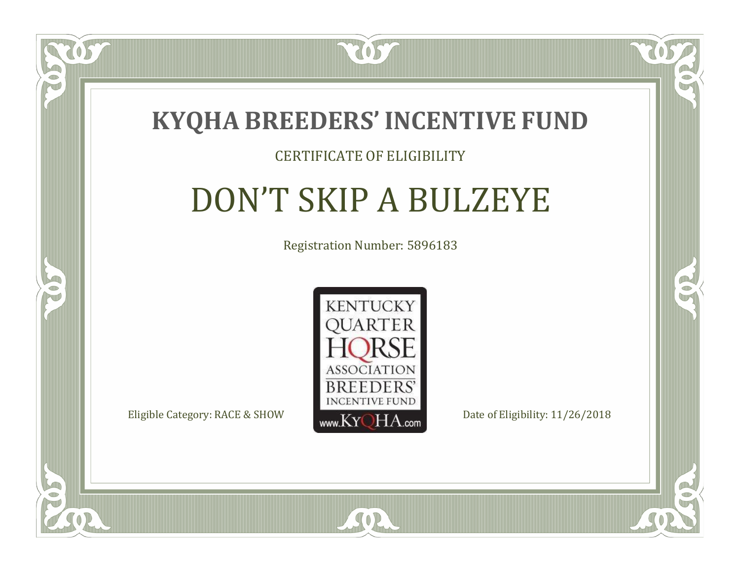

#### CERTIFICATE OF ELIGIBILITY

# DON'T SKIP A BULZEYE

Registration Number: 5896183



SOR

CO.

CO.

 $\Box$ N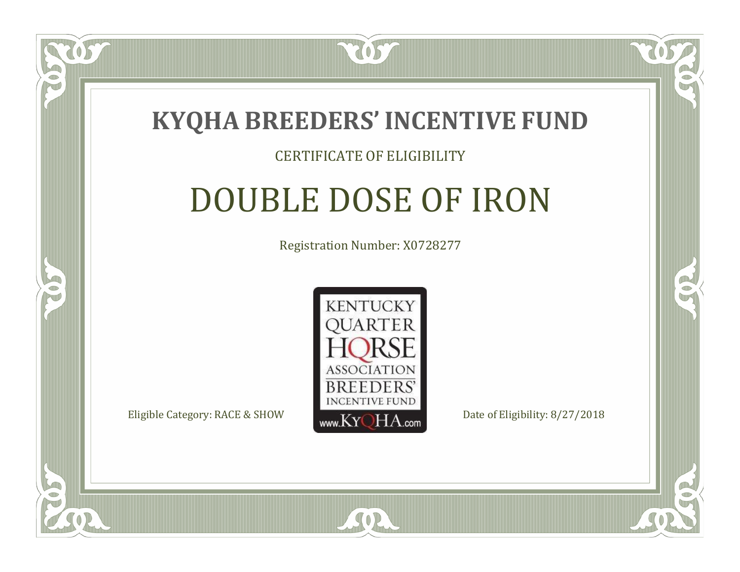

#### CERTIFICATE OF ELIGIBILITY

## DOUBLE DOSE OF IRON

Registration Number: X0728277



 $SO2$ 

RO

P.

 $\Box$ N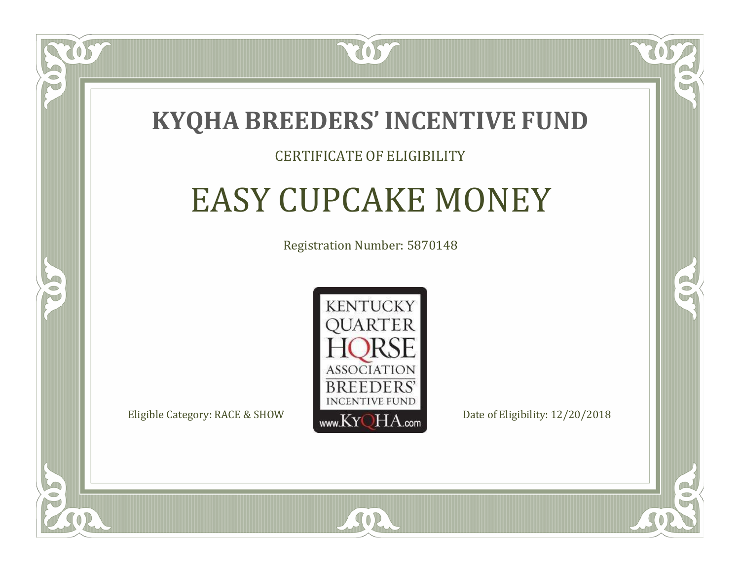

#### CERTIFICATE OF ELIGIBILITY

# EASY CUPCAKE MONEY

Registration Number: 5870148



CO.

 $\rightarrow$ 

 $\Box$ N

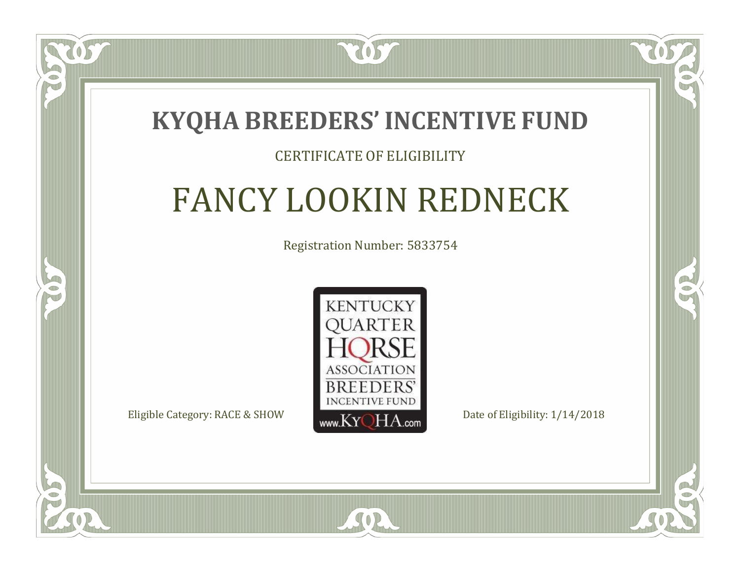

#### CERTIFICATE OF ELIGIBILITY

# FANCY LOOKIN REDNECK

Registration Number: 5833754



 $SO2$ 

CO.

 $\rightarrow$ 

 $\Box$ T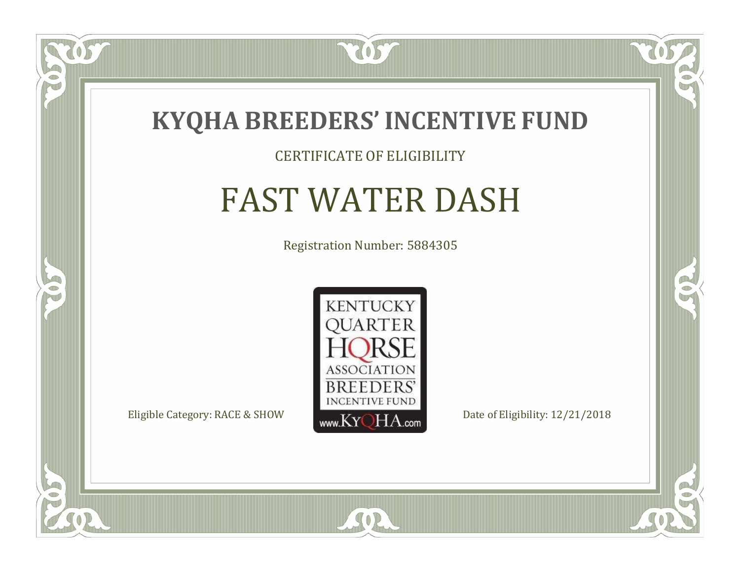

#### CERTIFICATE OF ELIGIBILITY

# FAST WATER DASH

Registration Number: 5884305



SOR

CO.

 $\rightarrow$ 

 $\delta S$ 

 $\Box$ NU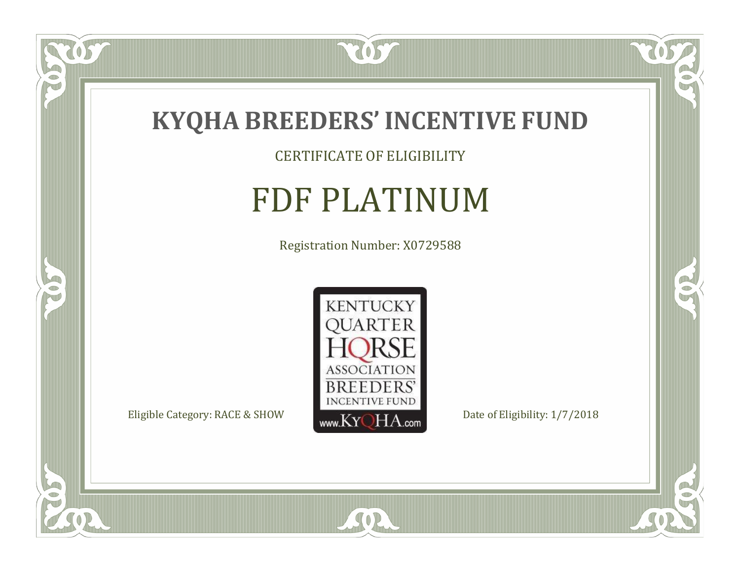

CERTIFICATE OF ELIGIBILITY

## FDF PLATINUM

Registration Number: X0729588



SOR

 $\mathbb{R}$ 

 $\mathbb{R}^2$ 

 $\overline{OS}$ 

 $\bullet$ N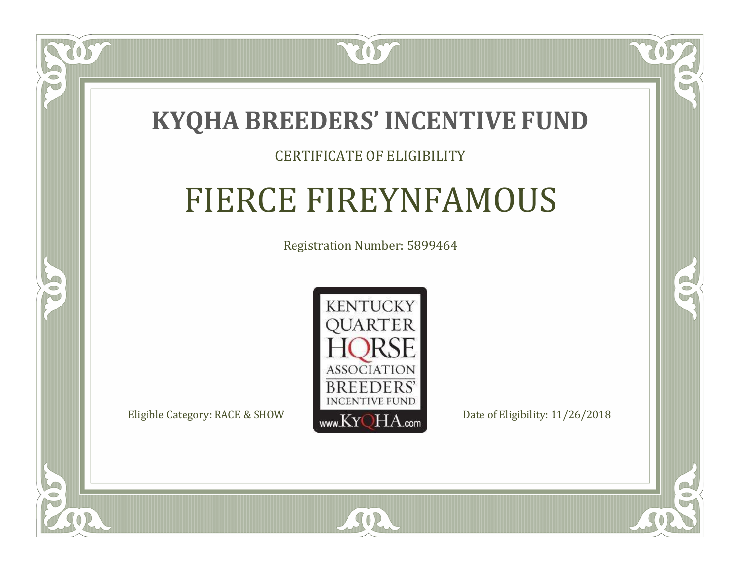

#### CERTIFICATE OF ELIGIBILITY

## FIERCE FIREYNFAMOUS

Registration Number: 5899464



 $SO2$ 

CO.

 $\rightarrow$ 

 $\Box$ N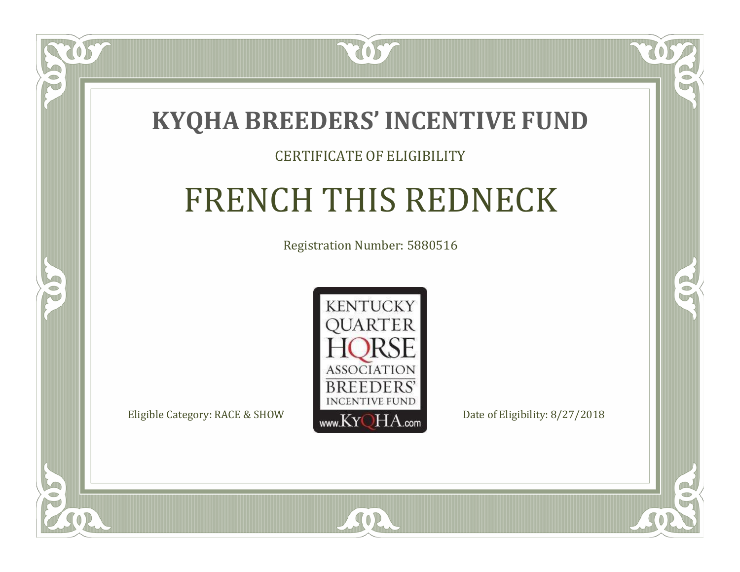

#### CERTIFICATE OF ELIGIBILITY

# FRENCH THIS REDNECK

Registration Number: 5880516



SOR

CO.

 $\rightarrow$ 

 $\Box$ N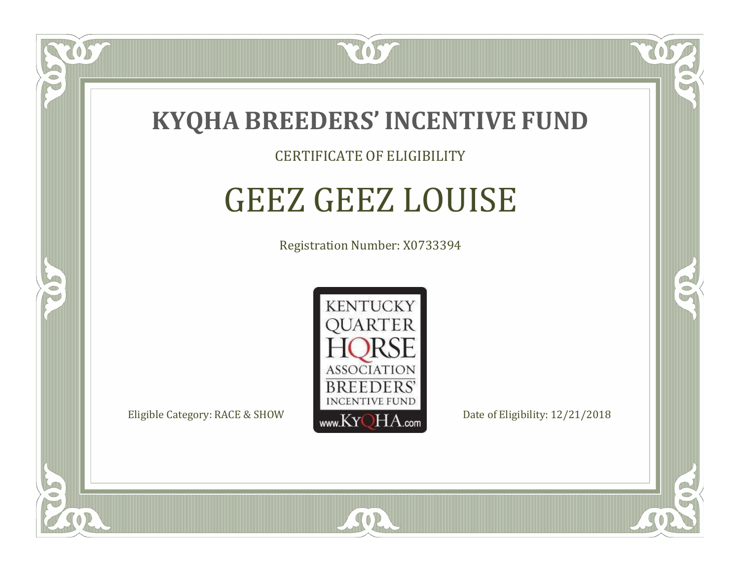

#### CERTIFICATE OF ELIGIBILITY

# GEEZ GEEZ LOUISE

Registration Number: X0733394



SOR

RO

B

 $\Box$ N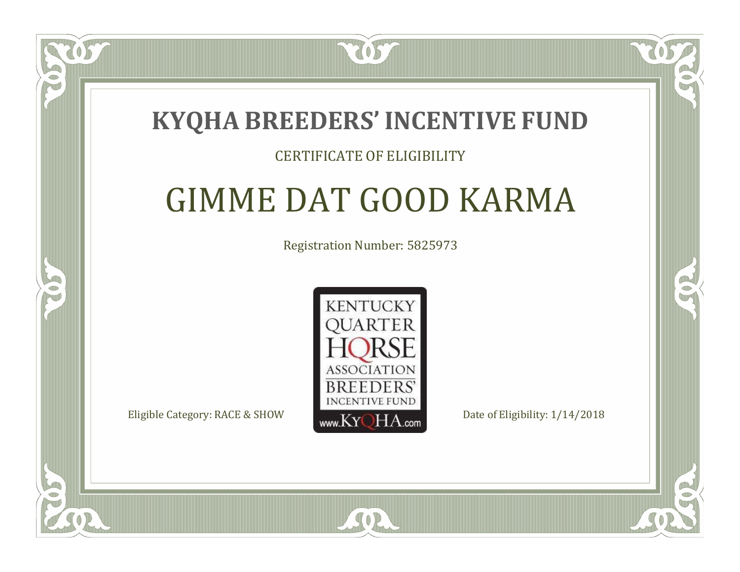### **KYQHA BREEDERS'INCENTIVE FUND**

7057

#### CERTIFICATE OF ELIGIBILITY

## GIMME DAT GOOD KARMA

Registration Number: 5825973



SOR

RO

P.

 $\Box$ T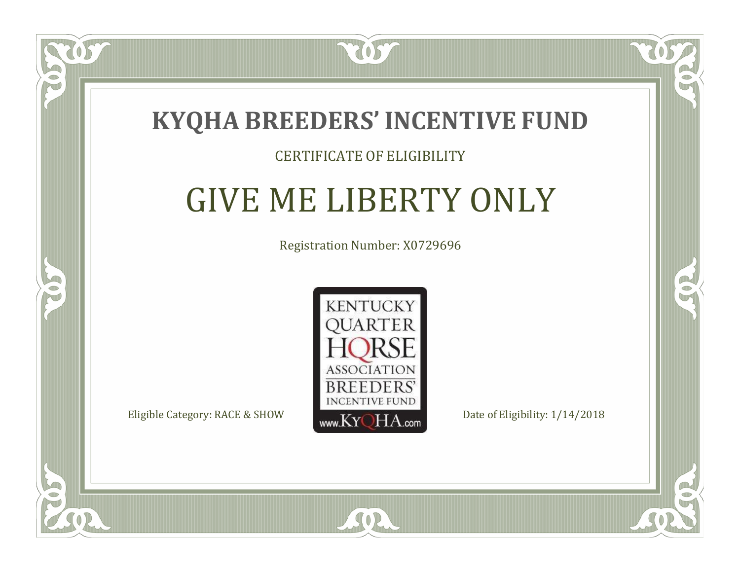

#### CERTIFICATE OF ELIGIBILITY

### GIVE ME LIBERTY ONLY

Registration Number: X0729696



SOR

CO.

 $\rightarrow$ 

 $\blacksquare$ N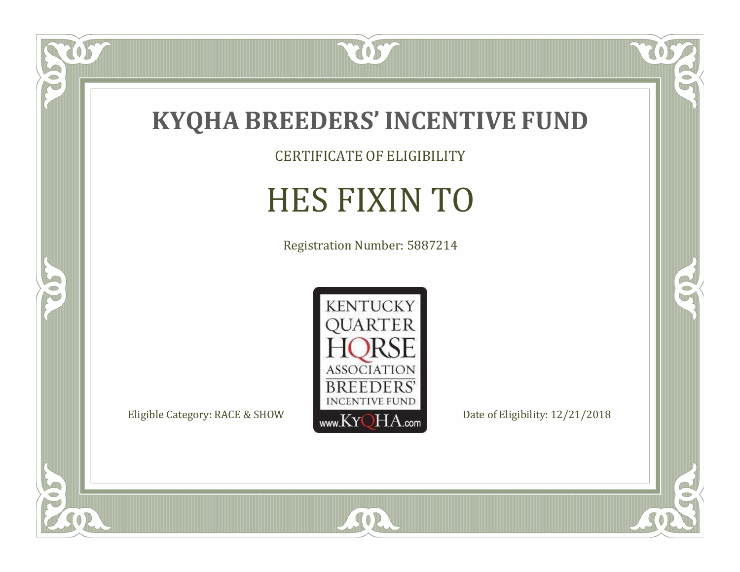

CERTIFICATE OF ELIGIBILITY

# HES FIXIN TO

Registration Number: 5887214



SOR

 $\mathbb{R}$ 

 $\mathbb{R}^2$ 

OS

 $\bullet$ N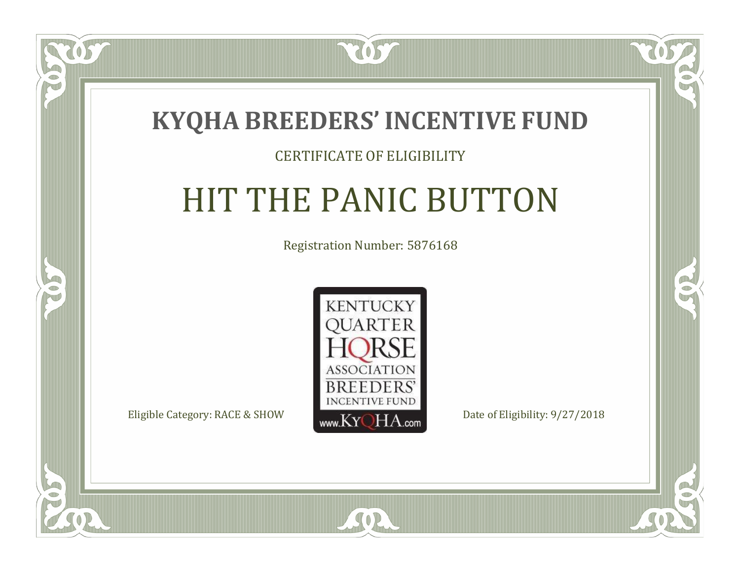

#### CERTIFICATE OF ELIGIBILITY

### HIT THE PANIC BUTTON

Registration Number: 5876168



SOR

CO.

 $\rightarrow$ 

 $\Box$ N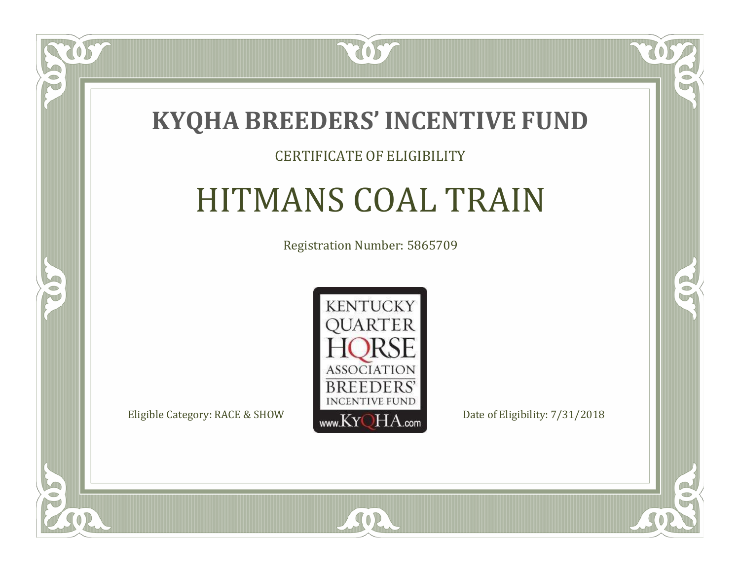

#### CERTIFICATE OF ELIGIBILITY

## HITMANS COAL TRAIN

Registration Number: 5865709



SOR

CO.

 $\rightarrow$ 

 $\blacksquare$ N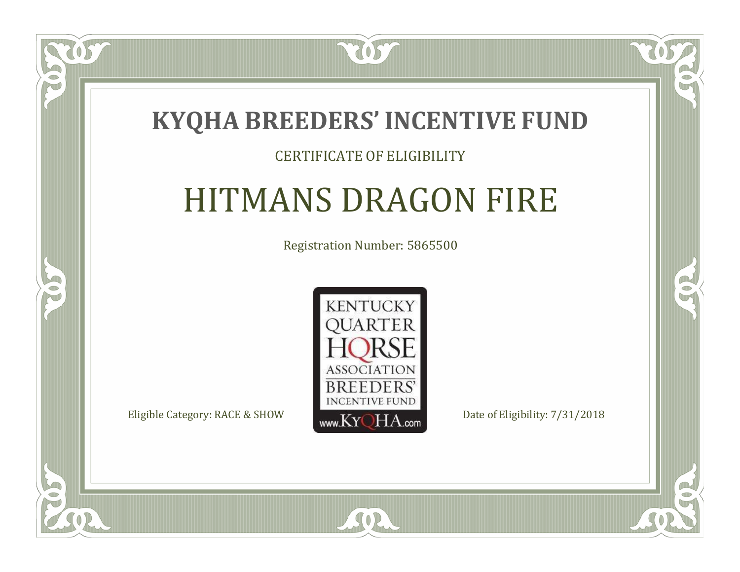### **KYQHA BREEDERS'INCENTIVE FUND**

2057

#### CERTIFICATE OF ELIGIBILITY

### HITMANS DRAGON FIRE

Registration Number: 5865500



SOR

CO.

 $\rightarrow$ 

 $\Box$ N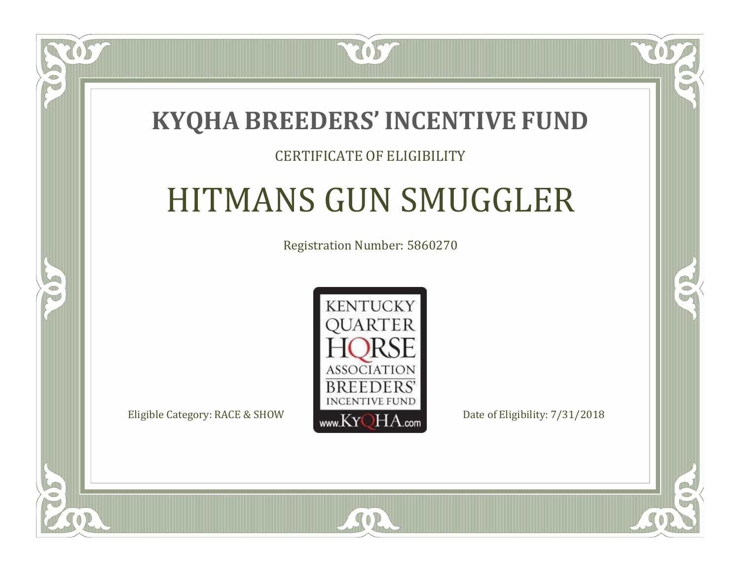### **KYQHA BREEDERS'INCENTIVE FUND**

2057

#### CERTIFICATE OF ELIGIBILITY

## HITMANS GUN SMUGGLER

Registration Number: 5860270



 $SO<sub>2</sub>$ 

RO

CO.

 $\Box$ N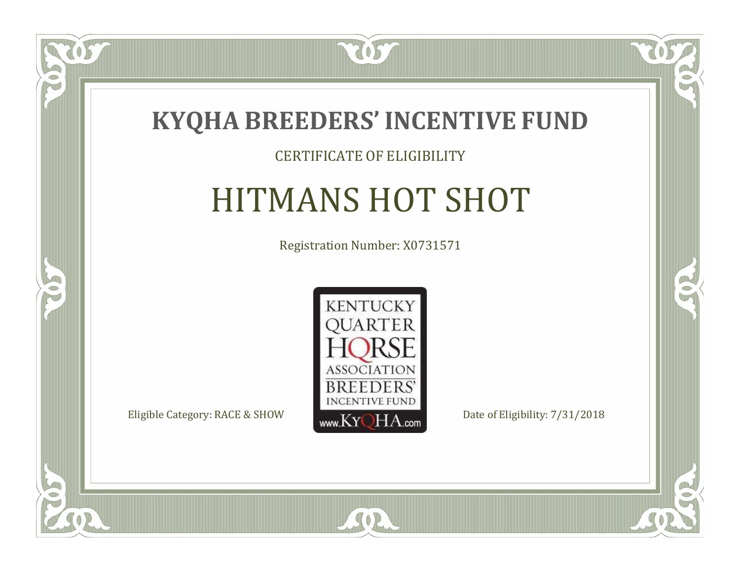

#### CERTIFICATE OF ELIGIBILITY

### HITMANS HOT SHOT

Registration Number: X0731571



 $SO<sub>2</sub>$ 

RO

 $\rightarrow$ 

 $\blacksquare$ N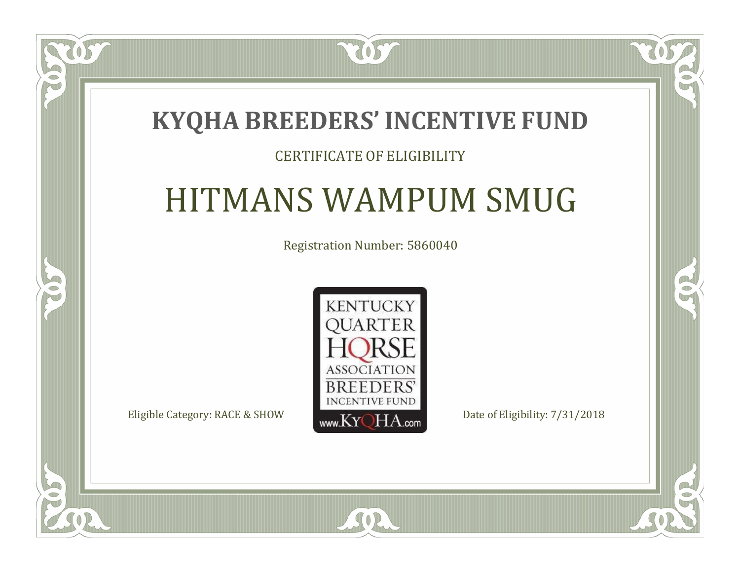### **KYQHA BREEDERS'INCENTIVE FUND**

2057

#### CERTIFICATE OF ELIGIBILITY

### HITMANS WAMPUM SMUG

Registration Number: 5860040



SOR

CO.

 $\rightarrow$ 

 $\Box$ N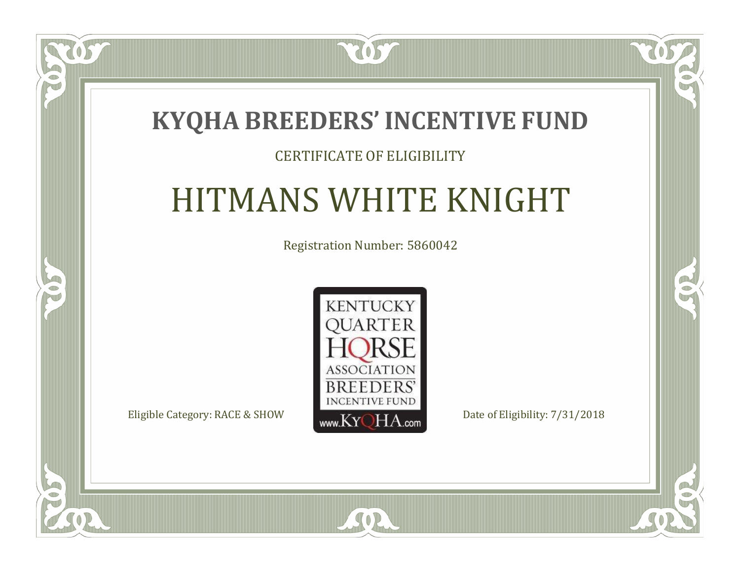### **KYQHA BREEDERS'INCENTIVE FUND**

2057

#### CERTIFICATE OF ELIGIBILITY

### HITMANS WHITE KNIGHT

Registration Number: 5860042



SOR

 $\mathbb{R}$ 

R

 $\blacksquare$ N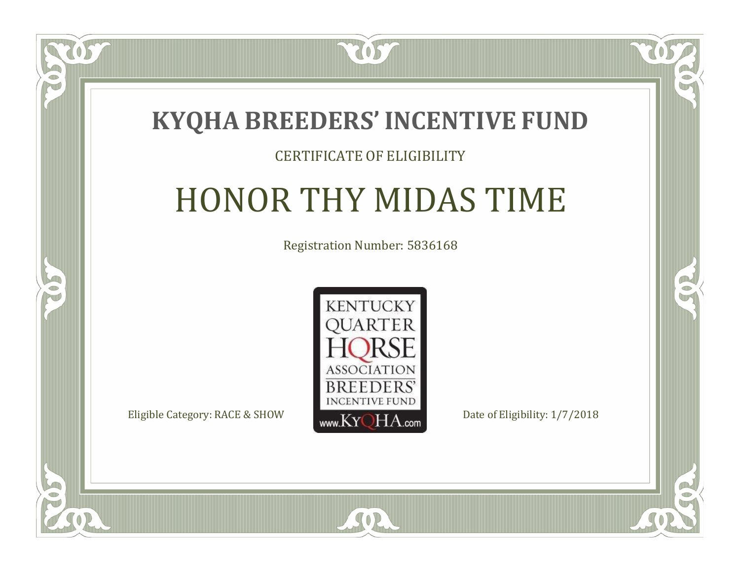

#### CERTIFICATE OF ELIGIBILITY

### HONOR THY MIDAS TIME

Registration Number: 5836168



 $SO2$ 

CO.

 $\rightarrow$ 

 $\Box$ N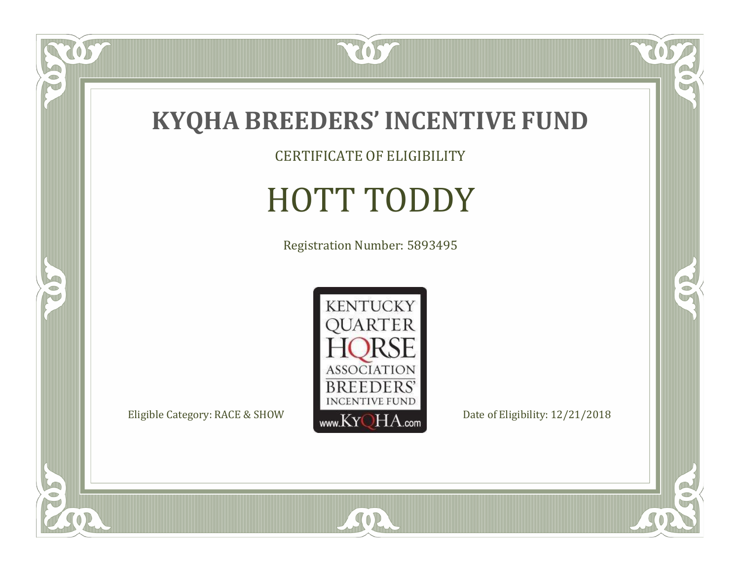

CERTIFICATE OF ELIGIBILITY

# HOTT TODDY

Registration Number: 5893495



SOR

 $\mathbb{R}$ 

 $\mathbb{R}^2$ 

OS.

 $\bullet$ N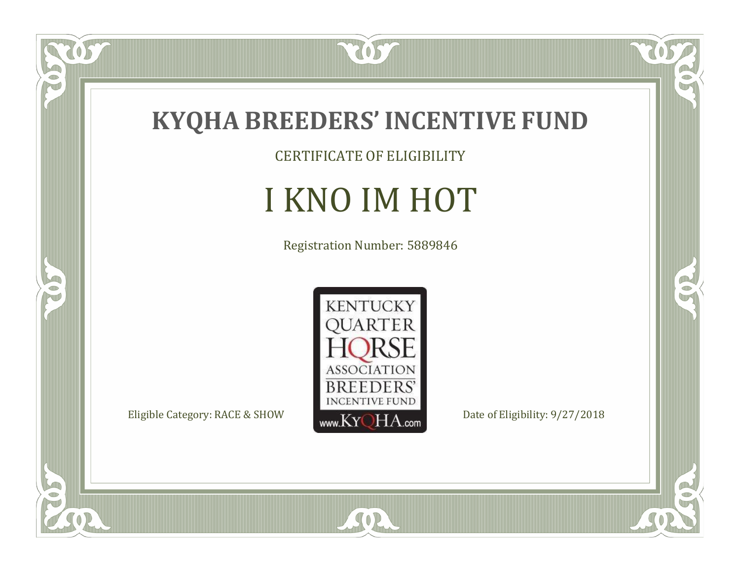

CERTIFICATE OF ELIGIBILITY

## I KNO IM HOT

Registration Number: 5889846



SOR

 $\mathbb{R}$ 

 $\rightarrow$ 

 $\overline{OS}$ 

 $\bullet$ N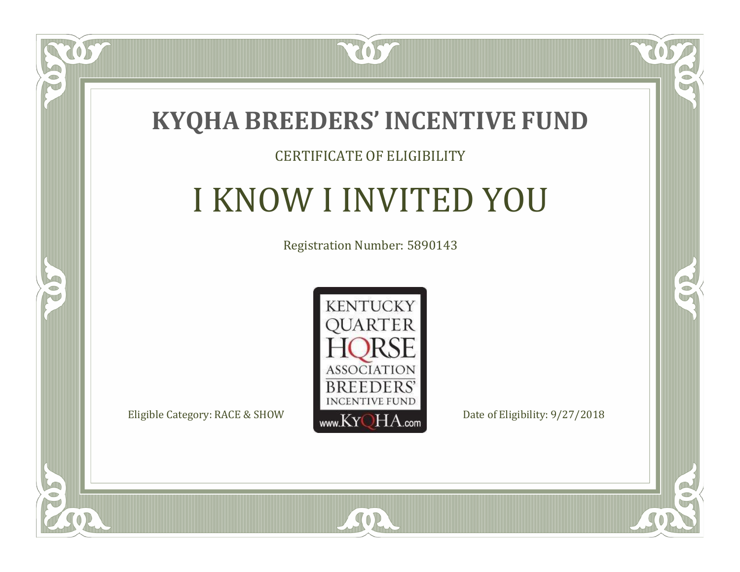

#### CERTIFICATE OF ELIGIBILITY

## I KNOW I INVITED YOU

Registration Number: 5890143



SOR

 $\mathbb{R}$ 

 $\rightarrow$ 

057

 $\Box$ NU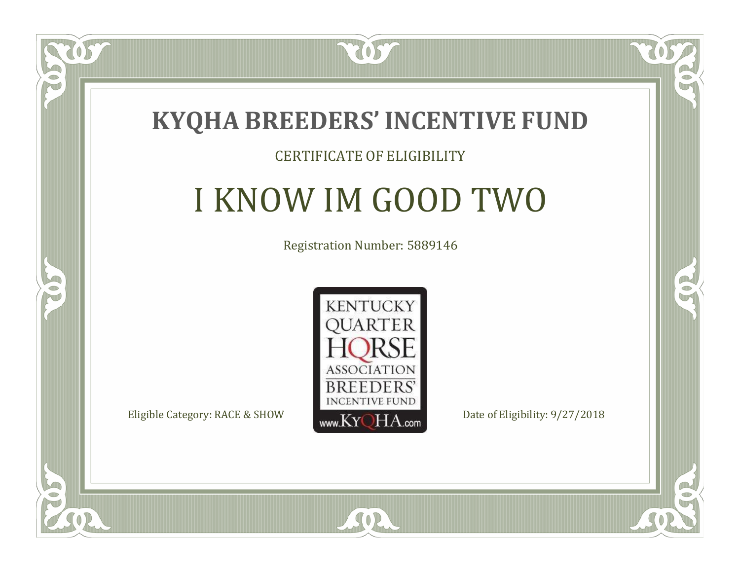

#### CERTIFICATE OF ELIGIBILITY

## I KNOW IM GOOD TWO

Registration Number: 5889146



SOR

CO.

B

 $\blacksquare$ N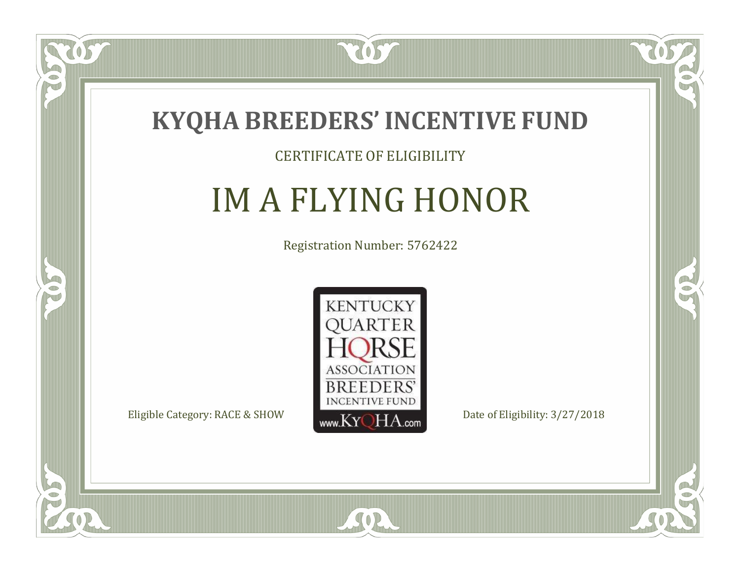

#### CERTIFICATE OF ELIGIBILITY

# IM A FLYING HONOR

Registration Number: 5762422



SOR

CO.

 $\rightarrow$ 

 $\Box$ N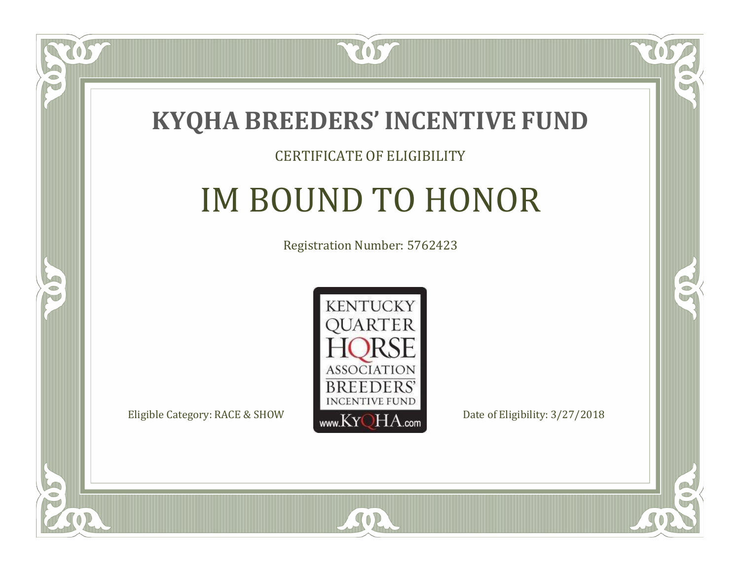

#### CERTIFICATE OF ELIGIBILITY

## IM BOUND TO HONOR

Registration Number: 5762423



SOR

CO.

 $\rightarrow$ 

 $\blacksquare$ N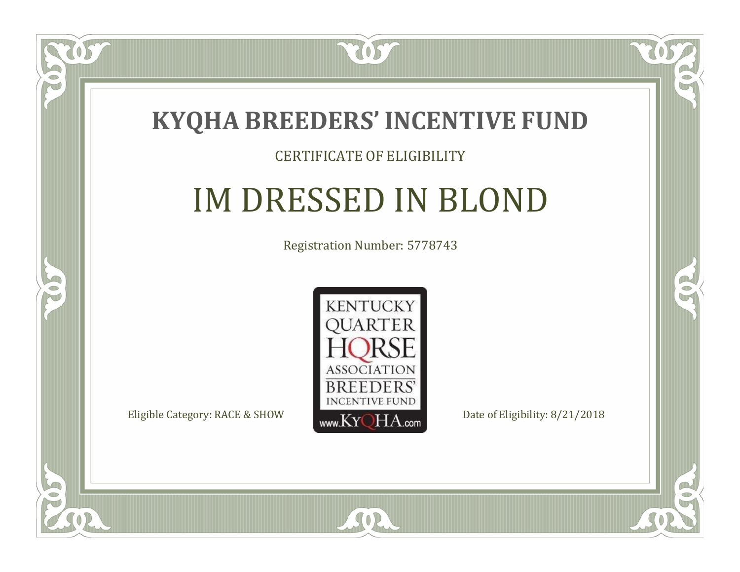

#### CERTIFICATE OF ELIGIBILITY

## IM DRESSED IN BLOND

Registration Number: 5778743



SOR

CO.

 $\rightarrow$ 

 $\delta S$ 

 $\Box$ NU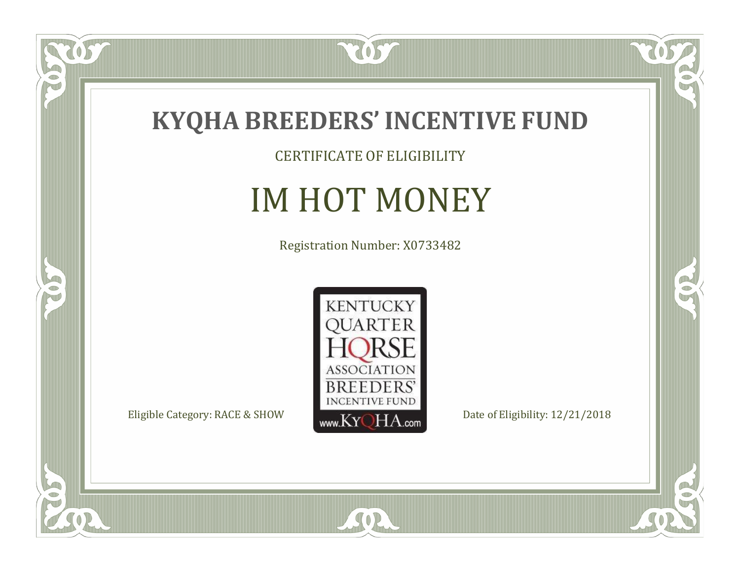

057

 $\bullet$ NU

5

CERTIFICATE OF ELIGIBILITY

## IM HOT MONEY

Registration Number: X0733482



SOR

 $\mathbb{R}$ 

 $\rightarrow$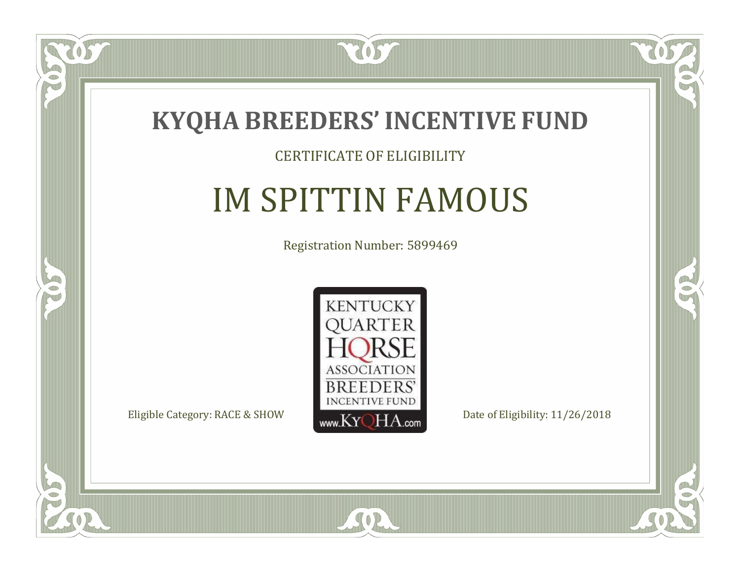

 $\delta S$ 

 $\Box$ NU

5

#### CERTIFICATE OF ELIGIBILITY

### IM SPITTIN FAMOUS

Registration Number: 5899469



SOR

CO.

 $\rightarrow$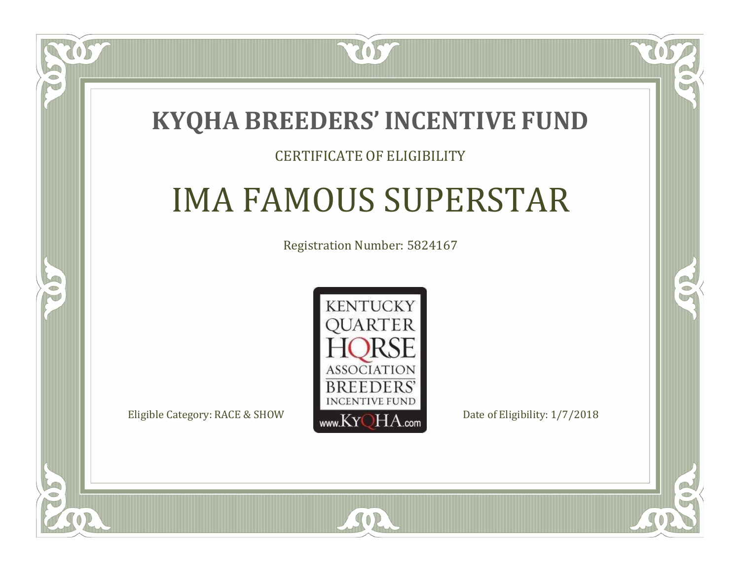### **KYQHA BREEDERS'INCENTIVE FUND**

2057

#### CERTIFICATE OF ELIGIBILITY

### IMA FAMOUS SUPERSTAR

Registration Number: 5824167



SOR

 $\mathbb{R}^2$ 

 $\rightarrow$ 

 $\Box$ T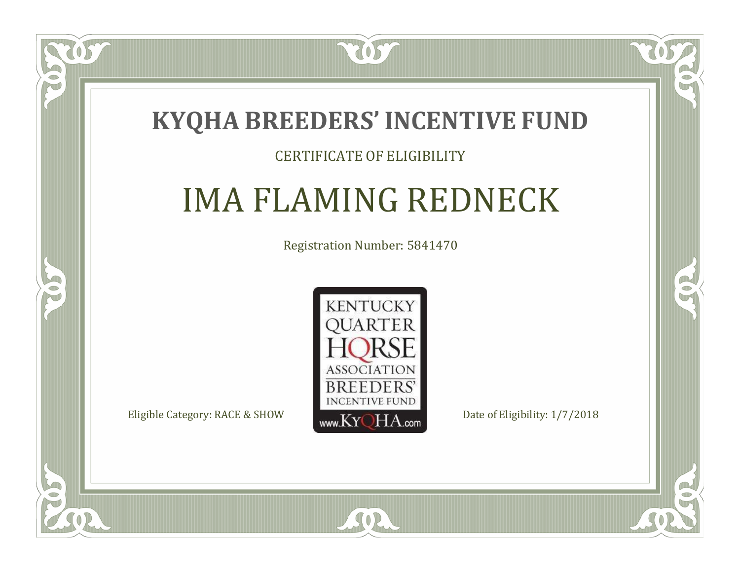

#### CERTIFICATE OF ELIGIBILITY

### IMA FLAMING REDNECK

Registration Number: 5841470



SOR

RO

B

 $\Box$ T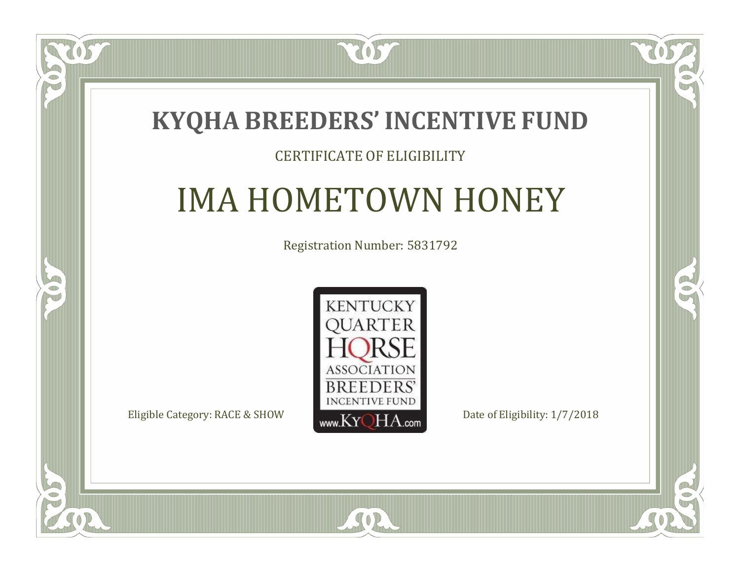### **KYQHA BREEDERS'INCENTIVE FUND**

7057

#### CERTIFICATE OF ELIGIBILITY

## IMA HOMETOWN HONEY

Registration Number: 5831792



SOR

CO.

 $\rightarrow$ 

 $\blacksquare$ N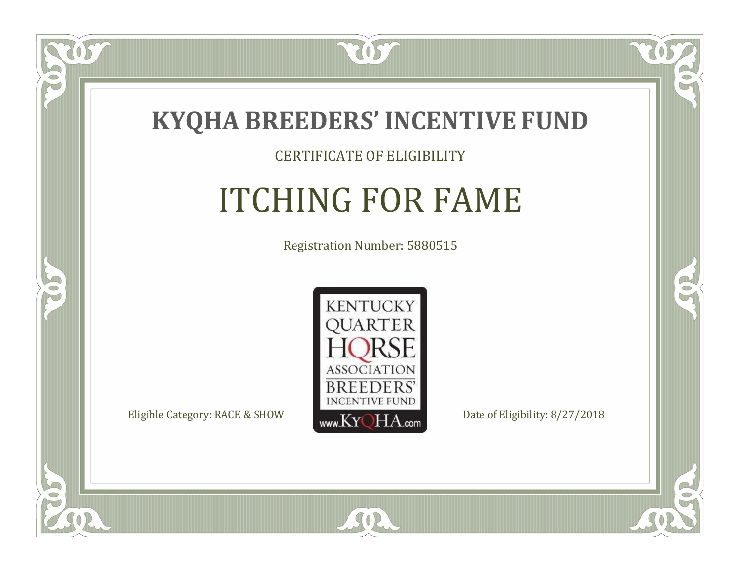

#### CERTIFICATE OF ELIGIBILITY

## ITCHING FOR FAME

Registration Number: 5880515



SOR

CO.

 $\rightarrow$ 

 $\Box$ N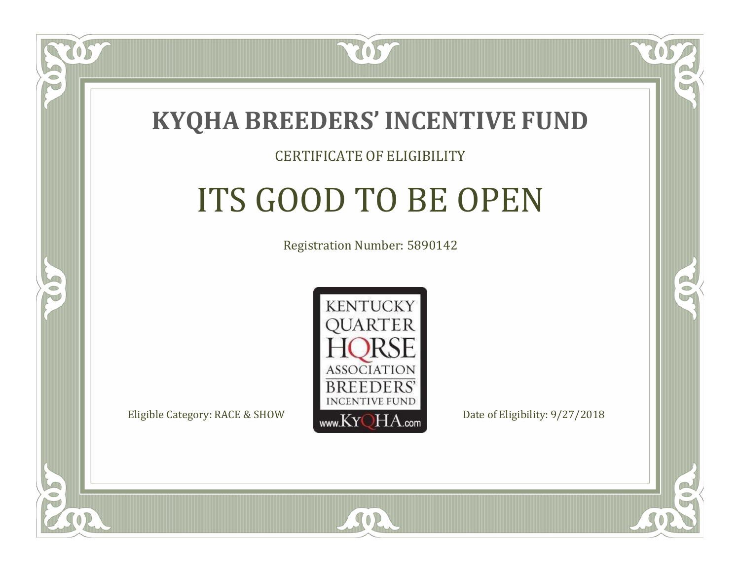

#### CERTIFICATE OF ELIGIBILITY

# ITS GOOD TO BE OPEN

Registration Number: 5890142



 $SO2$ 

RO

P.

 $\Box$ N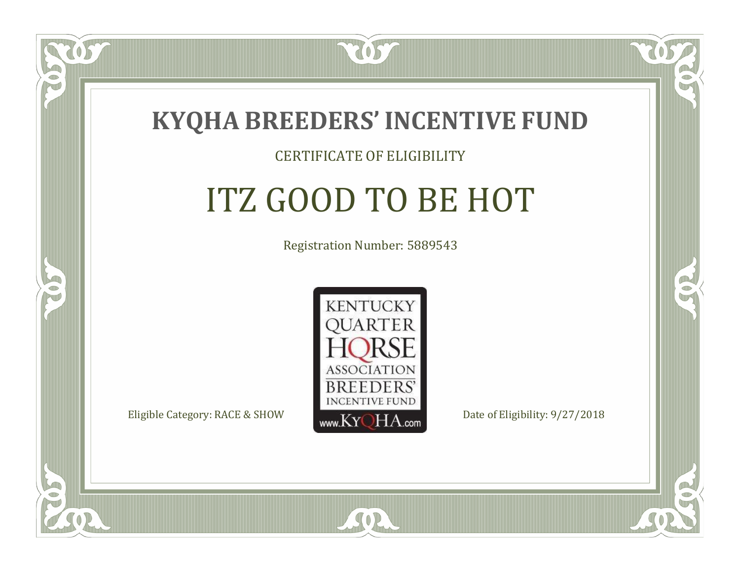

#### CERTIFICATE OF ELIGIBILITY

## ITZ GOOD TO BE HOT

Registration Number: 5889543



SOR

RO

CO.

 $\Box$ N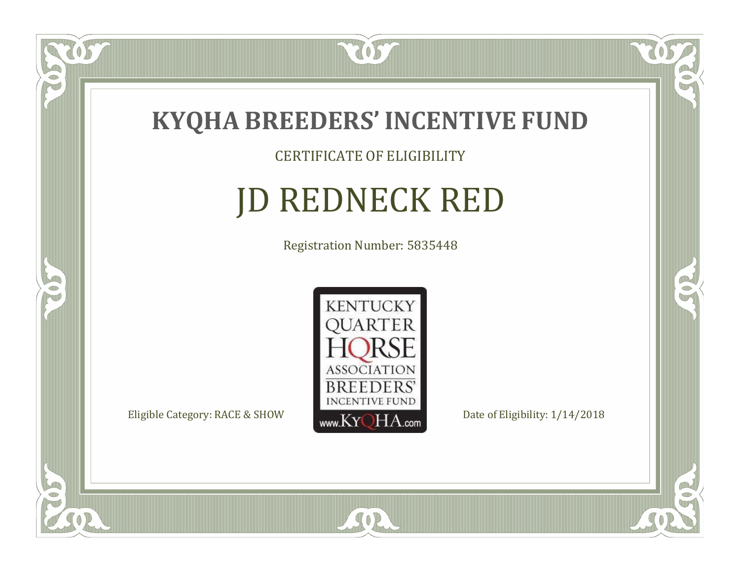

TOST

#### CERTIFICATE OF ELIGIBILITY

# JD REDNECK RED

Registration Number: 5835448



SOR

CO.

 $\rightarrow$ 

US

 $\Box$ NU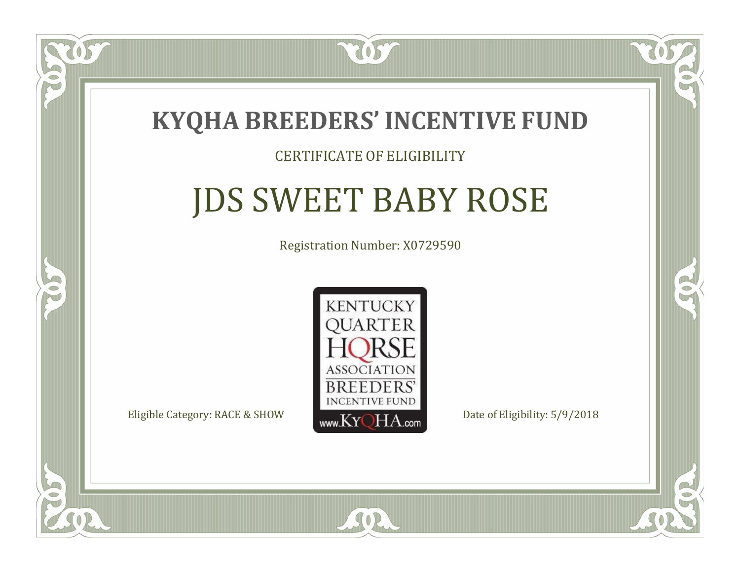

#### CERTIFICATE OF ELIGIBILITY

### JDS SWEET BABY ROSE

Registration Number: X0729590



 $SO2$ 

CO.

CO.

 $\Box$ N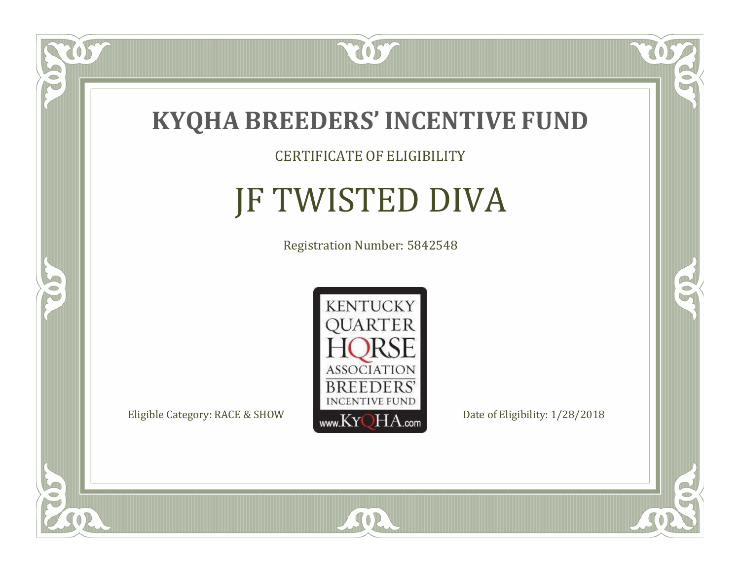

TOST

#### CERTIFICATE OF ELIGIBILITY

# JF TWISTED DIVA

Registration Number: 5842548



SOR

CO.

 $\rightarrow$ 

US

 $\Box$ NU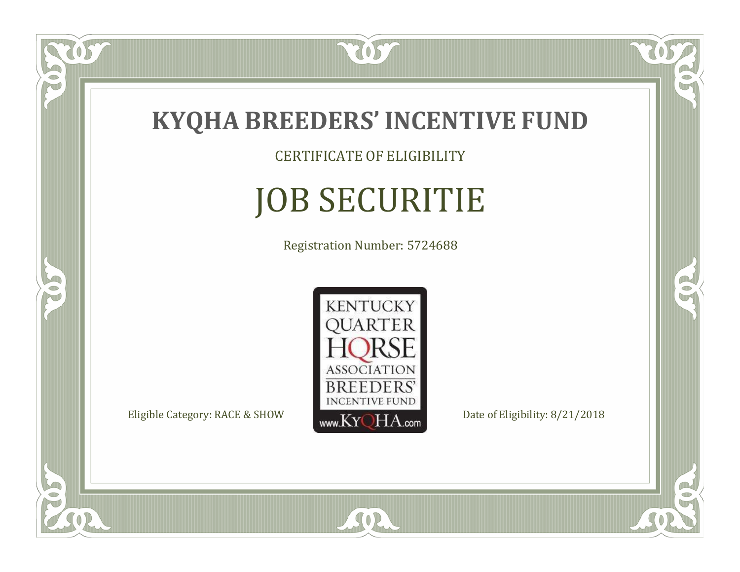

CERTIFICATE OF ELIGIBILITY

# JOB SECURITIE

Registration Number: 5724688



SOR

CO.

CO.

 $\overline{OS}$ 

 $\bullet$ N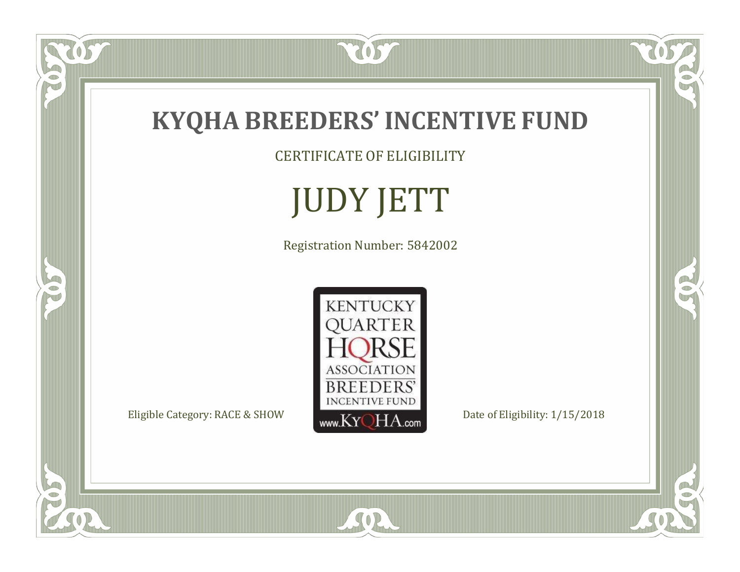

CERTIFICATE OF ELIGIBILITY

# JUDY JETT

Registration Number: 5842002



SOR

RO

 $\mathbb{R}^2$ 

US.

FO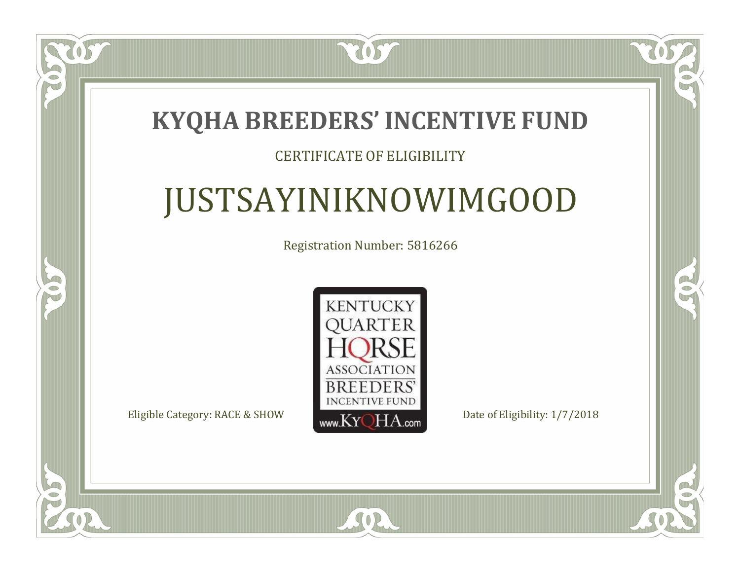### **KYQHA BREEDERS'INCENTIVE FUND**

2057

#### CERTIFICATE OF ELIGIBILITY

# JUSTSAYINIKNOWIMGOOD

Registration Number: 5816266



SOR

CO.

CO.

 $\Box$ N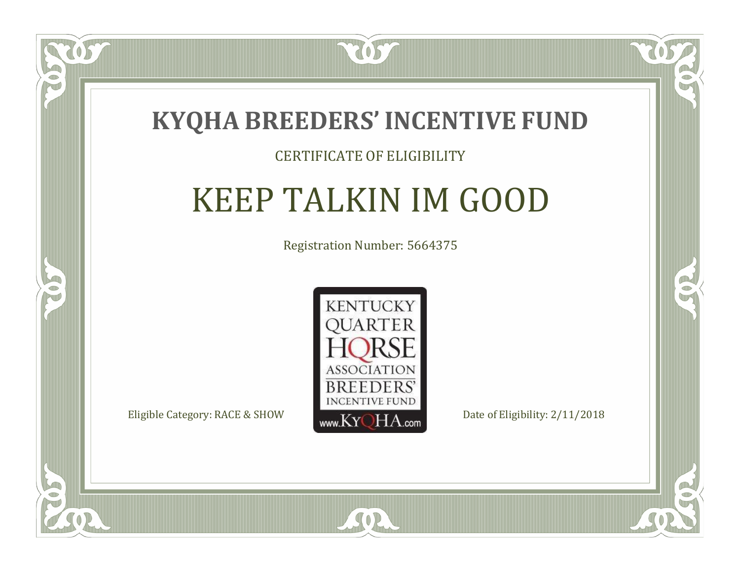

#### CERTIFICATE OF ELIGIBILITY

### KEEP TALKIN IM GOOD

Registration Number: 5664375



SOR

CO.

B

 $\delta S$ 

 $\blacksquare$ N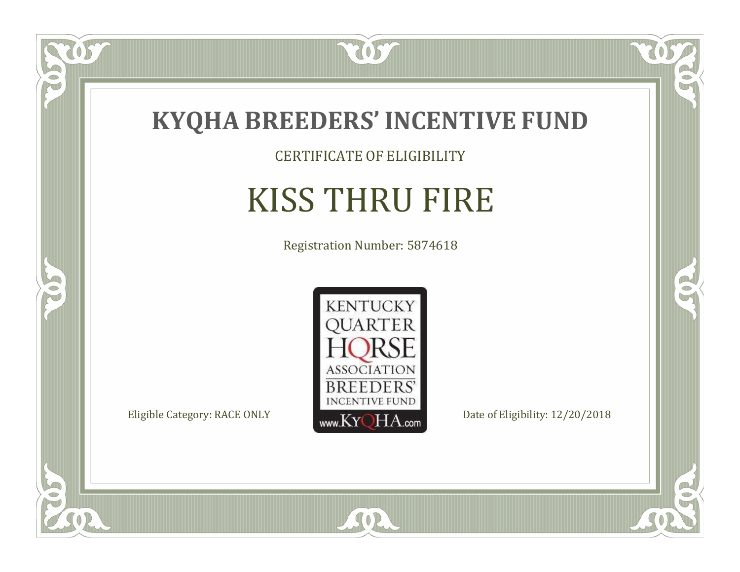

CERTIFICATE OF ELIGIBILITY

# KISS THRU FIRE

Registration Number: 5874618



SOR

 $\mathbb{R}$ 

 $\rightarrow$ 

OST

 $\bullet$ NU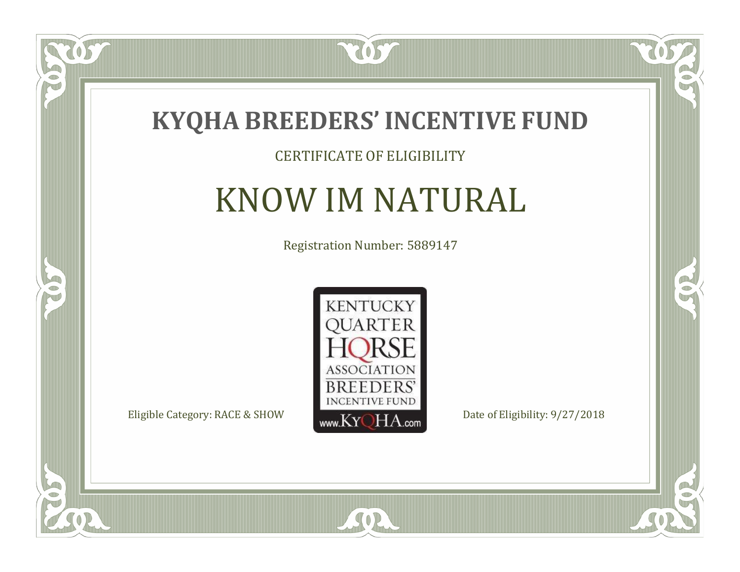

#### CERTIFICATE OF ELIGIBILITY

### KNOW IM NATURAL

Registration Number: 5889147



SOR

 $\mathbb{R}$ 

 $\rightarrow$ 

US

 $\bullet$ NU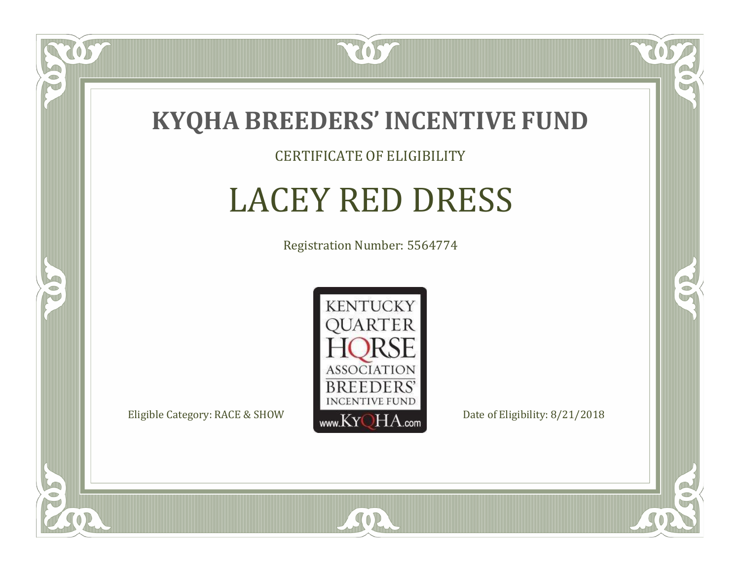

CERTIFICATE OF ELIGIBILITY

### LACEY RED DRESS

Registration Number: 5564774



SOR

CO.

 $\rightarrow$ 

 $\delta S$ 

 $\Box$ NU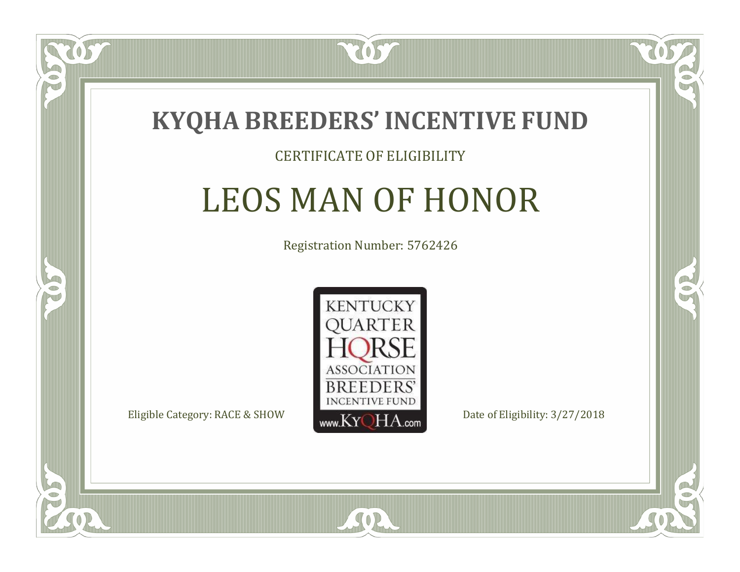

#### CERTIFICATE OF ELIGIBILITY

### LEOS MAN OF HONOR

Registration Number: 5762426



 $SO2$ 

RO

CO.

 $\Box$ N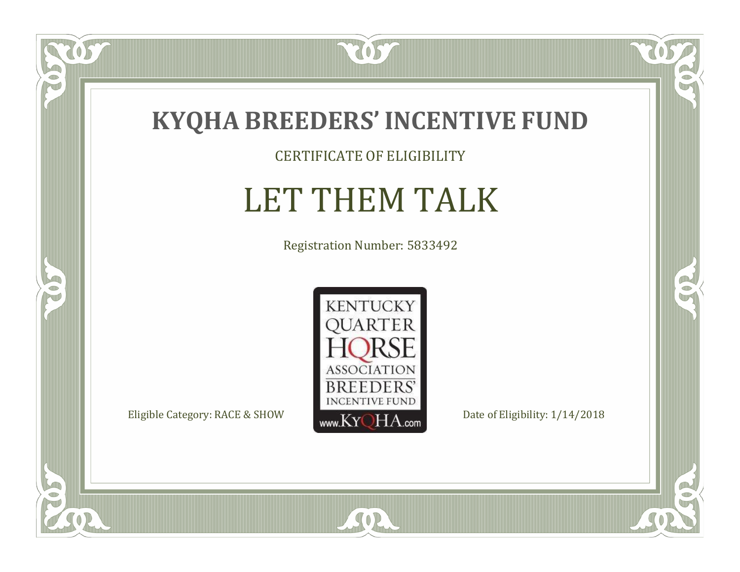

#### CERTIFICATE OF ELIGIBILITY

# LET THEM TALK

Registration Number: 5833492



SOR

 $\mathbb{R}$ 

 $\mathbb{R}^2$ 

OS.

 $\bullet$ N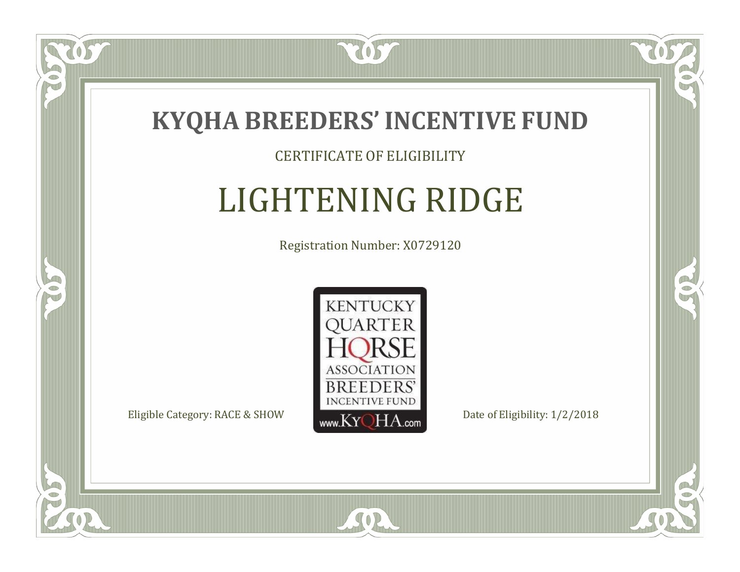

#### CERTIFICATE OF ELIGIBILITY

## LIGHTENING RIDGE

Registration Number: X0729120



SOR

RO

B

 $\Box$ N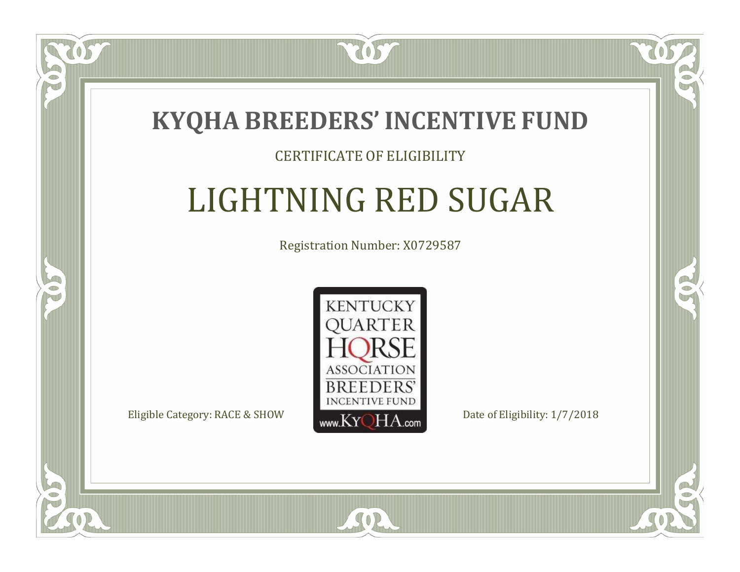

#### CERTIFICATE OF ELIGIBILITY

## LIGHTNING RED SUGAR

Registration Number: X0729587



SOR

RO

B

 $\Box$ N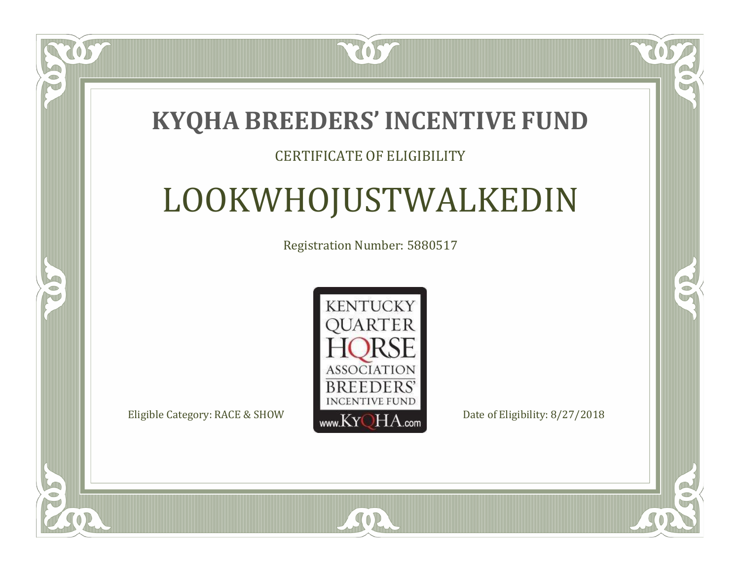### **KYQHA BREEDERS'INCENTIVE FUND**

7057

#### CERTIFICATE OF ELIGIBILITY

# LOOKWHOJUSTWALKEDIN

Registration Number: 5880517



 $SO<sub>2</sub>$ 

 $\mathbb{R}$ 

CO.

 $\Box$ N

S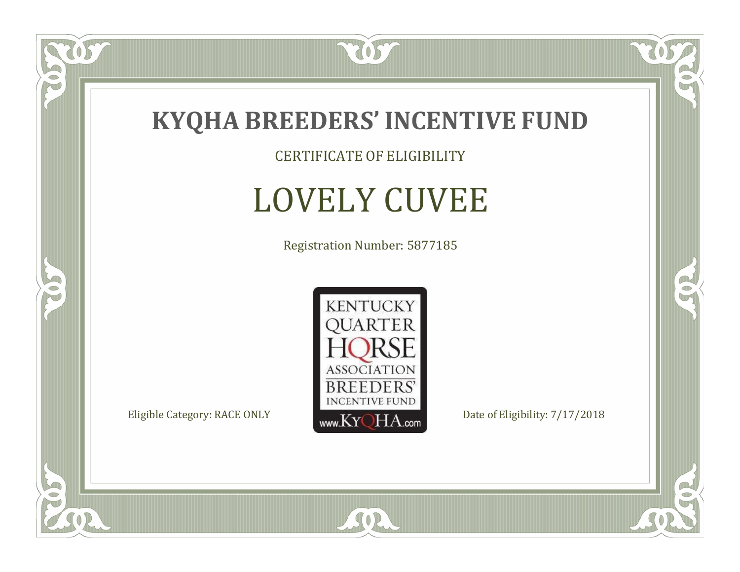

CERTIFICATE OF ELIGIBILITY

# LOVELY CUVEE

Registration Number: 5877185



SOR

 $\mathbb{R}$ 

 $\rightarrow$ 

US

 $\bullet$ N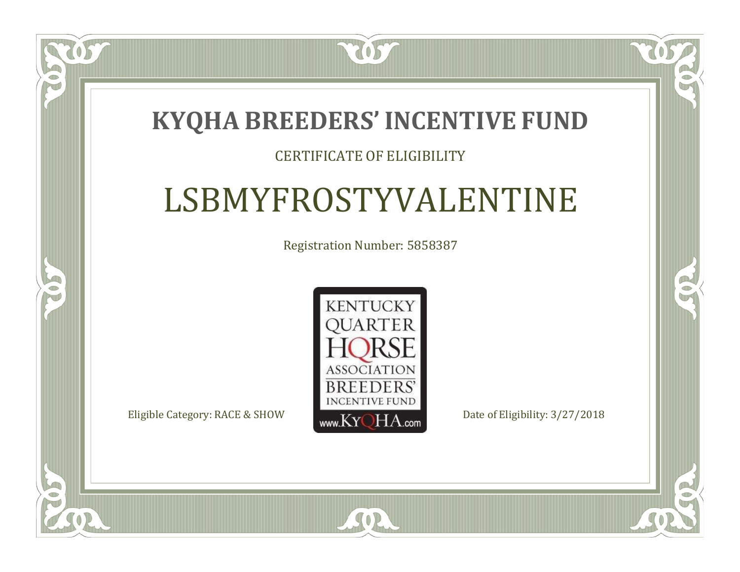### **KYQHA BREEDERS'INCENTIVE FUND**

7057

#### CERTIFICATE OF ELIGIBILITY

# LSBMYFROSTYVALENTINE

Registration Number: 5858387



SOR

CO.

 $\rightarrow$ 

 $\Box$ N

S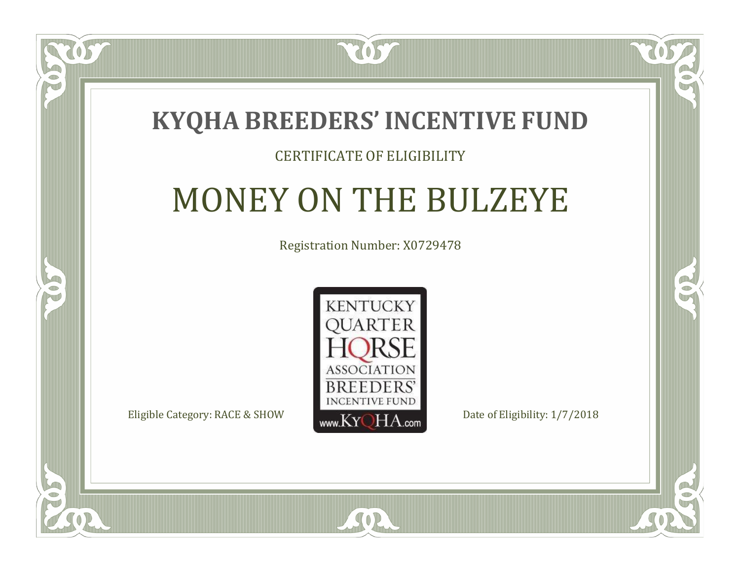

 $\Box$ N

S

#### CERTIFICATE OF ELIGIBILITY

# MONEY ON THE BULZEYE

Registration Number: X0729478



SOR

CO.

 $\rightarrow$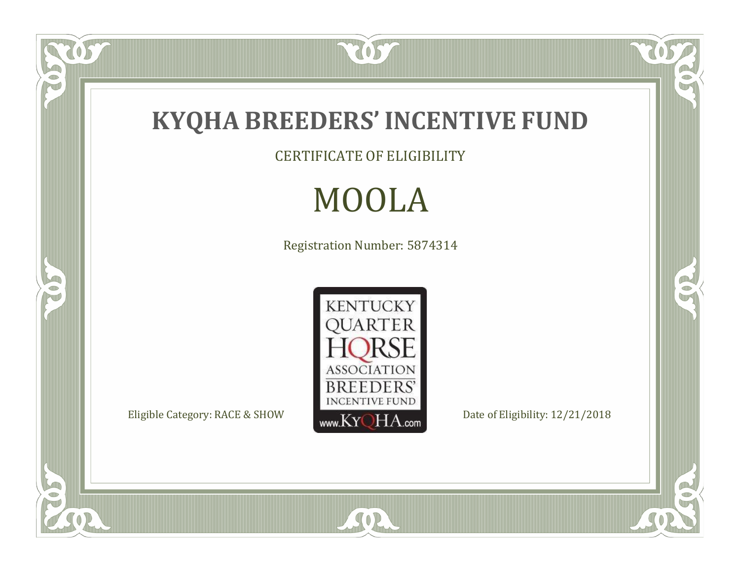

US.

P

5

CERTIFICATE OF ELIGIBILITY

# MOOLA

Registration Number: 5874314



SOR

 $\mathbb{R}$ 

 $\mathbb{R}^2$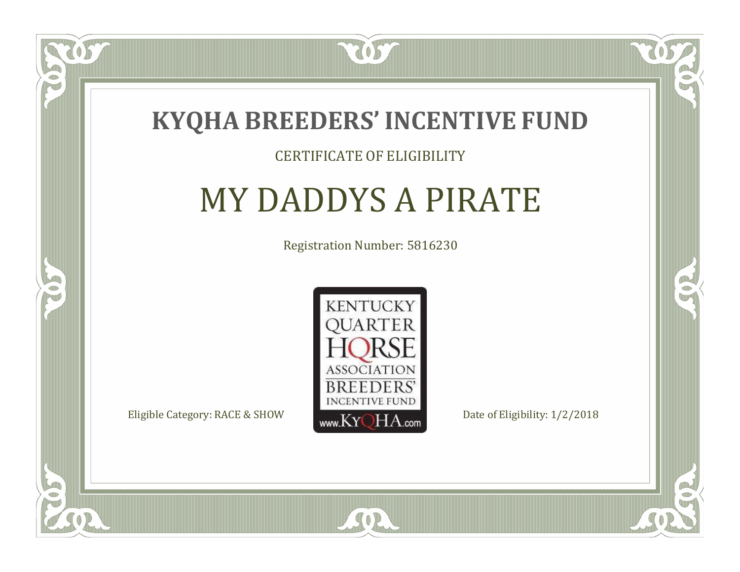

#### CERTIFICATE OF ELIGIBILITY

# MY DADDYS A PIRATE

Registration Number: 5816230



SOR

CO.

 $\rightarrow$ 

 $\Box$ N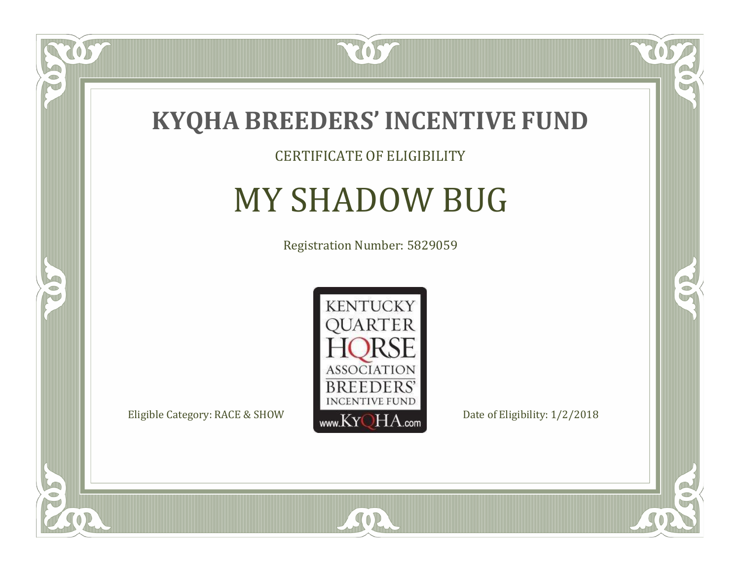

#### CERTIFICATE OF ELIGIBILITY

# MY SHADOW BUG

Registration Number: 5829059



SOR

 $\mathbb{R}$ 

 $\rightarrow$ 

057

 $\bullet$ NU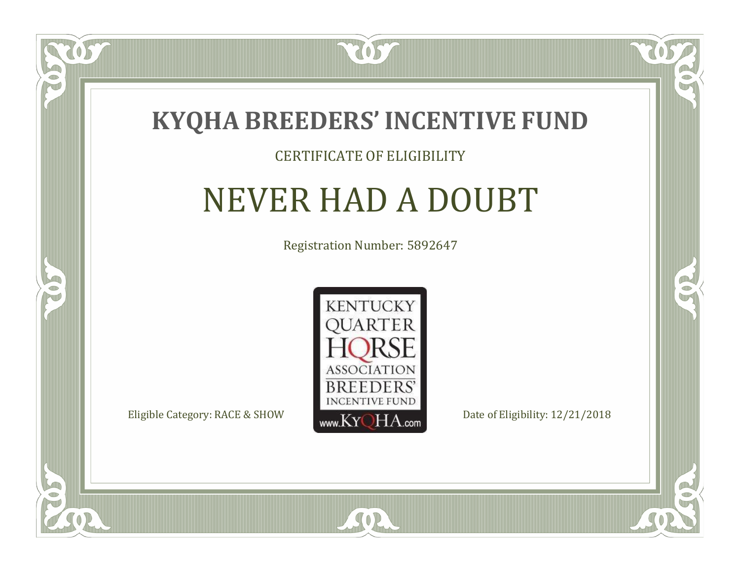

#### CERTIFICATE OF ELIGIBILITY

# NEVER HAD A DOUBT

Registration Number: 5892647



SOR

CO.

 $\rightarrow$ 

 $\Box$ N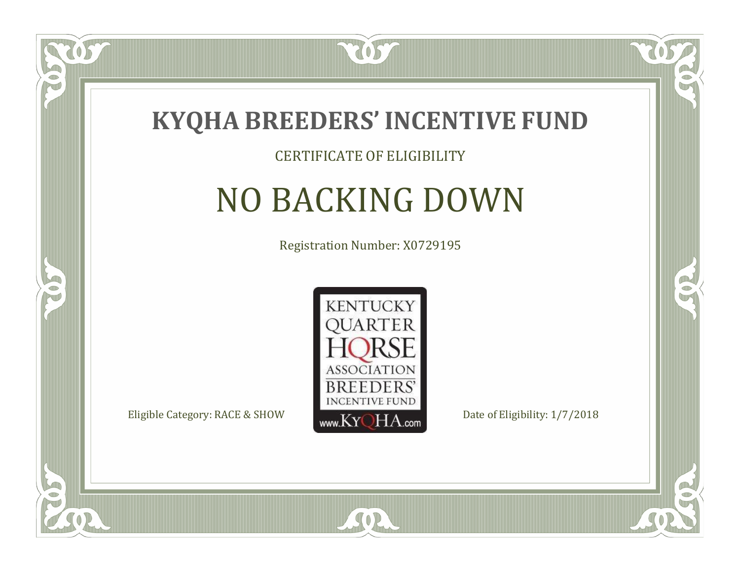

#### CERTIFICATE OF ELIGIBILITY

# NO BACKING DOWN

Registration Number: X0729195



 $SO2$ 

CO.

B

 $\Box$ NU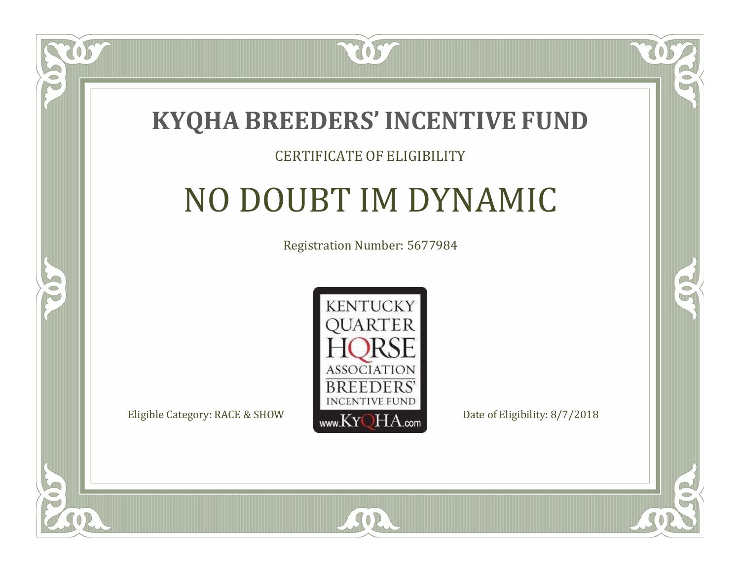

#### CERTIFICATE OF ELIGIBILITY

# NO DOUBT IM DYNAMIC

Registration Number: 5677984



SOR

CO.

 $\rightarrow$ 

 $\blacksquare$ N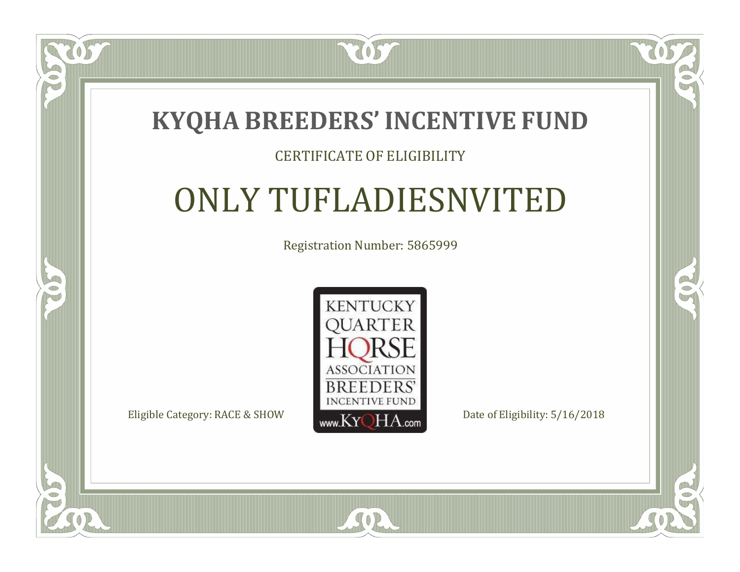

#### CERTIFICATE OF ELIGIBILITY

# ONLY TUFLADIESNVITED

Registration Number: 5865999



SOR

 $\mathbb{R}$ 

R

 $\bullet$ N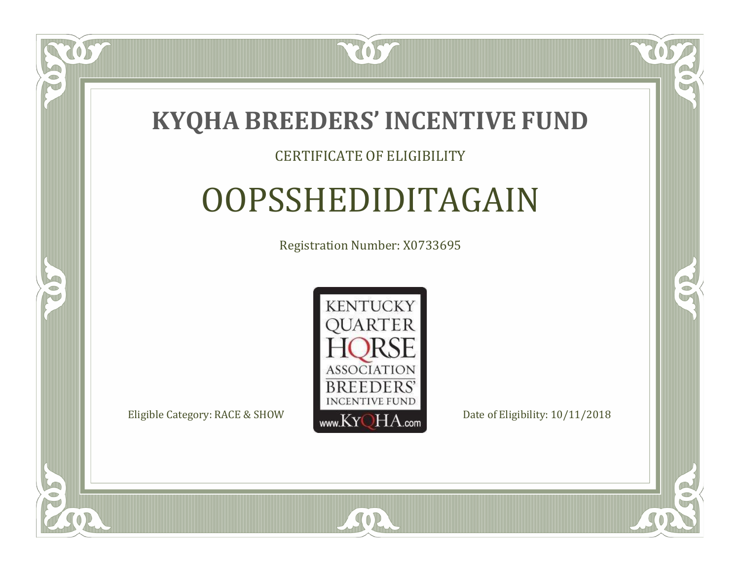

#### CERTIFICATE OF ELIGIBILITY

# OOPSSHEDIDITAGAIN

Registration Number: X0733695



SOR

RO

 $\rightarrow$ 

 $\Box$ N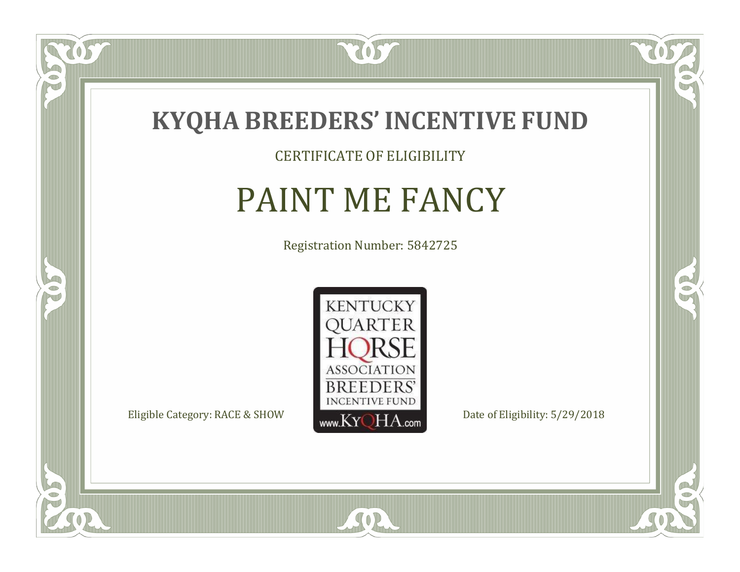

CERTIFICATE OF ELIGIBILITY

# PAINT ME FANCY

Registration Number: 5842725



SOR

CO.

 $\rightarrow$ 

US

 $\bullet$ NU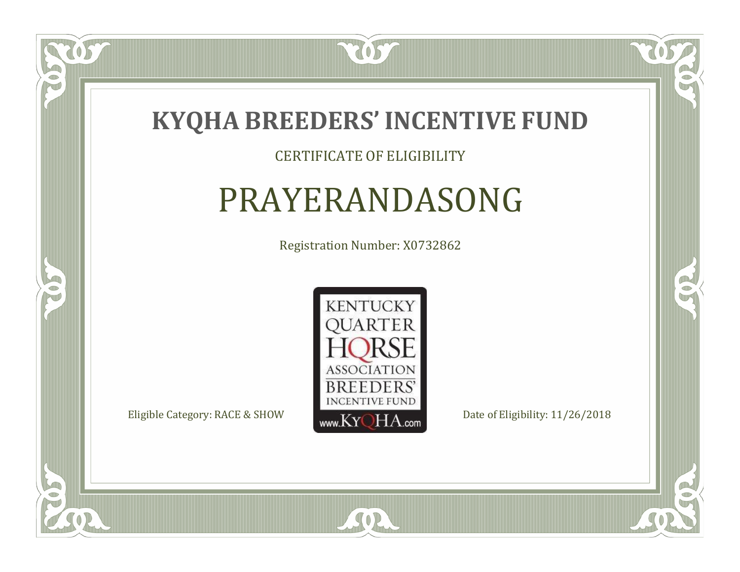

#### CERTIFICATE OF ELIGIBILITY

### PRAYERANDASONG

Registration Number: X0732862



SOR

CO.

 $\rightarrow$ 

US

 $\blacksquare$ T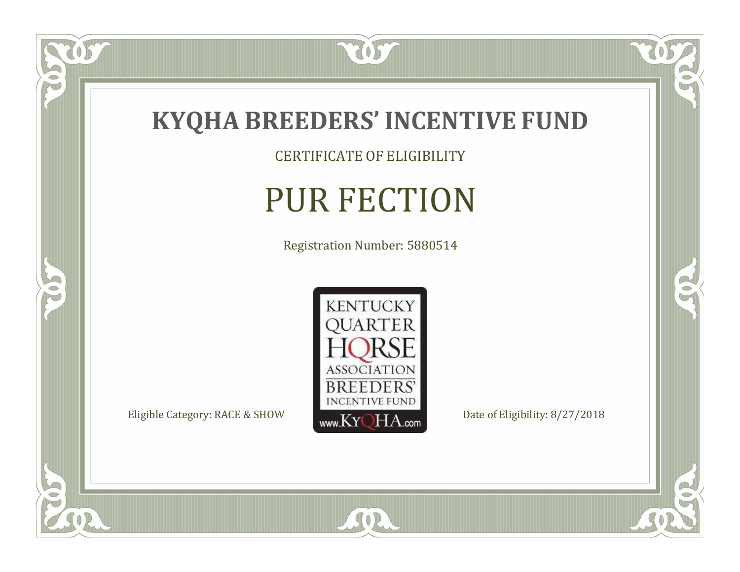

CERTIFICATE OF ELIGIBILITY

# PUR FECTION

Registration Number: 5880514



SOR

 $\mathbb{R}$ 

CO.

 $\overline{OS}$ 

 $\bullet$ N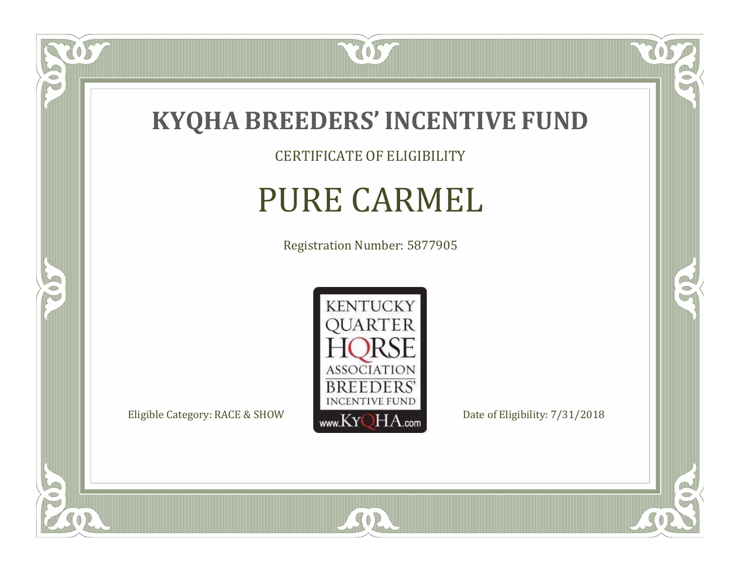

CERTIFICATE OF ELIGIBILITY

## PURE CARMEL

Registration Number: 5877905



SOR

 $\mathbb{R}$ 

 $\rightarrow$ 

057

 $\bullet$ N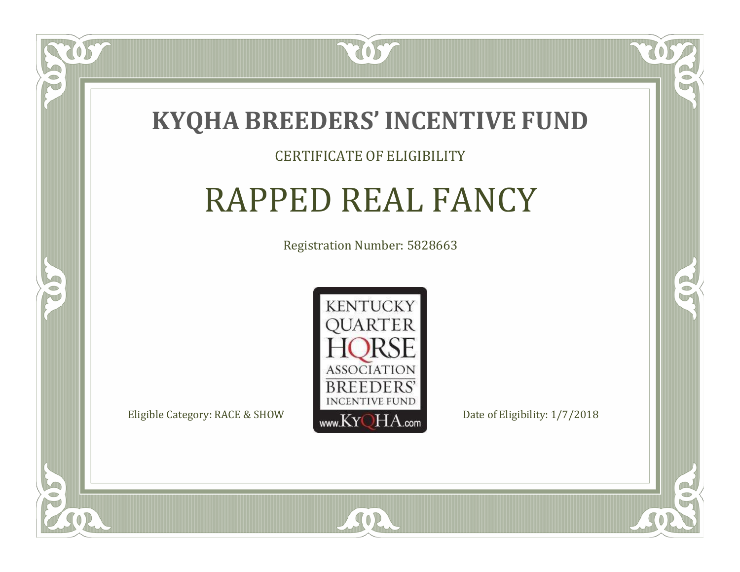

#### CERTIFICATE OF ELIGIBILITY

# RAPPED REAL FANCY

Registration Number: 5828663



SOR

RO

B

 $\blacksquare$ N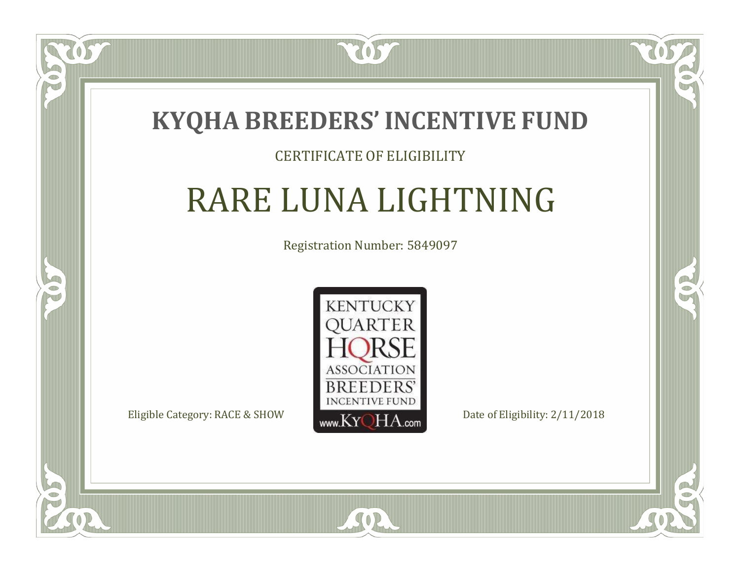

#### CERTIFICATE OF ELIGIBILITY

# RARE LUNA LIGHTNING

Registration Number: 5849097



 $SO2$ 

CO.

 $\rightarrow$ 

 $\blacksquare$ N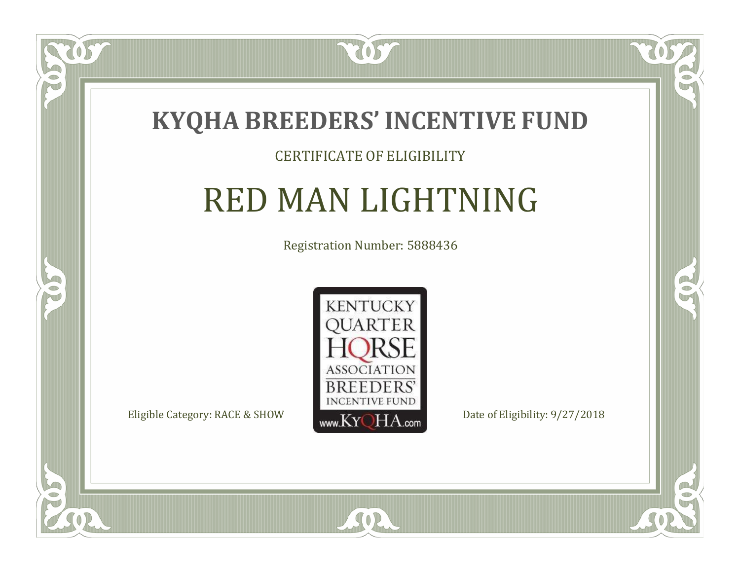

#### CERTIFICATE OF ELIGIBILITY

### RED MAN LIGHTNING

Registration Number: 5888436



 $SO2$ 

CO.

B

OS

 $\Box$ NU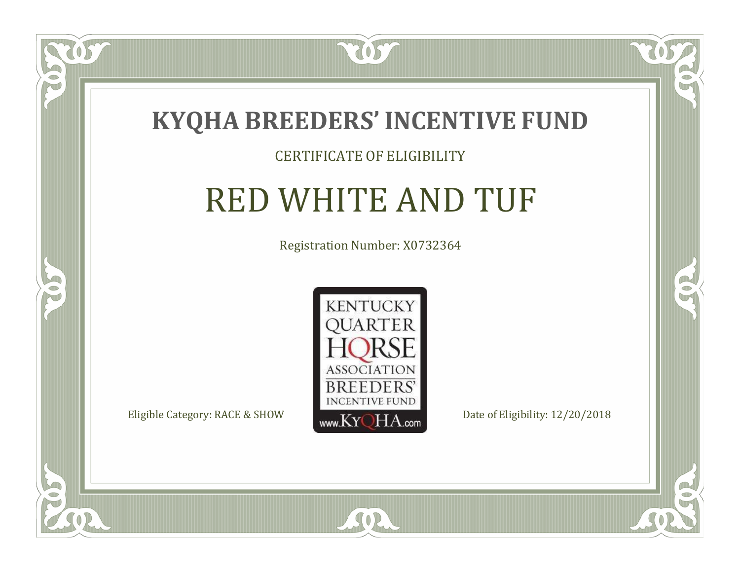

#### CERTIFICATE OF ELIGIBILITY

## RED WHITE AND TUF

Registration Number: X0732364



SOR

CO.

 $\rightarrow$ 

 $\blacksquare$ NU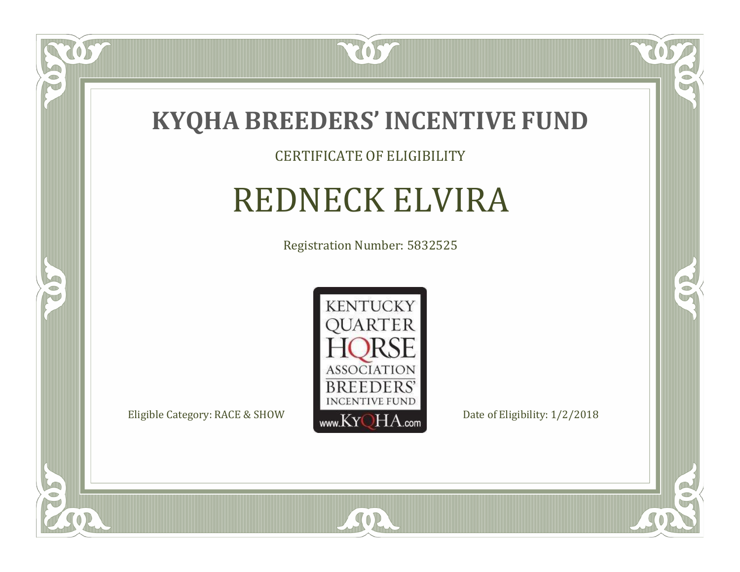

#### CERTIFICATE OF ELIGIBILITY

# REDNECK ELVIRA

Registration Number: 5832525



 $\mathbb{R}$ 

 $\rightarrow$ 

 $\overline{OS}$ 

 $\bullet$ NU

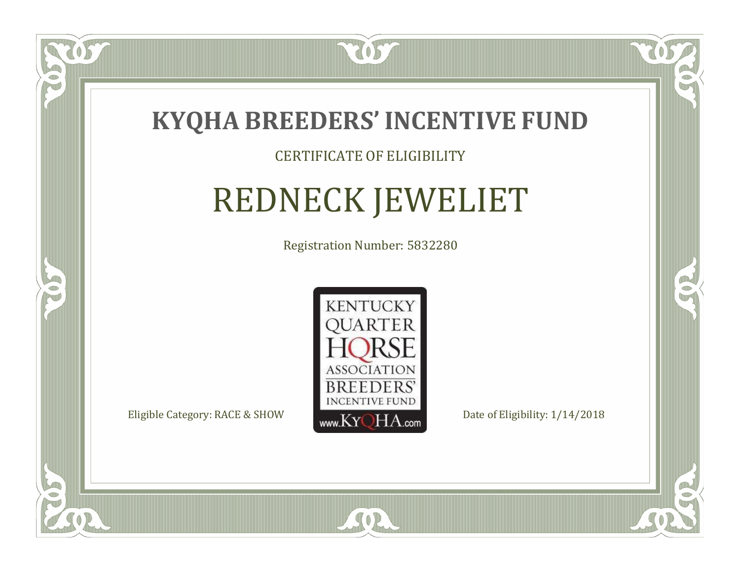

#### CERTIFICATE OF ELIGIBILITY

# REDNECK JEWELIET

Registration Number: 5832280



 $SO<sub>2</sub>$ 

RO

CO.

 $\Box$ N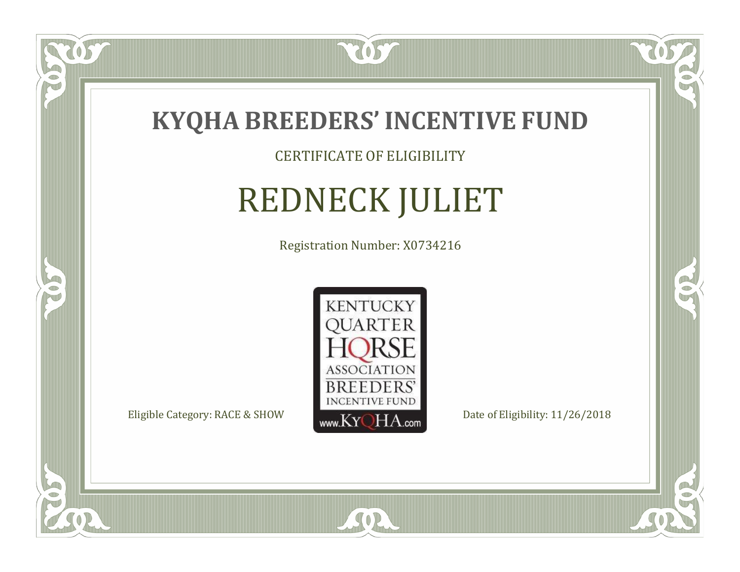

CERTIFICATE OF ELIGIBILITY

# REDNECK JULIET

Registration Number: X0734216



SOR

RO

B

 $\Box$ N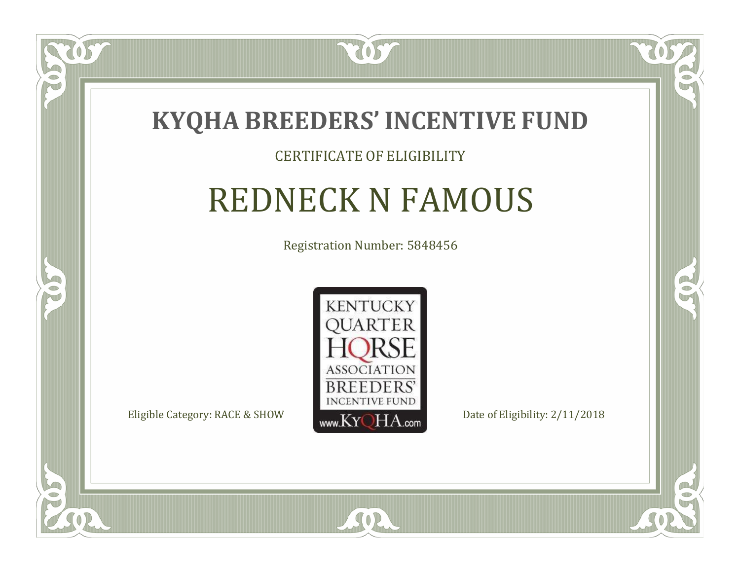

#### CERTIFICATE OF ELIGIBILITY

## REDNECK N FAMOUS

Registration Number: 5848456



SOR

CO.

B

US

 $\Box$ NU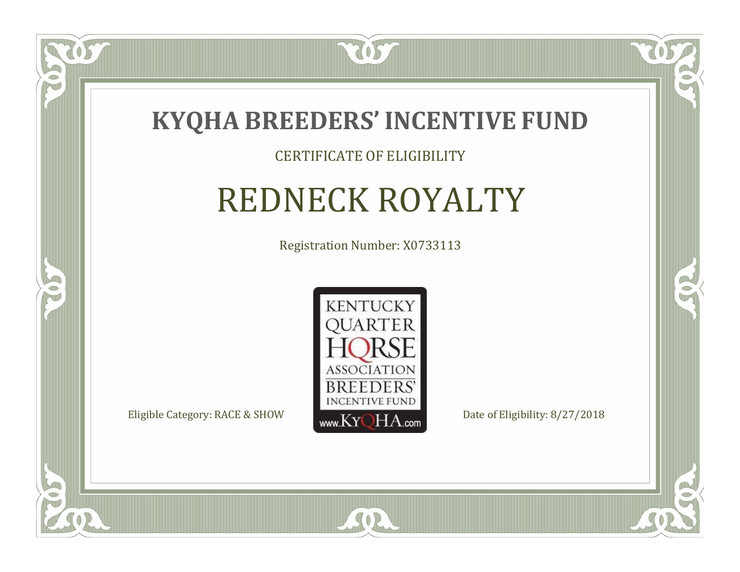

#### CERTIFICATE OF ELIGIBILITY

# REDNECK ROYALTY

Registration Number: X0733113



 $SO2$ 

CO.

 $\rightarrow$ 

US

 $\Box$ N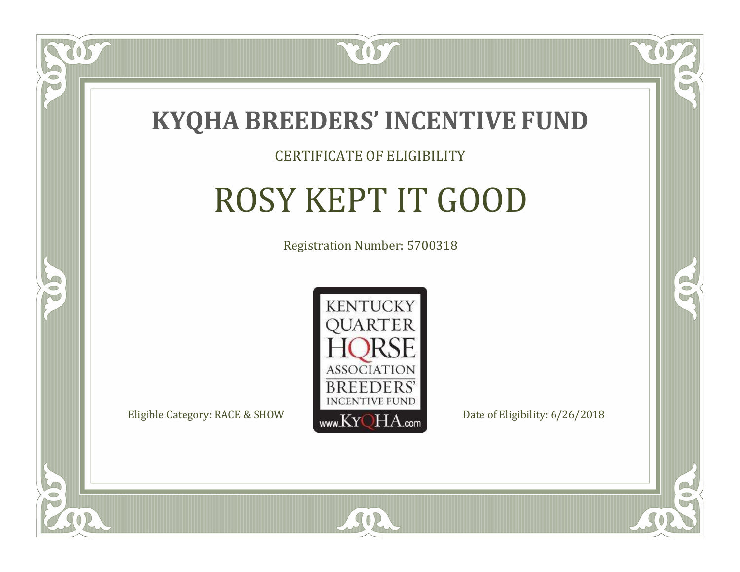

#### CERTIFICATE OF ELIGIBILITY

# ROSY KEPT IT GOOD

Registration Number: 5700318



SOR

CO.

B

 $\blacksquare$ N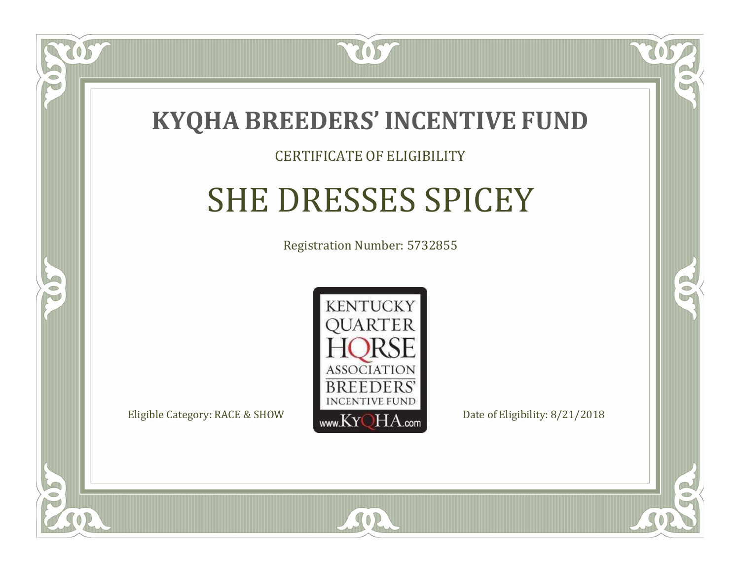

 $\Box$ N

S

#### CERTIFICATE OF ELIGIBILITY

# SHE DRESSES SPICEY

Registration Number: 5732855



 $SO<sub>2</sub>$ 

RO

P.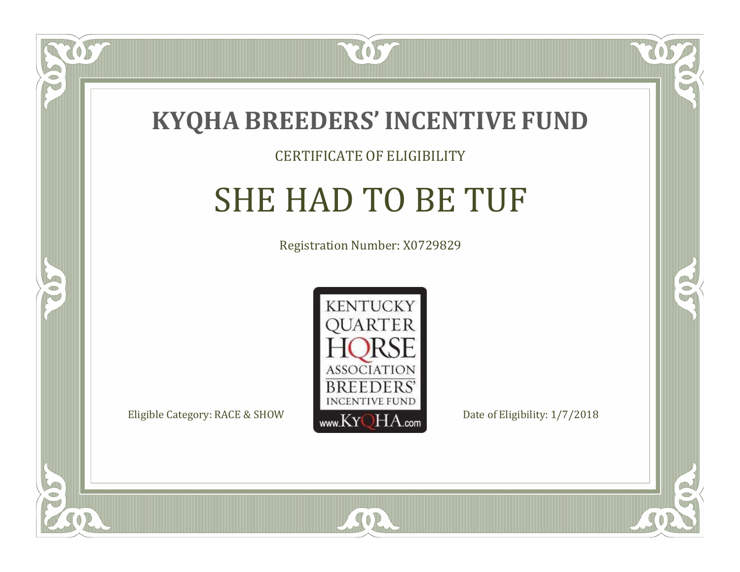

#### CERTIFICATE OF ELIGIBILITY

# SHE HAD TO BE TUF

Registration Number: X0729829



SOR

RO

B

 $\Box$ N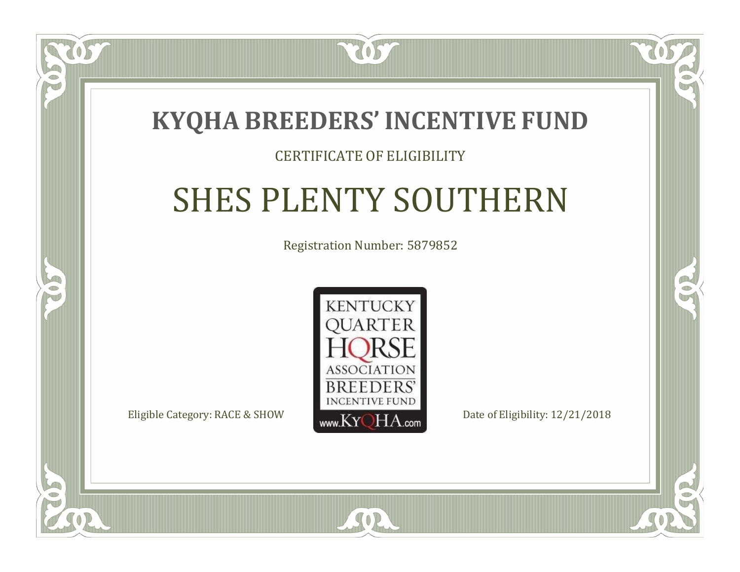

#### CERTIFICATE OF ELIGIBILITY

# SHES PLENTY SOUTHERN

Registration Number: 5879852



SOR

 $\mathbb{R}^2$ 

 $\rightarrow$ 

 $\Box$ N

S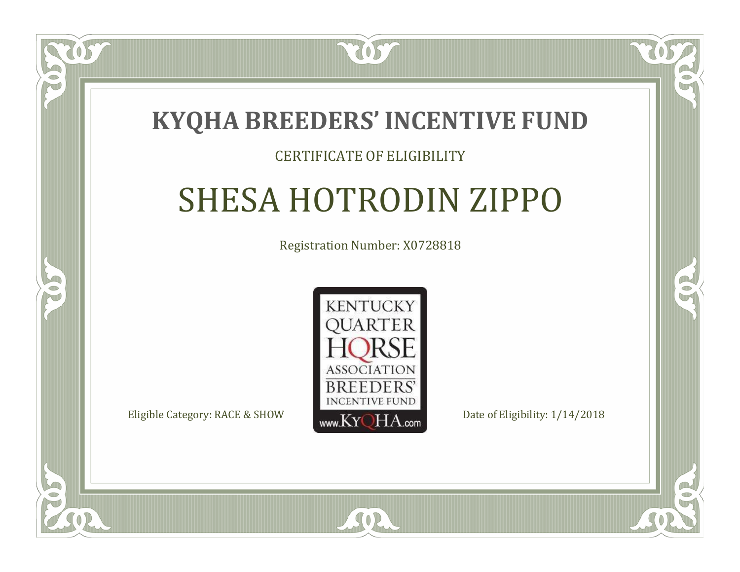

#### CERTIFICATE OF ELIGIBILITY

# SHESA HOTRODIN ZIPPO

Registration Number: X0728818



SOR

RO

B

 $\Box$ T

S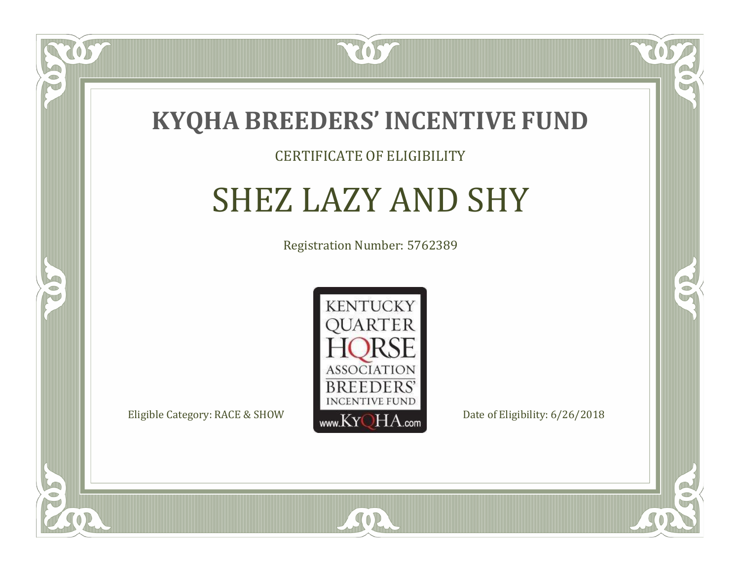

 $\Box$ N

5

#### CERTIFICATE OF ELIGIBILITY

## SHEZ LAZY AND SHY

Registration Number: 5762389



SOR

RO

 $\rightarrow$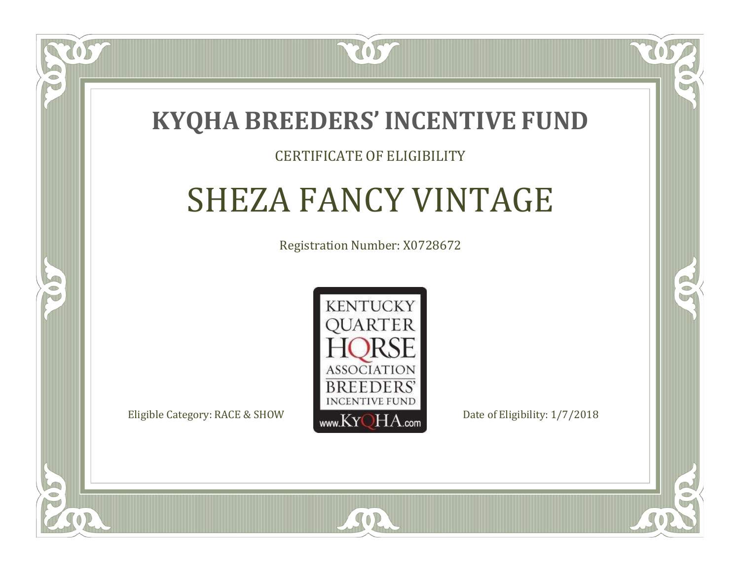

#### CERTIFICATE OF ELIGIBILITY

# SHEZA FANCY VINTAGE

Registration Number: X0728672



SOR

RO

 $\rightarrow$ 

 $\Box$ T

S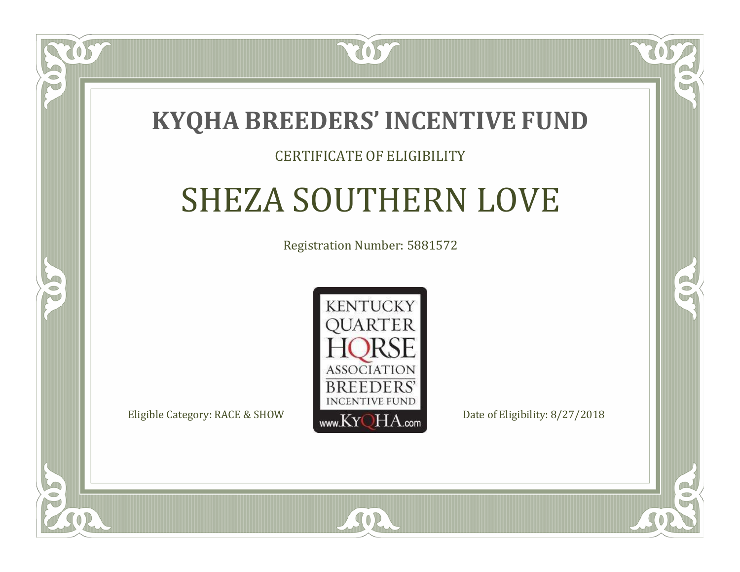### **KYQHA BREEDERS'INCENTIVE FUND**

7057

#### CERTIFICATE OF ELIGIBILITY

# SHEZA SOUTHERN LOVE

Registration Number: 5881572



SOR

 $\mathbb{R}^2$ 

B

 $\blacksquare$ N

S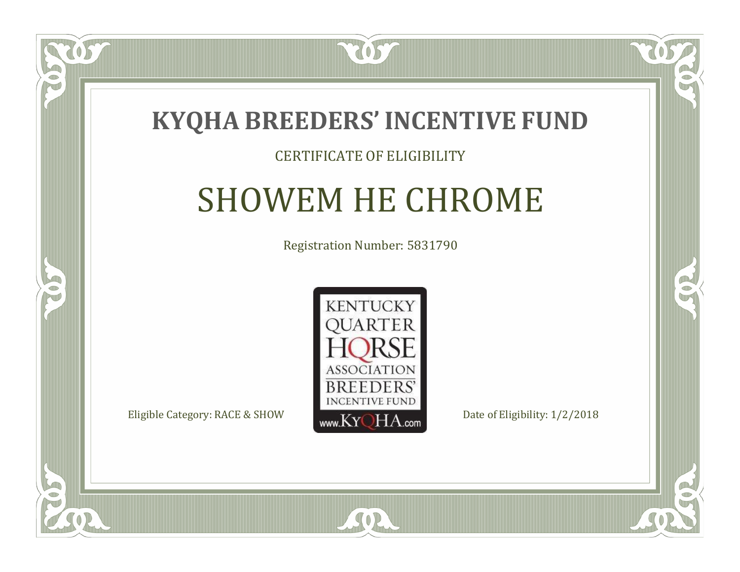

#### CERTIFICATE OF ELIGIBILITY

## SHOWEM HE CHROME

Registration Number: 5831790



SOR

CO.

 $\rightarrow$ 

 $\Box$ N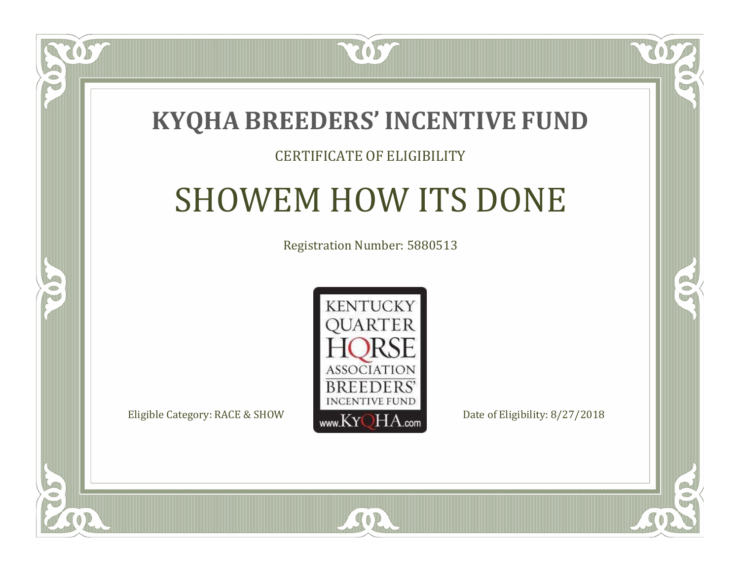

 $\Box$ N

S

#### CERTIFICATE OF ELIGIBILITY

# SHOWEM HOW ITS DONE

Registration Number: 5880513



SOR

CO.

 $\rightarrow$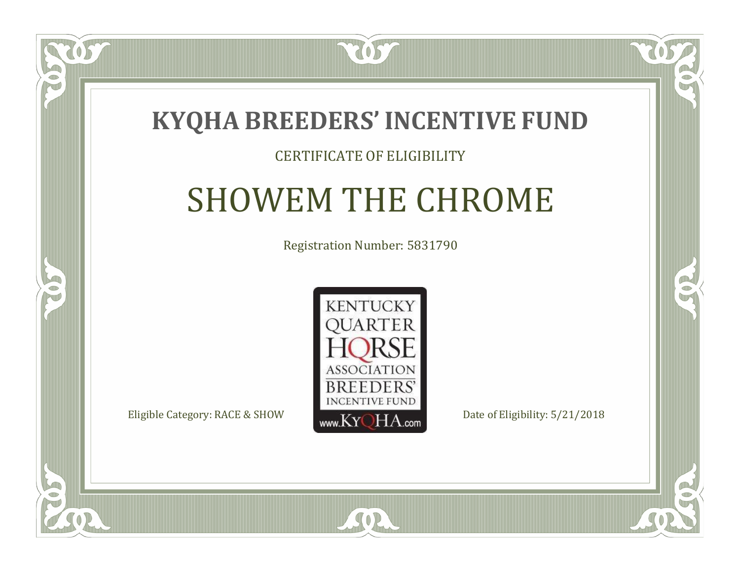

#### CERTIFICATE OF ELIGIBILITY

# SHOWEM THE CHROME

Registration Number: 5831790



 $SO2$ 

CO.

 $\rightarrow$ 

 $\blacksquare$ N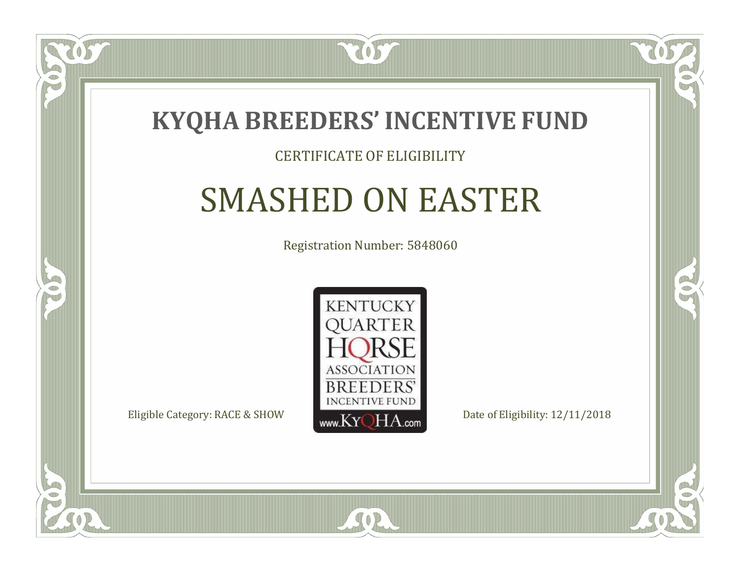

#### CERTIFICATE OF ELIGIBILITY

### SMASHED ON EASTER

Registration Number: 5848060



SOR

RO

B

 $\Box$ N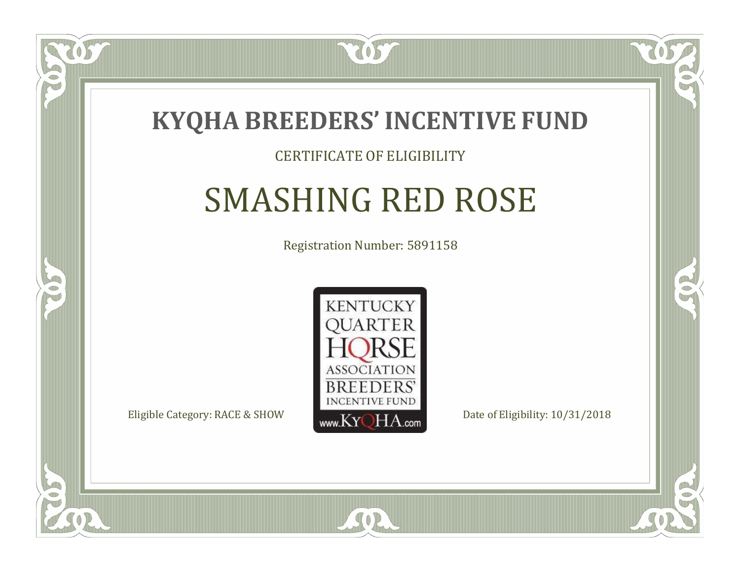

### CERTIFICATE OF ELIGIBILITY

# SMASHING RED ROSE

Registration Number: 5891158



 $SO<sub>2</sub>$ 

RO

P.

 $\Box$ T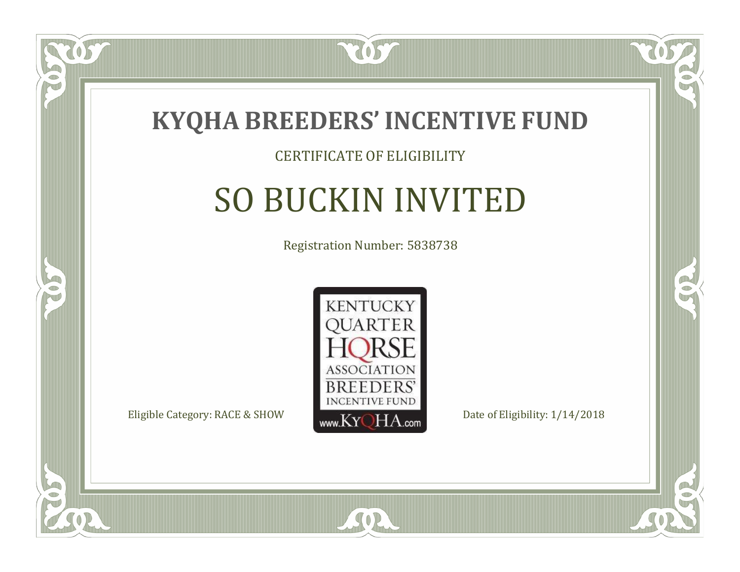

#### CERTIFICATE OF ELIGIBILITY

# SO BUCKIN INVITED

Registration Number: 5838738



SOR

CO.

B

 $\Box$ NU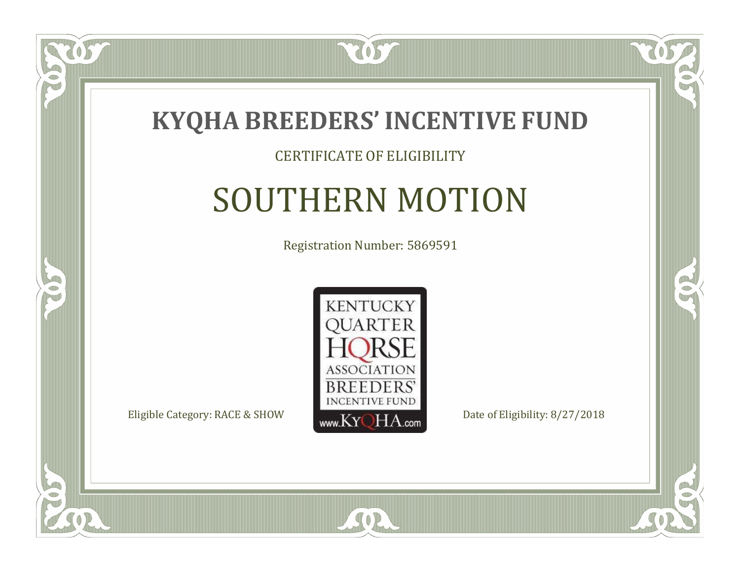

#### CERTIFICATE OF ELIGIBILITY

## SOUTHERN MOTION

Registration Number: 5869591



 $SO2$ 

CO.

 $\rightarrow$ 

US

 $\Box$ NU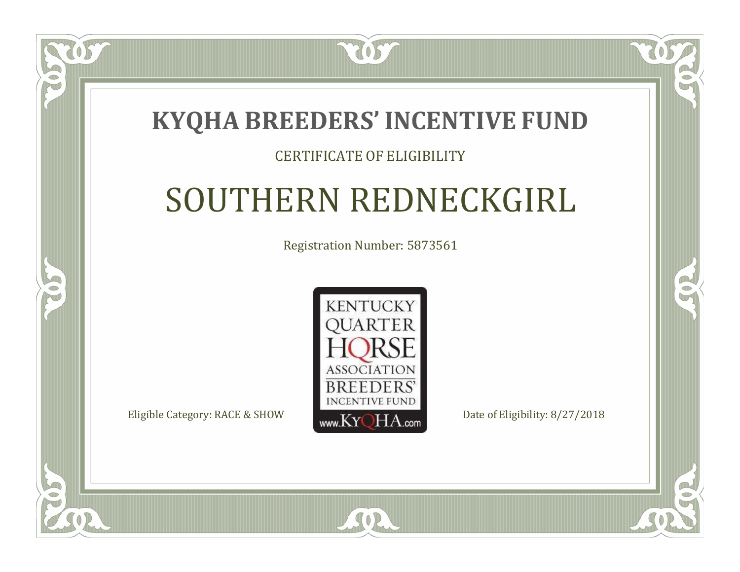### **KYQHA BREEDERS'INCENTIVE FUND**

7057

### CERTIFICATE OF ELIGIBILITY

# SOUTHERN REDNECKGIRL

Registration Number: 5873561



SOR

RO

CO.

 $\Box$ N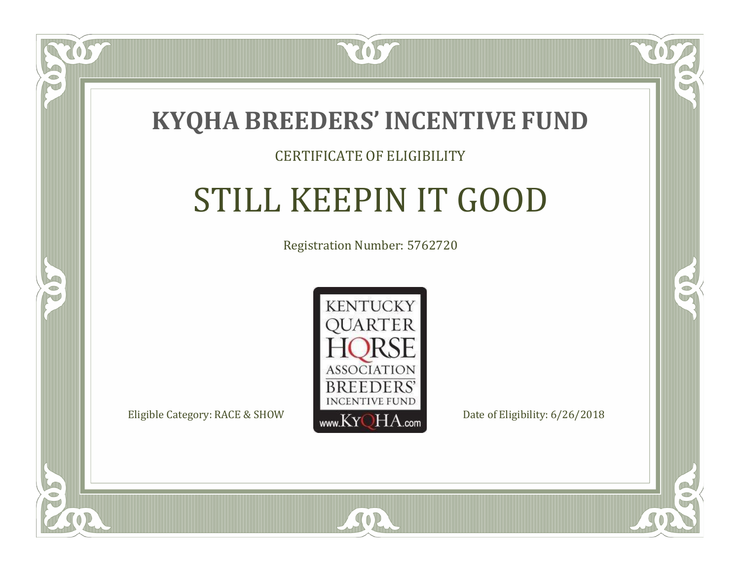

#### CERTIFICATE OF ELIGIBILITY

# STILL KEEPIN IT GOOD

Registration Number: 5762720



SOR

RO

B

 $\blacksquare$ N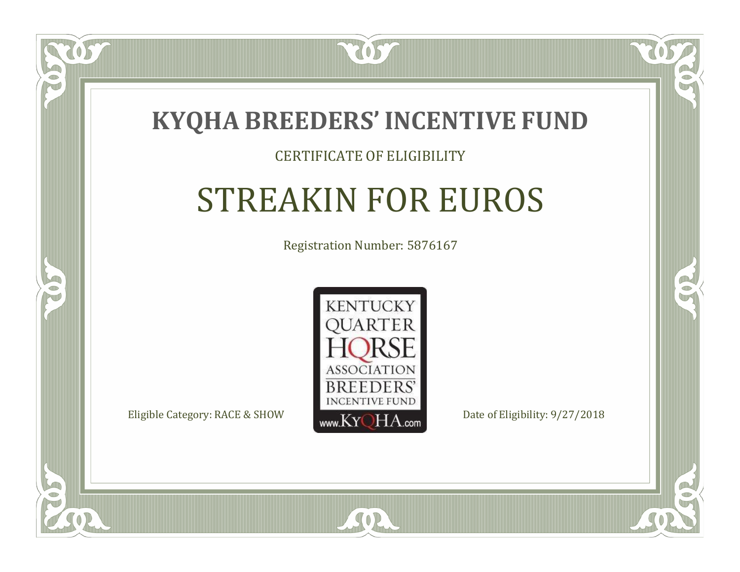

#### CERTIFICATE OF ELIGIBILITY

## STREAKIN FOR EUROS

Registration Number: 5876167



RO

CO.

 $\Box$ N

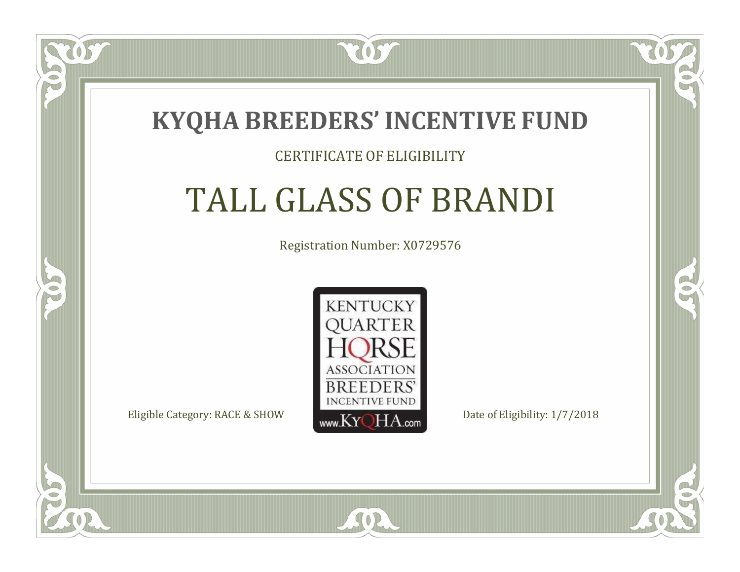

#### CERTIFICATE OF ELIGIBILITY

# TALL GLASS OF BRANDI

Registration Number: X0729576



SOR

RO

CO.

 $\Box$ N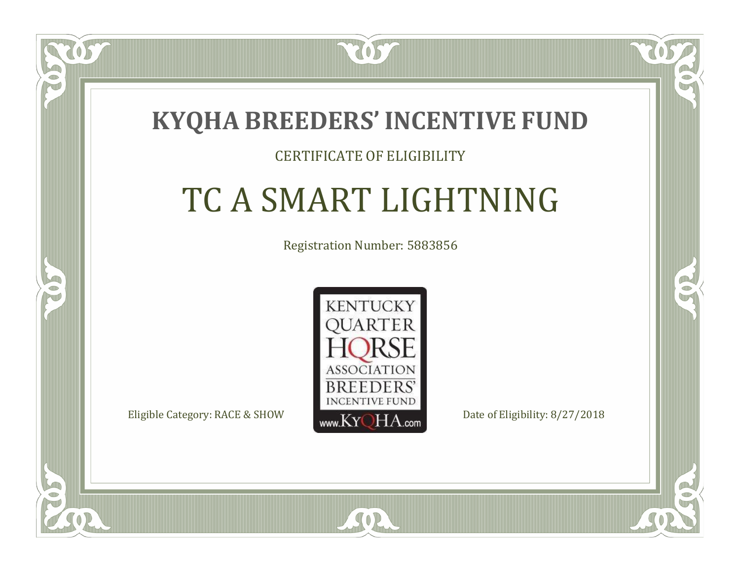

### CERTIFICATE OF ELIGIBILITY

# TC A SMART LIGHTNING

Registration Number: 5883856



 $SO<sub>2</sub>$ 

RO

CO.

 $\Box$ T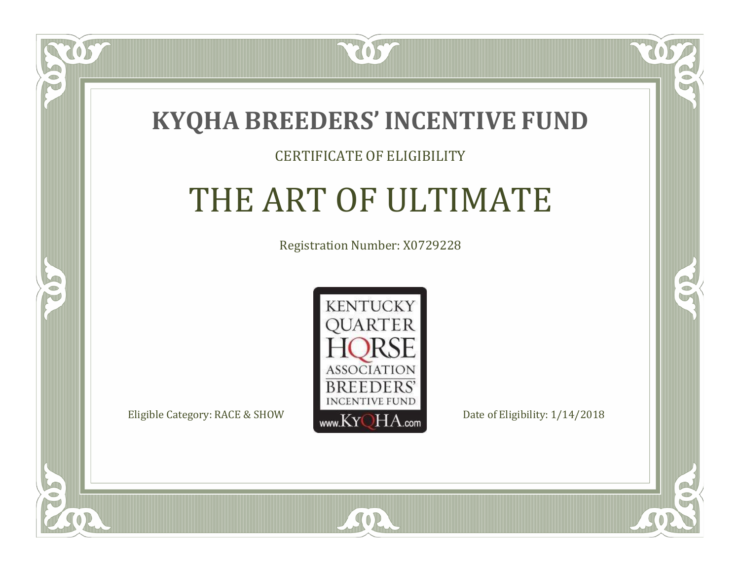

 $\blacksquare$ N

5

### CERTIFICATE OF ELIGIBILITY

# THE ART OF ULTIMATE

Registration Number: X0729228



 $SO2$ 

CO.

 $\rightarrow$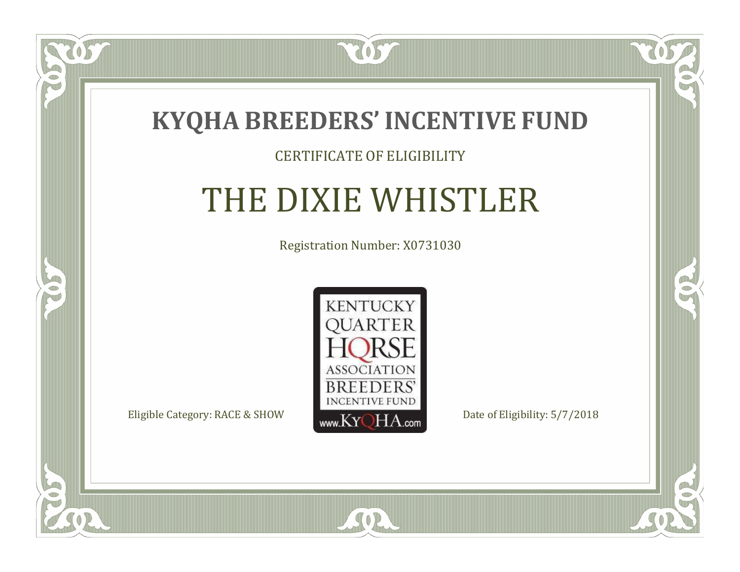

#### CERTIFICATE OF ELIGIBILITY

## THE DIXIE WHISTLER

Registration Number: X0731030



SOR

CO.

 $\rightarrow$ 

 $\delta S$ 

 $\bullet$ NU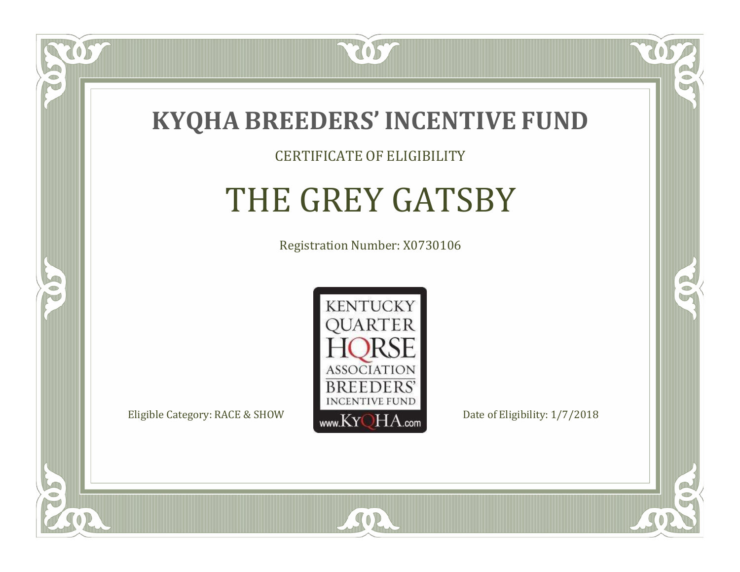

 $\Box$ N

5

#### CERTIFICATE OF ELIGIBILITY

# THE GREY GATSBY

Registration Number: X0730106



SOR

RO

B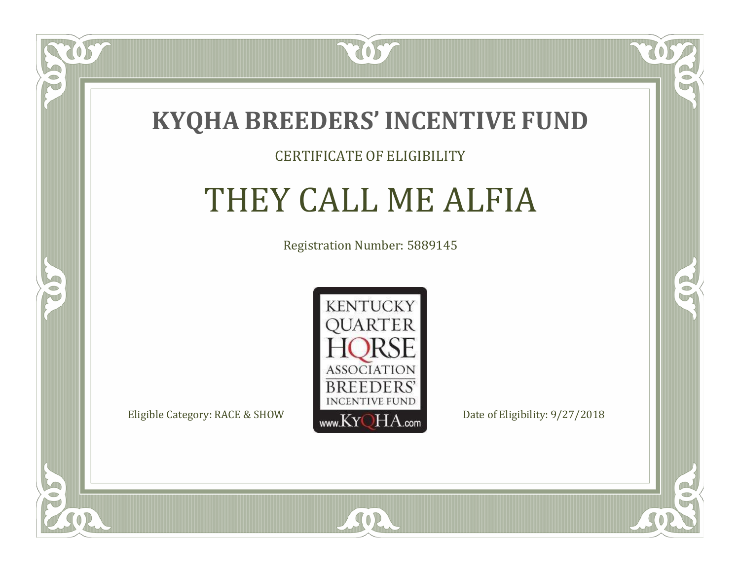

### CERTIFICATE OF ELIGIBILITY

### THEY CALL ME ALFIA

Registration Number: 5889145



CO.

B

 $\Box$ N

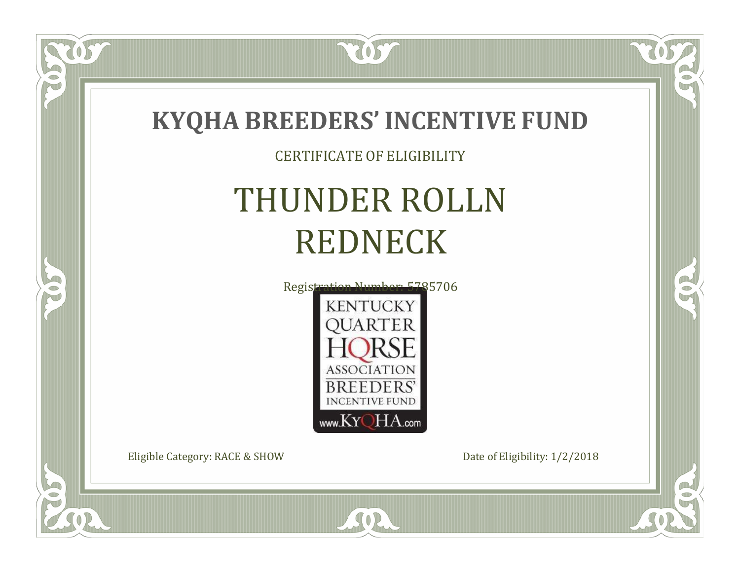

SOR

 $\bullet$ N

5

 $\Box$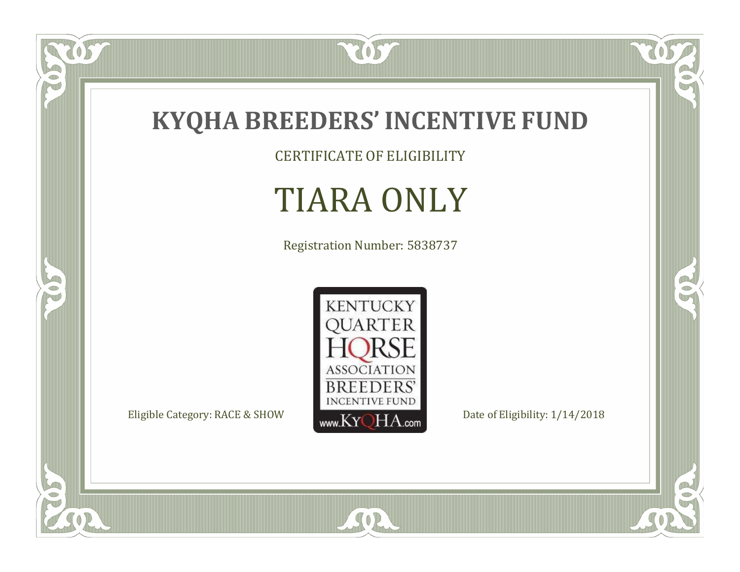

CERTIFICATE OF ELIGIBILITY

# TIARA ONLY

Registration Number: 5838737



SOR

 $\mathbb{R}$ 

 $\mathbb{R}^2$ 

US.

 $\bullet$ N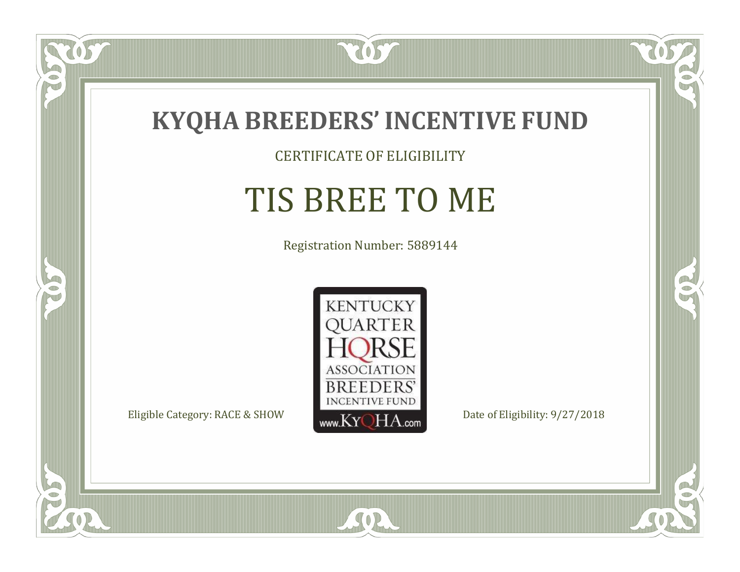

CERTIFICATE OF ELIGIBILITY

# TIS BREE TO ME

Registration Number: 5889144



SOR

RO

B

 $\delta S$ 

 $\bullet$ NU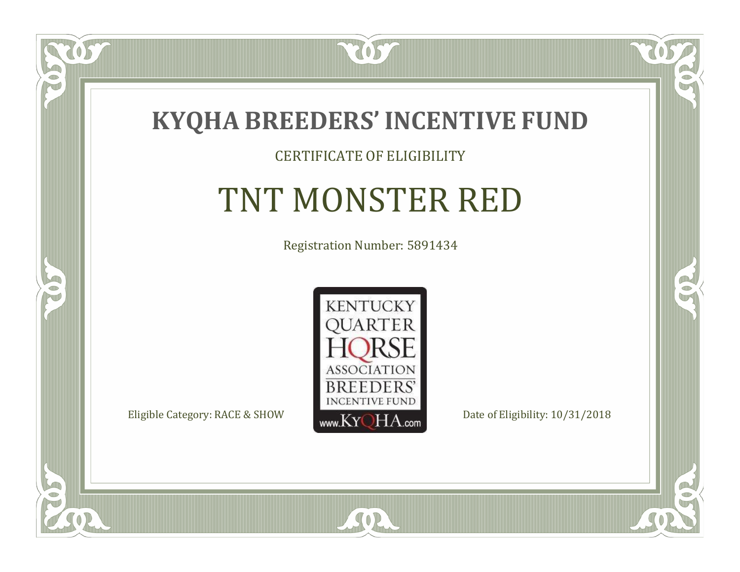

### CERTIFICATE OF ELIGIBILITY

# TNT MONSTER RED

Registration Number: 5891434



SOR

CO.

 $\rightarrow$ 

 $\Box$ NU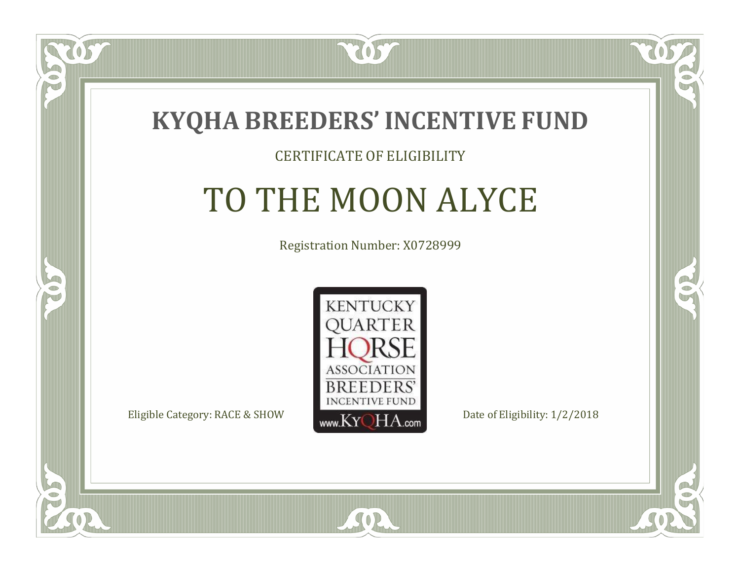

#### CERTIFICATE OF ELIGIBILITY

## TO THE MOON ALYCE

Registration Number: X0728999



 $SO<sub>2</sub>$ 

RO

P.

 $\Box$ N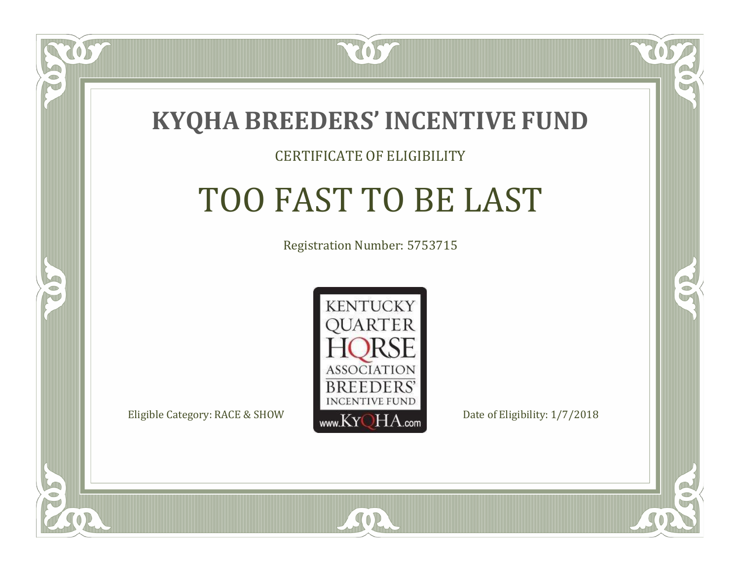

#### CERTIFICATE OF ELIGIBILITY

# TOO FAST TO BE LAST

Registration Number: 5753715



SOR

RO

P.

 $\Box$ N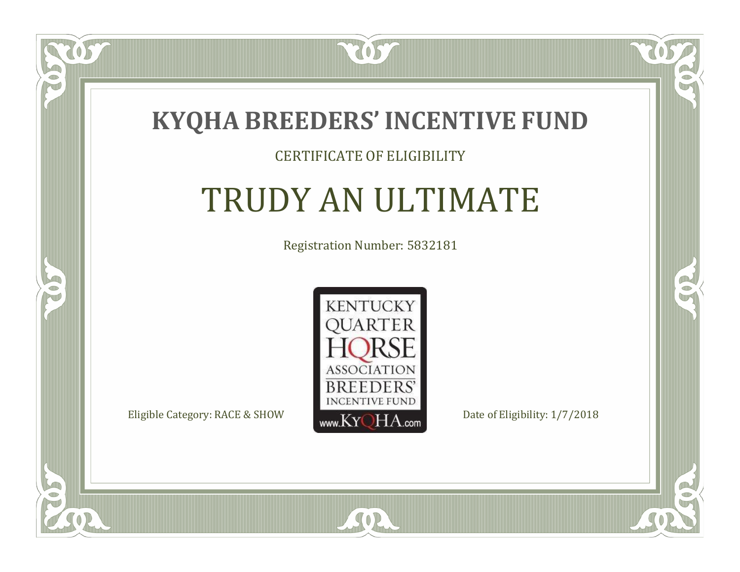

### CERTIFICATE OF ELIGIBILITY

# TRUDY AN ULTIMATE

Registration Number: 5832181



SOR

CO.

 $\rightarrow$ 

US

 $\Box$ N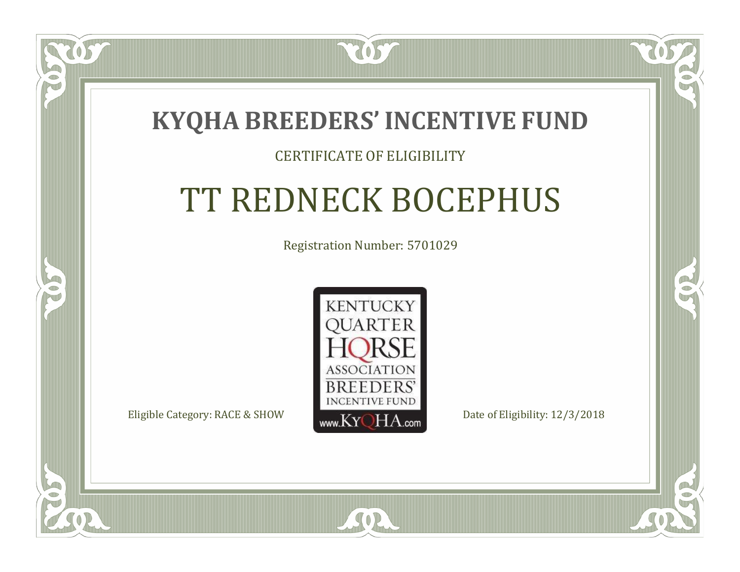

### CERTIFICATE OF ELIGIBILITY

# TT REDNECK BOCEPHUS

Registration Number: 5701029



SOR

RO

 $\rightarrow$ 

 $\Box$ N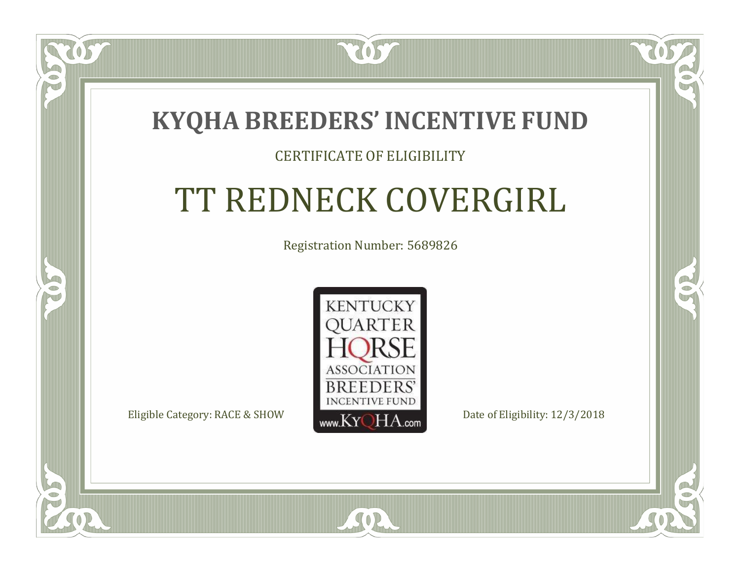### **KYQHA BREEDERS'INCENTIVE FUND**

7057

### CERTIFICATE OF ELIGIBILITY

# TT REDNECK COVERGIRL

Registration Number: 5689826



SOR

RO

CO.

 $\Box$ T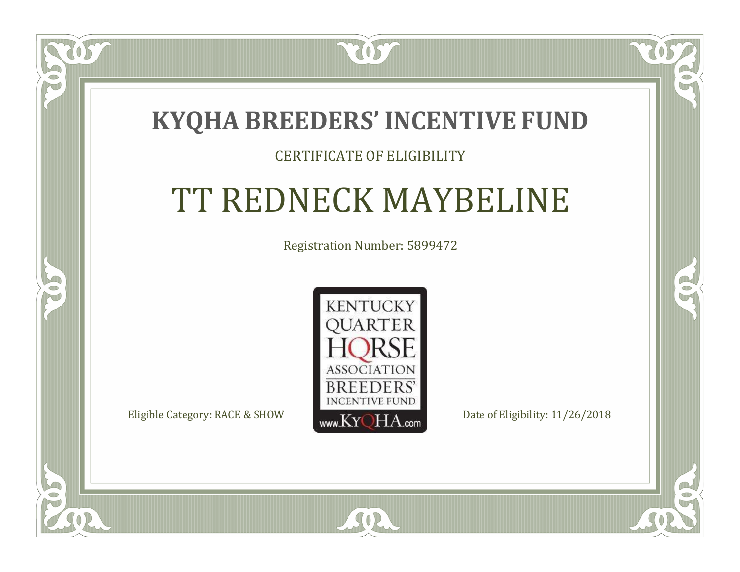### **KYQHA BREEDERS'INCENTIVE FUND**

7057

 $\blacksquare$ N

S

### CERTIFICATE OF ELIGIBILITY

## TT REDNECK MAYBELINE

Registration Number: 5899472



SOR

CO.

 $\rightarrow$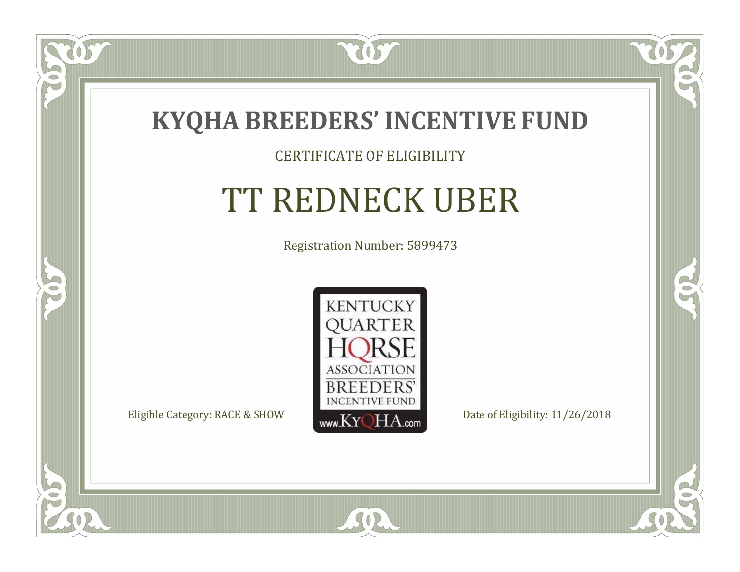

#### CERTIFICATE OF ELIGIBILITY

# TT REDNECK UBER

Registration Number: 5899473



 $SO2$ 

CO.

 $\rightarrow$ 

 $\delta S$ 

 $\Box$ NU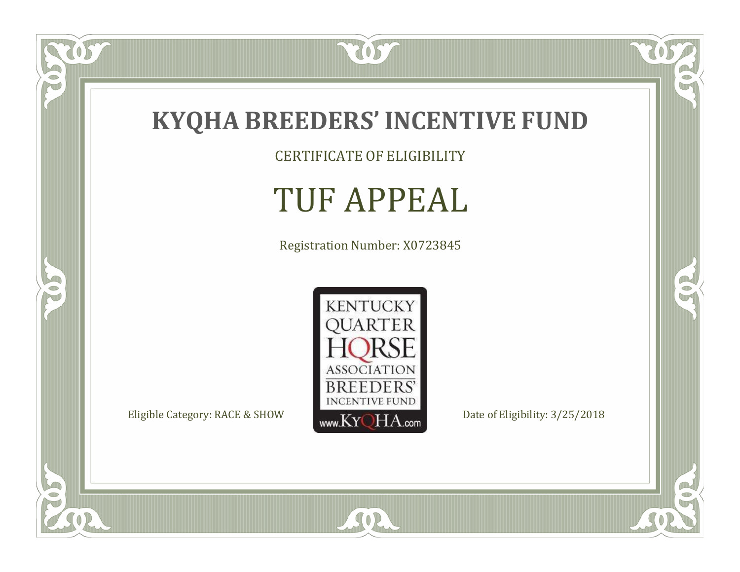

CERTIFICATE OF ELIGIBILITY

## TUF APPEAL

Registration Number: X0723845



SOR

 $\mathbb{R}$ 

 $\mathbb{R}^2$ 

 $\overline{OS}$ 

 $\bullet$ N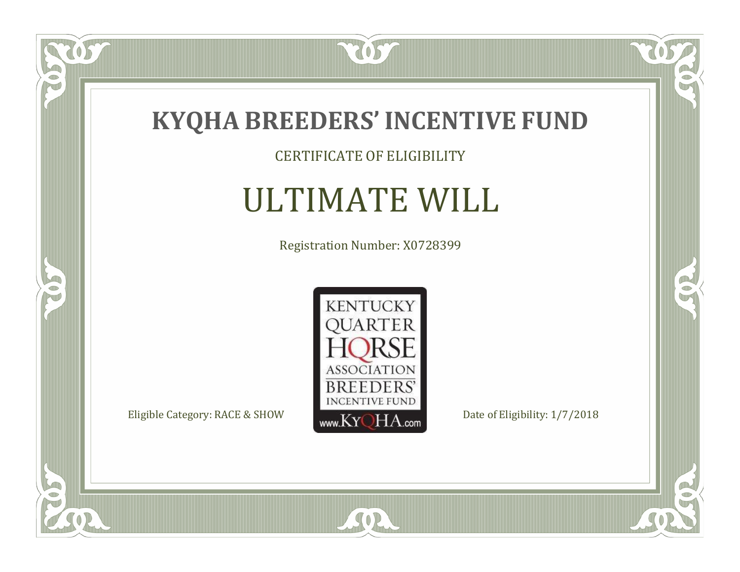

### CERTIFICATE OF ELIGIBILITY

# ULTIMATE WILL

Registration Number: X0728399



 $\mathbb{R}$ 

 $\mathbb{R}^2$ 

 $\overline{OS}$ 

 $\bullet$ NU

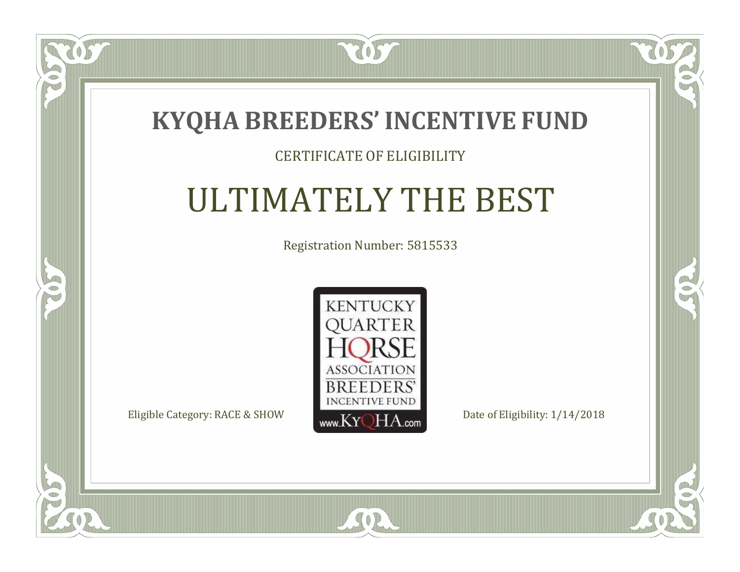

### CERTIFICATE OF ELIGIBILITY

# ULTIMATELY THE BEST

Registration Number: 5815533



SOR

CO.

 $\rightarrow$ 

US

 $\blacksquare$ N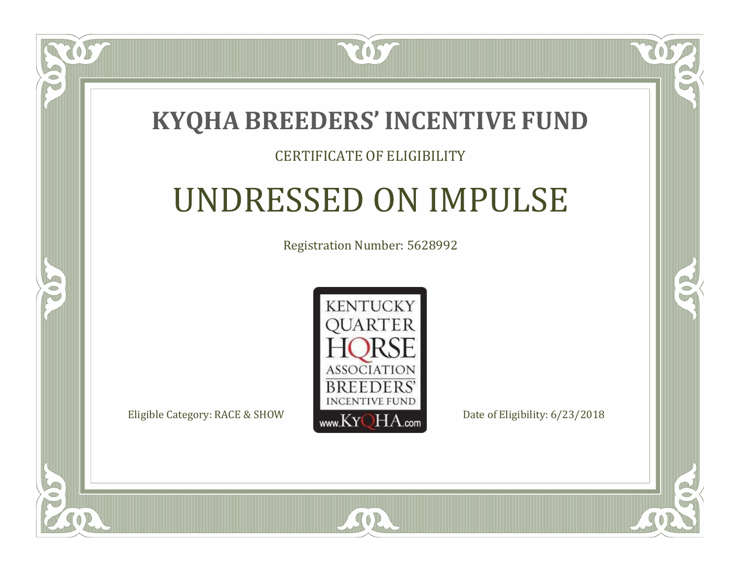### **KYQHA BREEDERS'INCENTIVE FUND**

7057

### CERTIFICATE OF ELIGIBILITY

# UNDRESSED ON IMPULSE

Registration Number: 5628992



SOR

CO.

 $\rightarrow$ 

 $\Box$ N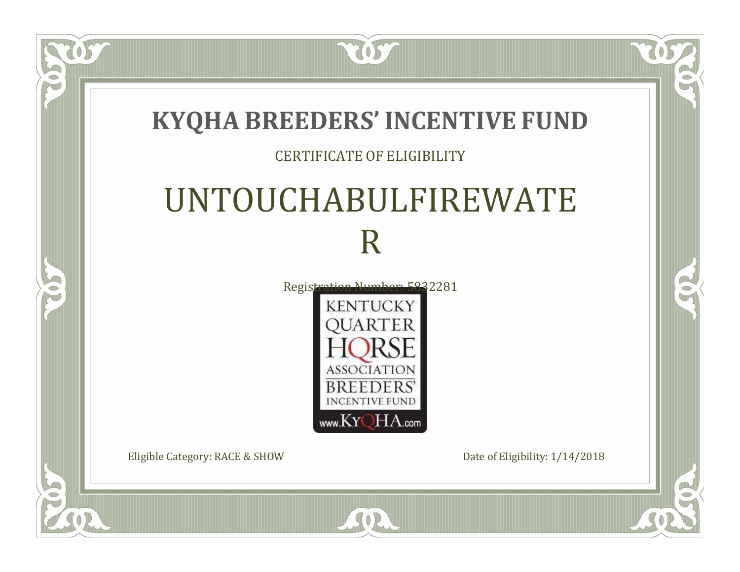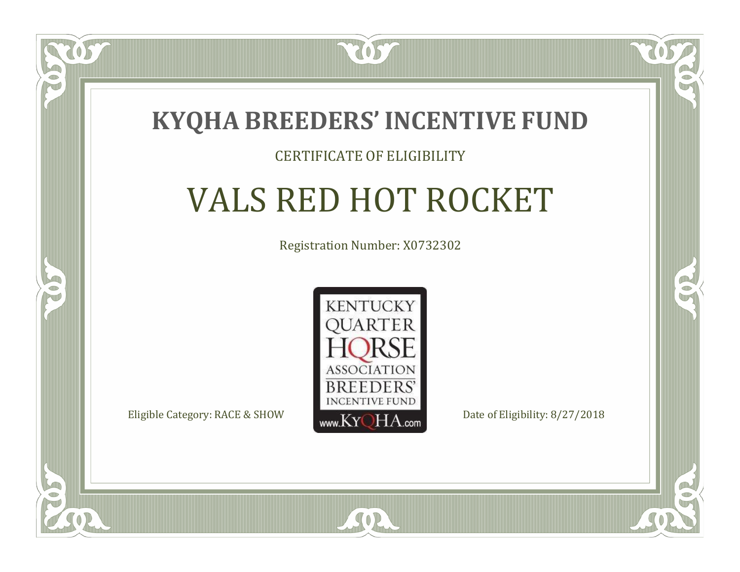

#### CERTIFICATE OF ELIGIBILITY

# VALS RED HOT ROCKET

Registration Number: X0732302



 $SO2$ 

RO

B

 $\Box$ T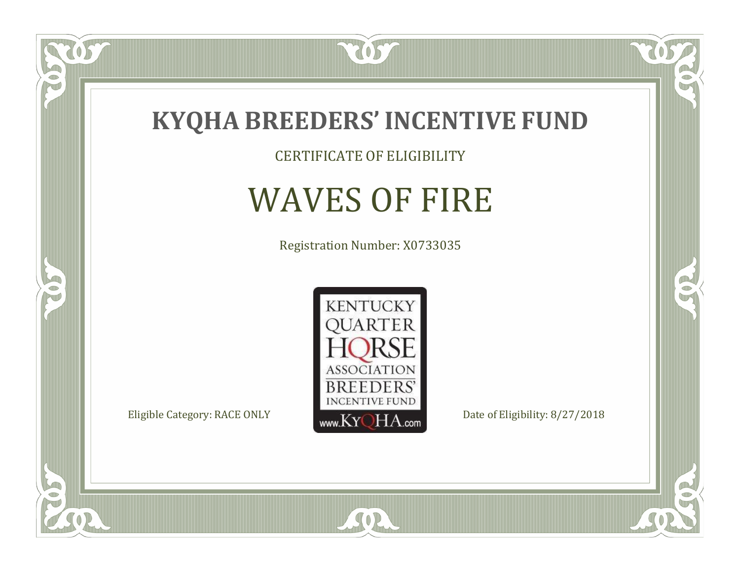

CERTIFICATE OF ELIGIBILITY

## WAVES OF FIRE

Registration Number: X0733035



SOR

 $\mathbb{R}$ 

 $\rightarrow$ 

 $\overline{OS}$ 

 $\bullet$ N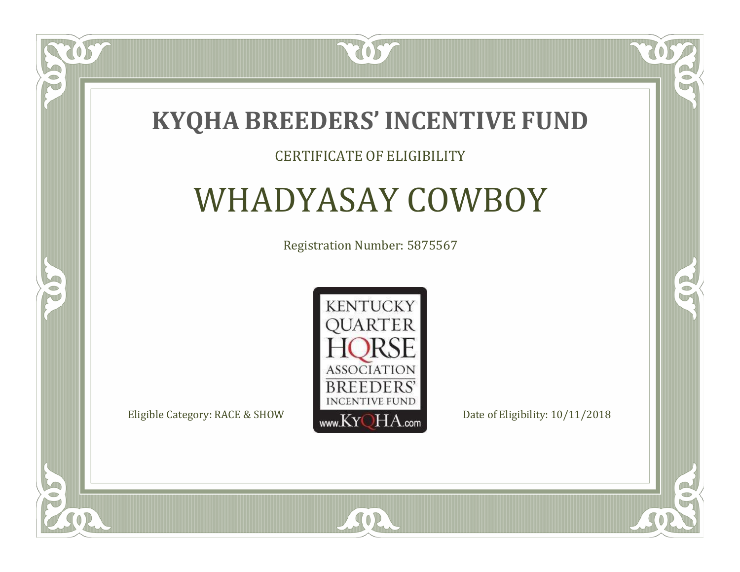

### CERTIFICATE OF ELIGIBILITY

## WHADYASAY COWBOY

Registration Number: 5875567



 $SO2$ 

CO.

 $\rightarrow$ 

US

 $\blacksquare$ N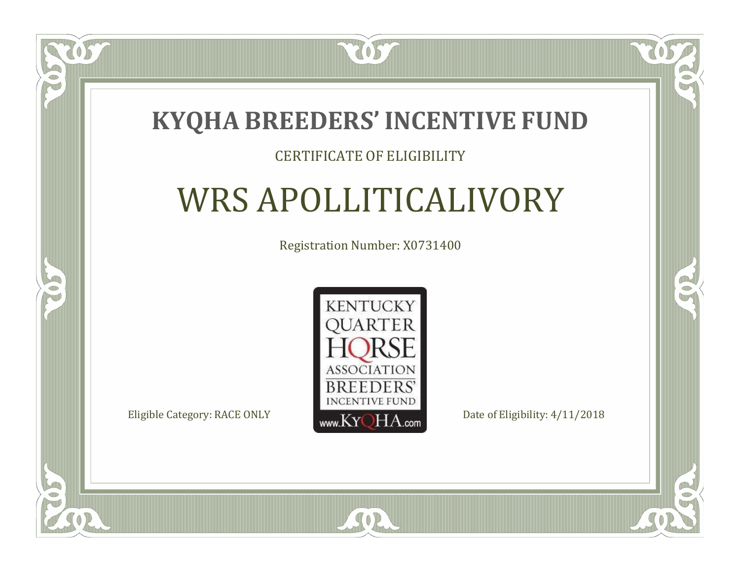

### CERTIFICATE OF ELIGIBILITY

## WRS APOLLITICALIVORY

Registration Number: X0731400



SOR

CO.

 $\rightarrow$ 

 $\blacksquare$ N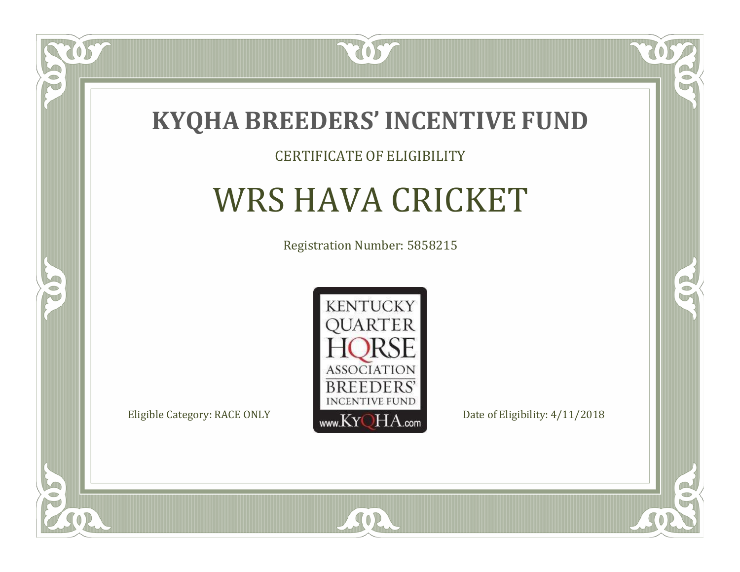

#### CERTIFICATE OF ELIGIBILITY

### WRS HAVA CRICKET

Registration Number: 5858215



 $SO2$ 

CO.

 $\rightarrow$ 

 $\delta S$ 

 $\Box$ NU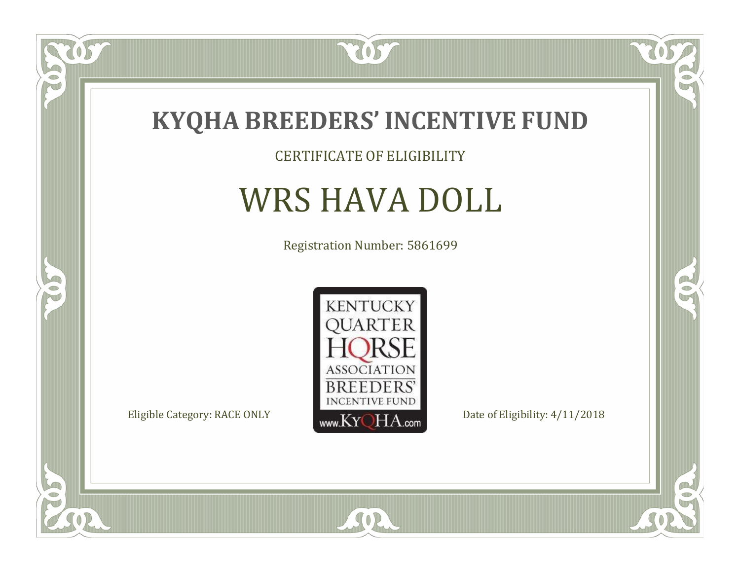

CERTIFICATE OF ELIGIBILITY

# WRS HAVA DOLL

Registration Number: 5861699



SOR

 $\mathbb{R}$ 

 $\rightarrow$ 

 $\overline{OS}$ 

 $\bullet$ NU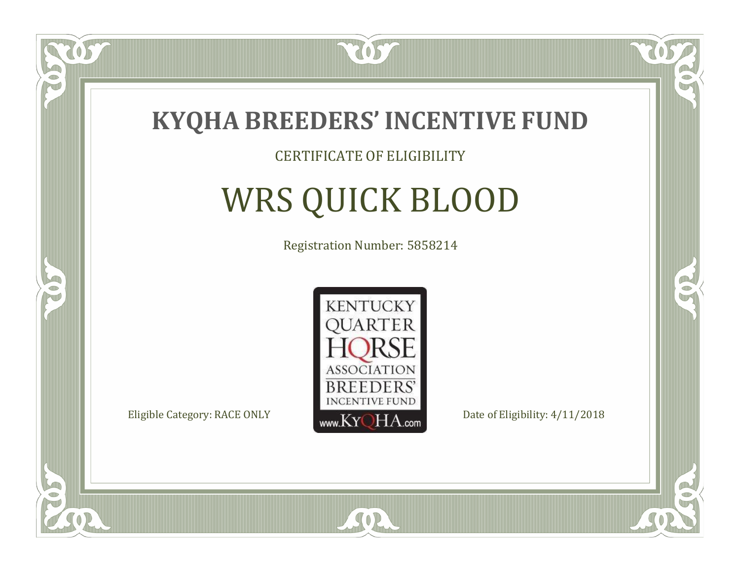

#### CERTIFICATE OF ELIGIBILITY

# WRS QUICK BLOOD

Registration Number: 5858214



 $SO2$ 

 $\mathbb{R}$ 

B

 $\overline{OS}$ 

 $\Box$ NU